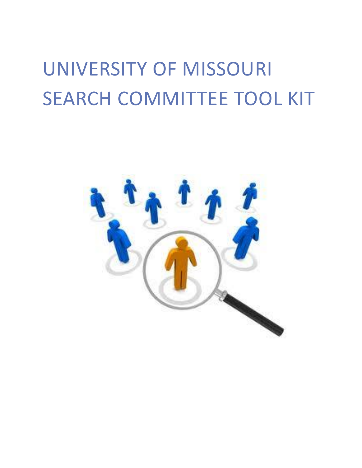# UNIVERSITY OF MISSOURI SEARCH COMMITTEE TOOL KIT

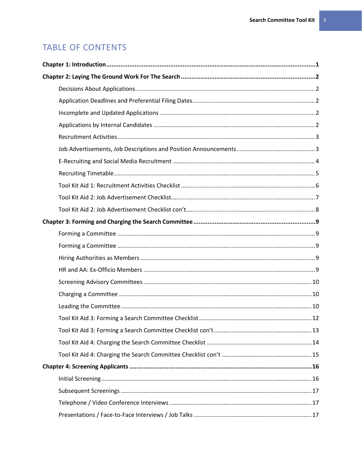# **TABLE OF CONTENTS**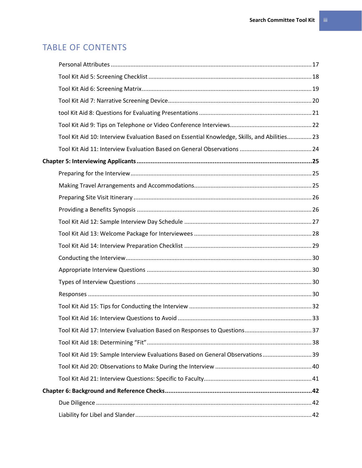# TABLE OF CONTENTS

| Tool Kit Aid 10: Interview Evaluation Based on Essential Knowledge, Skills, and Abilities 23 |  |
|----------------------------------------------------------------------------------------------|--|
|                                                                                              |  |
|                                                                                              |  |
|                                                                                              |  |
|                                                                                              |  |
|                                                                                              |  |
|                                                                                              |  |
|                                                                                              |  |
|                                                                                              |  |
|                                                                                              |  |
|                                                                                              |  |
|                                                                                              |  |
|                                                                                              |  |
|                                                                                              |  |
|                                                                                              |  |
|                                                                                              |  |
|                                                                                              |  |
|                                                                                              |  |
| Tool Kit Aid 19: Sample Interview Evaluations Based on General Observations 39               |  |
|                                                                                              |  |
|                                                                                              |  |
|                                                                                              |  |
|                                                                                              |  |
|                                                                                              |  |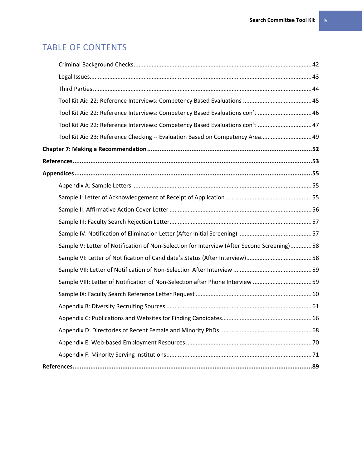# TABLE OF CONTENTS

| Tool Kit Aid 22: Reference Interviews: Competency Based Evaluations con't  46              |  |
|--------------------------------------------------------------------------------------------|--|
| Tool Kit Aid 22: Reference Interviews: Competency Based Evaluations con't  47              |  |
| Tool Kit Aid 23: Reference Checking -- Evaluation Based on Competency Area 49              |  |
|                                                                                            |  |
|                                                                                            |  |
|                                                                                            |  |
|                                                                                            |  |
|                                                                                            |  |
|                                                                                            |  |
|                                                                                            |  |
|                                                                                            |  |
| Sample V: Letter of Notification of Non-Selection for Interview (After Second Screening)58 |  |
|                                                                                            |  |
|                                                                                            |  |
| Sample VIII: Letter of Notification of Non-Selection after Phone Interview 59              |  |
|                                                                                            |  |
|                                                                                            |  |
|                                                                                            |  |
|                                                                                            |  |
|                                                                                            |  |
|                                                                                            |  |
|                                                                                            |  |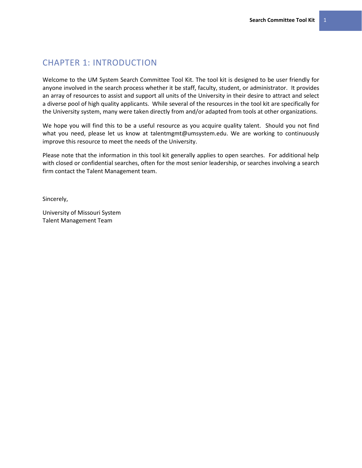# <span id="page-4-0"></span>CHAPTER 1: INTRODUCTION

Welcome to the UM System Search Committee Tool Kit. The tool kit is designed to be user friendly for anyone involved in the search process whether it be staff, faculty, student, or administrator. It provides an array of resources to assist and support all units of the University in their desire to attract and select a diverse pool of high quality applicants. While several of the resources in the tool kit are specifically for the University system, many were taken directly from and/or adapted from tools at other organizations.

We hope you will find this to be a useful resource as you acquire quality talent. Should you not find what you need, please let us know at talentmgmt@umsystem.edu. We are working to continuously improve this resource to meet the needs of the University.

Please note that the information in this tool kit generally applies to open searches. For additional help with closed or confidential searches, often for the most senior leadership, or searches involving a search firm contact the Talent Management team.

Sincerely,

University of Missouri System Talent Management Team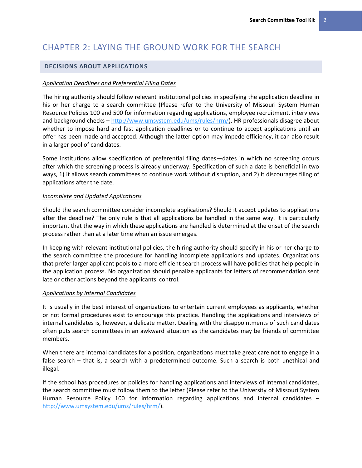# <span id="page-5-0"></span>CHAPTER 2: LAYING THE GROUND WORK FOR THE SEARCH

# <span id="page-5-1"></span>**DECISIONS ABOUT APPLICATIONS**

#### <span id="page-5-2"></span>*Application Deadlines and Preferential Filing Dates*

The hiring authority should follow relevant institutional policies in specifying the application deadline in his or her charge to a search committee (Please refer to the University of Missouri System Human Resource Policies 100 and 500 for information regarding applications, employee recruitment, interviews and background checks – [http://www.umsystem.edu/ums/rules/hrm/\)](http://www.umsystem.edu/ums/rules/hrm/). HR professionals disagree about whether to impose hard and fast application deadlines or to continue to accept applications until an offer has been made and accepted. Although the latter option may impede efficiency, it can also result in a larger pool of candidates.

Some institutions allow specification of preferential filing dates—dates in which no screening occurs after which the screening process is already underway. Specification of such a date is beneficial in two ways, 1) it allows search committees to continue work without disruption, and 2) it discourages filing of applications after the date.

#### <span id="page-5-3"></span>*Incomplete and Updated Applications*

Should the search committee consider incomplete applications? Should it accept updates to applications after the deadline? The only rule is that all applications be handled in the same way. It is particularly important that the way in which these applications are handled is determined at the onset of the search process rather than at a later time when an issue emerges.

In keeping with relevant institutional policies, the hiring authority should specify in his or her charge to the search committee the procedure for handling incomplete applications and updates. Organizations that prefer larger applicant pools to a more efficient search process will have policies that help people in the application process. No organization should penalize applicants for letters of recommendation sent late or other actions beyond the applicants' control.

#### <span id="page-5-4"></span>*Applications by Internal Candidates*

It is usually in the best interest of organizations to entertain current employees as applicants, whether or not formal procedures exist to encourage this practice. Handling the applications and interviews of internal candidates is, however, a delicate matter. Dealing with the disappointments of such candidates often puts search committees in an awkward situation as the candidates may be friends of committee members.

When there are internal candidates for a position, organizations must take great care not to engage in a false search – that is, a search with a predetermined outcome. Such a search is both unethical and illegal.

If the school has procedures or policies for handling applications and interviews of internal candidates, the search committee must follow them to the letter (Please refer to the University of Missouri System Human Resource Policy 100 for information regarding applications and internal candidates – [http://www.umsystem.edu/ums/rules/hrm/\)](http://www.umsystem.edu/ums/rules/hrm/).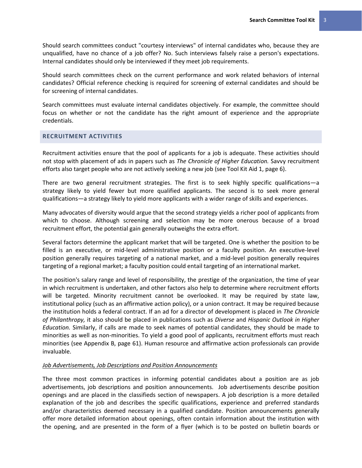Should search committees conduct "courtesy interviews" of internal candidates who, because they are unqualified, have no chance of a job offer? No. Such interviews falsely raise a person's expectations. Internal candidates should only be interviewed if they meet job requirements.

Should search committees check on the current performance and work related behaviors of internal candidates? Official reference checking is required for screening of external candidates and should be for screening of internal candidates.

Search committees must evaluate internal candidates objectively. For example, the committee should focus on whether or not the candidate has the right amount of experience and the appropriate credentials.

# <span id="page-6-0"></span>**RECRUITMENT ACTIVITIES**

Recruitment activities ensure that the pool of applicants for a job is adequate. These activities should not stop with placement of ads in papers such as *The Chronicle of Higher Education.* Savvy recruitment efforts also target people who are not actively seeking a new job (see Tool Kit Aid 1, page [6\)](#page-9-0).

There are two general recruitment strategies. The first is to seek highly specific qualifications—a strategy likely to yield fewer but more qualified applicants. The second is to seek more general qualifications—a strategy likely to yield more applicants with a wider range of skills and experiences.

Many advocates of diversity would argue that the second strategy yields a richer pool of applicants from which to choose. Although screening and selection may be more onerous because of a broad recruitment effort, the potential gain generally outweighs the extra effort.

Several factors determine the applicant market that will be targeted. One is whether the position to be filled is an executive, or mid-level administrative position or a faculty position. An executive-level position generally requires targeting of a national market, and a mid-level position generally requires targeting of a regional market; a faculty position could entail targeting of an international market.

The position's salary range and level of responsibility, the prestige of the organization, the time of year in which recruitment is undertaken, and other factors also help to determine where recruitment efforts will be targeted. Minority recruitment cannot be overlooked. It may be required by state law, institutional policy (such as an affirmative action policy), or a union contract. It may be required because the institution holds a federal contract. If an ad for a director of development is placed in *The Chronicle of Philanthropy,* it also should be placed in publications such as *Diverse* and *Hispanic Outlook in Higher Education.* Similarly, if calls are made to seek names of potential candidates, they should be made to minorities as well as non-minorities. To yield a good pool of applicants, recruitment efforts must reach minorities (see Appendix B, page 61). Human resource and affirmative action professionals can provide invaluable.

#### <span id="page-6-1"></span>*Job Advertisements, Job Descriptions and Position Announcements*

The three most common practices in informing potential candidates about a position are as job advertisements, job descriptions and position announcements. Job advertisements describe position openings and are placed in the classifieds section of newspapers. A job description is a more detailed explanation of the job and describes the specific qualifications, experience and preferred standards and/or characteristics deemed necessary in a qualified candidate. Position announcements generally offer more detailed information about openings, often contain information about the institution with the opening, and are presented in the form of a flyer (which is to be posted on bulletin boards or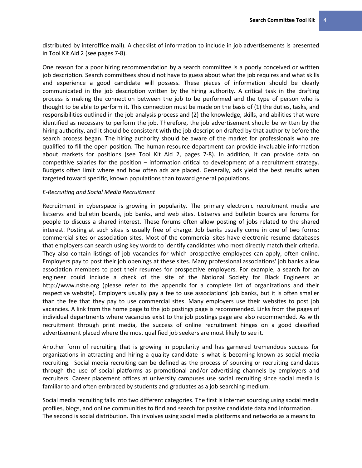distributed by interoffice mail). A checklist of information to include in job advertisements is presented in Tool Kit Aid 2 (see pages [7-](#page-10-0)8).

One reason for a poor hiring recommendation by a search committee is a poorly conceived or written job description. Search committees should not have to guess about what the job requires and what skills and experience a good candidate will possess. These pieces of information should be clearly communicated in the job description written by the hiring authority. A critical task in the drafting process is making the connection between the job to be performed and the type of person who is thought to be able to perform it. This connection must be made on the basis of (1) the duties, tasks, and responsibilities outlined in the job analysis process and (2) the knowledge, skills, and abilities that were identified as necessary to perform the job. Therefore, the job advertisement should be written by the hiring authority, and it should be consistent with the job description drafted by that authority before the search process began. The hiring authority should be aware of the market for professionals who are qualified to fill the open position. The human resource department can provide invaluable information about markets for positions (see Tool Kit Aid 2, pages 7-8). In addition, it can provide data on competitive salaries for the position – information critical to development of a recruitment strategy. Budgets often limit where and how often ads are placed. Generally, ads yield the best results when targeted toward specific, known populations than toward general populations.

#### <span id="page-7-0"></span>*E-Recruiting and Social Media Recruitment*

Recruitment in cyberspace is growing in popularity. The primary electronic recruitment media are listservs and bulletin boards, job banks, and web sites. Listservs and bulletin boards are forums for people to discuss a shared interest. These forums often allow posting of jobs related to the shared interest. Posting at such sites is usually free of charge. Job banks usually come in one of two forms: commercial sites or association sites. Most of the commercial sites have electronic resume databases that employers can search using key words to identify candidates who most directly match their criteria. They also contain listings of job vacancies for which prospective employees can apply, often online. Employers pay to post their job openings at these sites. Many professional associations' job banks allow association members to post their resumes for prospective employers. For example, a search for an engineer could include a check of the site of the National Society for Black Engineers at http://www.nsbe.org (please refer to the appendix for a complete list of organizations and their respective website). Employers usually pay a fee to use associations' job banks, but it is often smaller than the fee that they pay to use commercial sites. Many employers use their websites to post job vacancies. A link from the home page to the job postings page is recommended. Links from the pages of individual departments where vacancies exist to the job postings page are also recommended. As with recruitment through print media, the success of online recruitment hinges on a good classified advertisement placed where the most qualified job seekers are most likely to see it.

Another form of recruiting that is growing in popularity and has garnered tremendous success for organizations in attracting and hiring a quality candidate is what is becoming known as social media recruiting. Social media recruiting can be defined as the process of sourcing or recruiting candidates through the use of social platforms as promotional and/or advertising channels by employers and recruiters. Career placement offices at university campuses use social recruiting since social media is familiar to and often embraced by students and graduates as a job searching medium.

Social media recruiting falls into two different categories. The first is internet sourcing using social media profiles, blogs, and online communities to find and search for passive candidate data and information. The second is social distribution. This involves using social media platforms and networks as a means to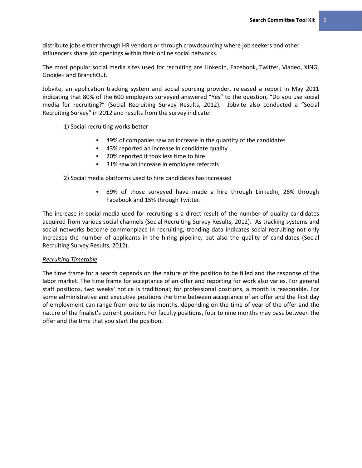distribute jobs either through HR vendors or through crowdsourcing where job seekers and other influencers share job openings within their online social networks.

The most popular social media sites used for recruiting are LinkedIn, Facebook, Twitter, Viadeo, XING, Google+ and BranchOut.

Jobvite, an application tracking system and social sourcing provider, released a report in May 2011 indicating that 80% of the 600 employers surveyed answered "Yes" to the question, "Do you use social media for recruiting?" (Social Recruiting Survey Results, 2012). Jobvite also conducted a "Social Recruiting Survey" in 2012 and results from the survey indicate:

1) Social recruiting works better

- 49% of companies saw an increase in the quantity of the candidates
- 43% reported an increase in candidate quality
- 20% reported it took less time to hire
- 31% saw an increase in employee referrals

2) Social media platforms used to hire candidates has increased

89% of those surveyed have made a hire through LinkedIn, 26% through Facebook and 15% through Twitter.

The increase in social media used for recruiting is a direct result of the number of quality candidates acquired from various social channels (Social Recruiting Survey Results, 2012). As tracking systems and social networks become commonplace in recruiting, trending data indicates social recruiting not only increases the number of applicants in the hiring pipeline, but also the quality of candidates (Social Recruiting Survey Results, 2012).

#### <span id="page-8-0"></span>*Recruiting Timetable*

The time frame for a search depends on the nature of the position to be filled and the response of the labor market. The time frame for acceptance of an offer and reporting for work also varies. For general staff positions, two weeks' notice is traditional; for professional positions, a month is reasonable. For some administrative and executive positions the time between acceptance of an offer and the first day of employment can range from one to six months, depending on the time of year of the offer and the nature of the finalist's current position. For faculty positions, four to nine months may pass between the offer and the time that you start the position.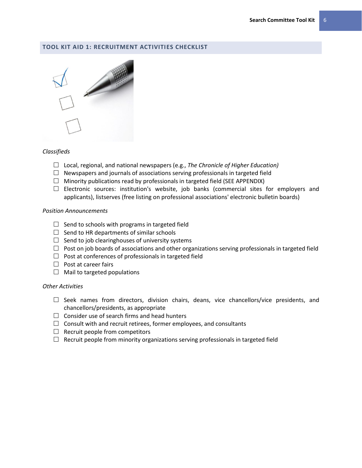# <span id="page-9-0"></span>**TOOL KIT AID 1: RECRUITMENT ACTIVITIES CHECKLIST**



# *Classifieds*

- Local, regional, and national newspapers (e.g., *The Chronicle of Higher Education)*
- $\Box$  Newspapers and journals of associations serving professionals in targeted field
- $\Box$  Minority publications read by professionals in targeted field (SEE APPENDIX)
- $\square$  Electronic sources: institution's website, job banks (commercial sites for employers and applicants), listserves (free listing on professional associations' electronic bulletin boards)

# *Position Announcements*

- $\Box$  Send to schools with programs in targeted field
- $\Box$  Send to HR departments of similar schools
- $\Box$  Send to job clearinghouses of university systems
- $\Box$  Post on job boards of associations and other organizations serving professionals in targeted field
- $\Box$  Post at conferences of professionals in targeted field
- $\Box$  Post at career fairs
- $\Box$  Mail to targeted populations

# *Other Activities*

- $\square$  Seek names from directors, division chairs, deans, vice chancellors/vice presidents, and chancellors/presidents, as appropriate
- $\Box$  Consider use of search firms and head hunters
- $\Box$  Consult with and recruit retirees, former employees, and consultants
- $\Box$  Recruit people from competitors
- $\Box$  Recruit people from minority organizations serving professionals in targeted field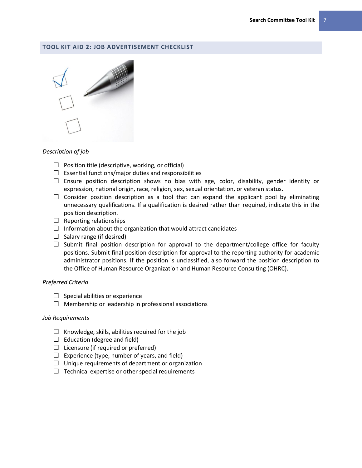#### <span id="page-10-0"></span>**TOOL KIT AID 2: JOB ADVERTISEMENT CHECKLIST**



#### *Description of job*

- $\Box$  Position title (descriptive, working, or official)
- $\Box$  Essential functions/major duties and responsibilities
- $\square$  Ensure position description shows no bias with age, color, disability, gender identity or expression, national origin, race, religion, sex, sexual orientation, or veteran status.
- $\Box$  Consider position description as a tool that can expand the applicant pool by eliminating unnecessary qualifications. If a qualification is desired rather than required, indicate this in the position description.
- $\Box$  Reporting relationships
- $\Box$  Information about the organization that would attract candidates
- $\Box$  Salary range (if desired)
- $\Box$  Submit final position description for approval to the department/college office for faculty positions. Submit final position description for approval to the reporting authority for academic administrator positions. If the position is unclassified, also forward the position description to the Office of Human Resource Organization and Human Resource Consulting (OHRC).

#### *Preferred Criteria*

- $\Box$  Special abilities or experience
- $\Box$  Membership or leadership in professional associations

#### *Job Requirements*

- $\Box$  Knowledge, skills, abilities required for the job
- $\Box$  Education (degree and field)
- $\Box$  Licensure (if required or preferred)
- $\Box$  Experience (type, number of years, and field)
- $\Box$  Unique requirements of department or organization
- $\Box$  Technical expertise or other special requirements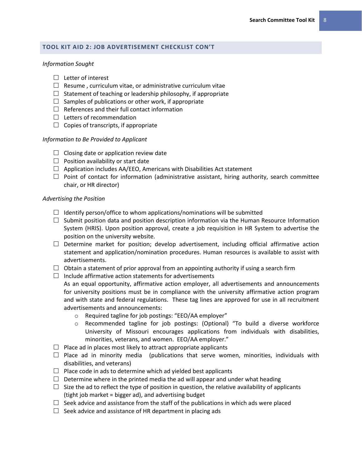#### <span id="page-11-0"></span>**TOOL KIT AID 2: JOB ADVERTISEMENT CHECKLIST CON'T**

#### *Information Sought*

- $\Box$  Letter of interest
- $\Box$  Resume, curriculum vitae, or administrative curriculum vitae
- $\Box$  Statement of teaching or leadership philosophy, if appropriate
- $\Box$  Samples of publications or other work, if appropriate
- $\Box$  References and their full contact information
- $\Box$  Letters of recommendation
- $\Box$  Copies of transcripts, if appropriate

#### *Information to Be Provided to Applicant*

- $\Box$  Closing date or application review date
- $\Box$  Position availability or start date
- $\Box$  Application includes AA/EEO, Americans with Disabilities Act statement
- $\Box$  Point of contact for information (administrative assistant, hiring authority, search committee chair, or HR director)

#### *Advertising the Position*

- $\Box$  Identify person/office to whom applications/nominations will be submitted
- $\Box$  Submit position data and position description information via the Human Resource Information System (HRIS). Upon position approval, create a job requisition in HR System to advertise the position on the university website.
- $\Box$  Determine market for position; develop advertisement, including official affirmative action statement and application/nomination procedures. Human resources is available to assist with advertisements.
- $\Box$  Obtain a statement of prior approval from an appointing authority if using a search firm
- $\Box$  Include affirmative action statements for advertisements

As an equal opportunity, affirmative action employer, all advertisements and announcements for university positions must be in compliance with the university affirmative action program and with state and federal regulations. These tag lines are approved for use in all recruitment advertisements and announcements:

- o Required tagline for job postings: "EEO/AA employer"
- o Recommended tagline for job postings: (Optional) "To build a diverse workforce University of Missouri encourages applications from individuals with disabilities, minorities, veterans, and women. EEO/AA employer."
- $\Box$  Place ad in places most likely to attract appropriate applicants
- $\Box$  Place ad in minority media (publications that serve women, minorities, individuals with disabilities, and veterans)
- $\Box$  Place code in ads to determine which ad yielded best applicants
- $\Box$  Determine where in the printed media the ad will appear and under what heading
- $\Box$  Size the ad to reflect the type of position in question, the relative availability of applicants (tight job market = bigger ad), and advertising budget
- $\Box$  Seek advice and assistance from the staff of the publications in which ads were placed
- $\Box$  Seek advice and assistance of HR department in placing ads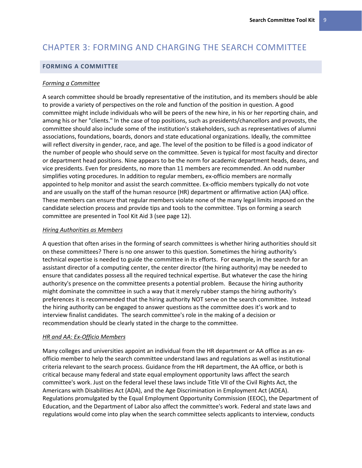# <span id="page-12-0"></span>CHAPTER 3: FORMING AND CHARGING THE SEARCH COMMITTEE

#### <span id="page-12-1"></span>**FORMING A COMMITTEE**

#### <span id="page-12-2"></span>*Forming a Committee*

A search committee should be broadly representative of the institution, and its members should be able to provide a variety of perspectives on the role and function of the position in question. A good committee might include individuals who will be peers of the new hire, in his or her reporting chain, and among his or her "clients." In the case of top positions, such as presidents/chancellors and provosts, the committee should also include some of the institution's stakeholders, such as representatives of alumni associations, foundations, boards, donors and state educational organizations. Ideally, the committee will reflect diversity in gender, race, and age. The level of the position to be filled is a good indicator of the number of people who should serve on the committee. Seven is typical for most faculty and director or department head positions. Nine appears to be the norm for academic department heads, deans, and vice presidents. Even for presidents, no more than 11 members are recommended. An odd number simplifies voting procedures. In addition to regular members, ex-officio members are normally appointed to help monitor and assist the search committee. Ex-officio members typically do not vote and are usually on the staff of the human resource (HR) department or affirmative action (AA) office. These members can ensure that regular members violate none of the many legal limits imposed on the candidate selection process and provide tips and tools to the committee. Tips on forming a search committee are presented in Tool Kit Aid 3 (see page [12\)](#page-15-0).

#### <span id="page-12-3"></span>*Hiring Authorities as Members*

A question that often arises in the forming of search committees is whether hiring authorities should sit on these committees? There is no one answer to this question. Sometimes the hiring authority's technical expertise is needed to guide the committee in its efforts. For example, in the search for an assistant director of a computing center, the center director (the hiring authority) may be needed to ensure that candidates possess all the required technical expertise. But whatever the case the hiring authority's presence on the committee presents a potential problem. Because the hiring authority might dominate the committee in such a way that it merely rubber stamps the hiring authority's preferences it is recommended that the hiring authority NOT serve on the search committee. Instead the hiring authority can be engaged to answer questions as the committee does it's work and to interview finalist candidates. The search committee's role in the making of a decision or recommendation should be clearly stated in the charge to the committee.

#### <span id="page-12-4"></span>*HR and AA: Ex-Officio Members*

Many colleges and universities appoint an individual from the HR department or AA office as an exofficio member to help the search committee understand laws and regulations as well as institutional criteria relevant to the search process. Guidance from the HR department, the AA office, or both is critical because many federal and state equal employment opportunity laws affect the search committee's work. Just on the federal level these laws include Title VII of the Civil Rights Act, the Americans with Disabilities Act (ADA), and the Age Discrimination in Employment Act (ADEA). Regulations promulgated by the Equal Employment Opportunity Commission (EEOC), the Department of Education, and the Department of Labor also affect the committee's work. Federal and state laws and regulations would come into play when the search committee selects applicants to interview, conducts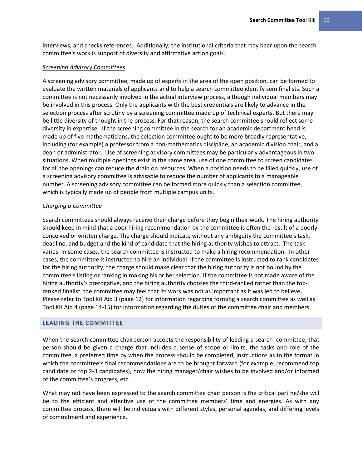interviews, and checks references. Additionally, the institutional criteria that may bear upon the search committee's work is support of diversity and affirmative action goals.

#### <span id="page-13-0"></span>*Screening Advisory Committees*

A screening advisory committee, made up of experts in the area of the open position, can be formed to evaluate the written materials of applicants and to help a search committee identify semifinalists. Such a committee is not necessarily involved in the actual interview process, although individual members may be involved in this process. Only the applicants with the best credentials are likely to advance in the selection process after scrutiny by a screening committee made up of technical experts. But there may be little diversity of thought in the process. For that reason, the search committee should reflect some diversity in expertise. If the screening committee in the search for an academic department head is made up of five mathematicians, the selection committee ought to be more broadly representative, including (for example) a professor from a non-mathematics discipline, an academic division chair, and a dean or administrator. Use of screening advisory committees may be particularly advantageous in two situations. When multiple openings exist in the same area, use of one committee to screen candidates for all the openings can reduce the drain on resources. When a position needs to be filled quickly, use of a screening advisory committee is advisable to reduce the number of applicants to a manageable number. A screening advisory committee can be formed more quickly than a selection committee, which is typically made up of people from multiple campus units.

#### <span id="page-13-1"></span>*Charging a Committee*

Search committees should always receive their charge before they begin their work. The hiring authority should keep in mind that a poor hiring recommendation by the committee is often the result of a poorly conceived or written charge. The charge should indicate without any ambiguity the committee's task, deadline, and budget and the kind of candidate that the hiring authority wishes to attract. The task varies. In some cases, the search committee is instructed to make a hiring recommendation. In other cases, the committee is instructed to hire an individual. If the committee is instructed to rank candidates for the hiring authority, the charge should make clear that the hiring authority is not bound by the committee's listing or ranking in making his or her selection. If the committee is not made aware of the hiring authority's prerogative, and the hiring authority chooses the third-ranked rather than the topranked finalist, the committee may feel that its work was not as important as it was led to believe**.**  Please refer to Tool Kit Aid 3 (page [12\)](#page-15-0) for information regarding forming a search committee as well as Tool Kit Aid 4 (page 14-15) for information regarding the duties of the committee chair and members.

#### <span id="page-13-2"></span>**LEADING THE COMMITTEE**

When the search committee chairperson accepts the responsibility of leading a search committee, that person should be given a charge that includes a sense of scope or limits, the tasks and role of the committee, a preferred time by when the process should be completed, instructions as to the format in which the committee's final recommendations are to be brought forward (for example, recommend top candidate or top 2-3 candidates), how the hiring manager/chair wishes to be involved and/or informed of the committee's progress, etc.

What may not have been expressed to the search committee chair person is the critical part he/she will be to the efficient and effective use of the committee members' time and energies. As with any committee process, there will be individuals with different styles, personal agendas, and differing levels of commitment and experience.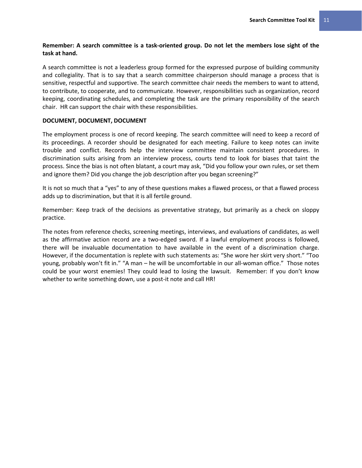# **Remember: A search committee is a task-oriented group. Do not let the members lose sight of the task at hand.**

A search committee is not a leaderless group formed for the expressed purpose of building community and collegiality. That is to say that a search committee chairperson should manage a process that is sensitive, respectful and supportive. The search committee chair needs the members to want to attend, to contribute, to cooperate, and to communicate. However, responsibilities such as organization, record keeping, coordinating schedules, and completing the task are the primary responsibility of the search chair. HR can support the chair with these responsibilities.

# **DOCUMENT, DOCUMENT, DOCUMENT**

The employment process is one of record keeping. The search committee will need to keep a record of its proceedings. A recorder should be designated for each meeting. Failure to keep notes can invite trouble and conflict. Records help the interview committee maintain consistent procedures. In discrimination suits arising from an interview process, courts tend to look for biases that taint the process. Since the bias is not often blatant, a court may ask, "Did you follow your own rules, or set them and ignore them? Did you change the job description after you began screening?"

It is not so much that a "yes" to any of these questions makes a flawed process, or that a flawed process adds up to discrimination, but that it is all fertile ground.

Remember: Keep track of the decisions as preventative strategy, but primarily as a check on sloppy practice.

The notes from reference checks, screening meetings, interviews, and evaluations of candidates, as well as the affirmative action record are a two-edged sword. If a lawful employment process is followed, there will be invaluable documentation to have available in the event of a discrimination charge. However, if the documentation is replete with such statements as: "She wore her skirt very short." "Too young, probably won't fit in." "A man – he will be uncomfortable in our all-woman office." Those notes could be your worst enemies! They could lead to losing the lawsuit. Remember: If you don't know whether to write something down, use a post-it note and call HR!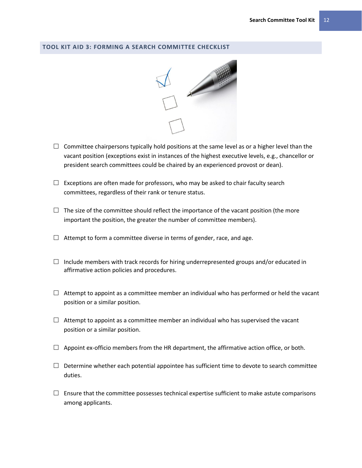# <span id="page-15-0"></span>**TOOL KIT AID 3: FORMING A SEARCH COMMITTEE CHECKLIST**



- $\Box$  Committee chairpersons typically hold positions at the same level as or a higher level than the vacant position (exceptions exist in instances of the highest executive levels, e.g., chancellor or president search committees could be chaired by an experienced provost or dean).
- $\Box$  Exceptions are often made for professors, who may be asked to chair faculty search committees, regardless of their rank or tenure status.
- $\Box$  The size of the committee should reflect the importance of the vacant position (the more important the position, the greater the number of committee members).
- $\Box$  Attempt to form a committee diverse in terms of gender, race, and age.
- $\Box$  Include members with track records for hiring underrepresented groups and/or educated in affirmative action policies and procedures.
- $\Box$  Attempt to appoint as a committee member an individual who has performed or held the vacant position or a similar position.
- $\Box$  Attempt to appoint as a committee member an individual who has supervised the vacant position or a similar position.
- $\Box$  Appoint ex-officio members from the HR department, the affirmative action office, or both.
- $\Box$  Determine whether each potential appointee has sufficient time to devote to search committee duties.
- $\Box$  Ensure that the committee possesses technical expertise sufficient to make astute comparisons among applicants.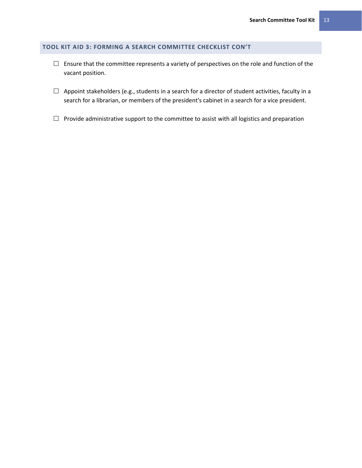# <span id="page-16-0"></span>**TOOL KIT AID 3: FORMING A SEARCH COMMITTEE CHECKLIST CON'T**

- $\Box$  Ensure that the committee represents a variety of perspectives on the role and function of the vacant position.
- $\Box$  Appoint stakeholders (e.g., students in a search for a director of student activities, faculty in a search for a librarian, or members of the president's cabinet in a search for a vice president.
- $\Box$  Provide administrative support to the committee to assist with all logistics and preparation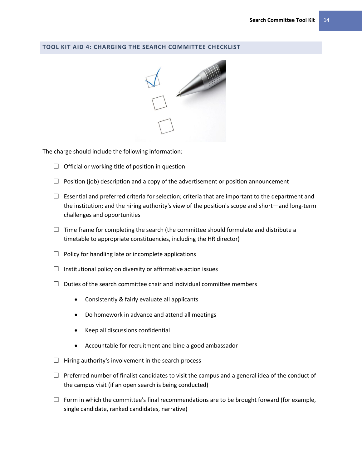# <span id="page-17-0"></span>**TOOL KIT AID 4: CHARGING THE SEARCH COMMITTEE CHECKLIST**



The charge should include the following information:

- $\Box$  Official or working title of position in question
- $\Box$  Position (job) description and a copy of the advertisement or position announcement
- $\Box$  Essential and preferred criteria for selection; criteria that are important to the department and the institution; and the hiring authority's view of the position's scope and short—and long-term challenges and opportunities
- $\Box$  Time frame for completing the search (the committee should formulate and distribute a timetable to appropriate constituencies, including the HR director)
- $\Box$  Policy for handling late or incomplete applications
- $\Box$  Institutional policy on diversity or affirmative action issues
- $\Box$  Duties of the search committee chair and individual committee members
	- Consistently & fairly evaluate all applicants
	- Do homework in advance and attend all meetings
	- Keep all discussions confidential
	- Accountable for recruitment and bine a good ambassador
- $\Box$  Hiring authority's involvement in the search process
- $\Box$  Preferred number of finalist candidates to visit the campus and a general idea of the conduct of the campus visit (if an open search is being conducted)
- $\Box$  Form in which the committee's final recommendations are to be brought forward (for example, single candidate, ranked candidates, narrative)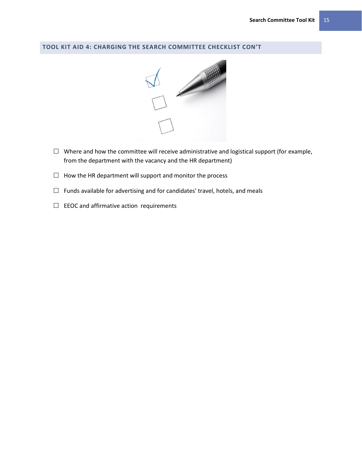# <span id="page-18-0"></span>**TOOL KIT AID 4: CHARGING THE SEARCH COMMITTEE CHECKLIST CON'T**



- $\Box$  Where and how the committee will receive administrative and logistical support (for example, from the department with the vacancy and the HR department)
- $\Box$  How the HR department will support and monitor the process
- $\Box$  Funds available for advertising and for candidates' travel, hotels, and meals
- $\Box$  EEOC and affirmative action requirements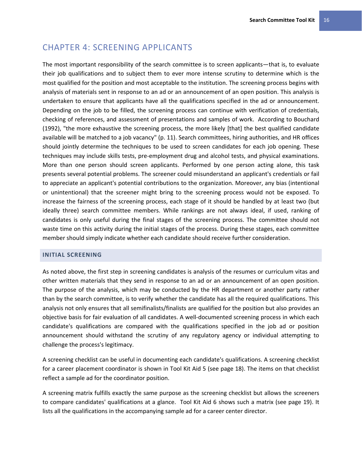# <span id="page-19-0"></span>CHAPTER 4: SCREENING APPLICANTS

The most important responsibility of the search committee is to screen applicants—that is, to evaluate their job qualifications and to subject them to ever more intense scrutiny to determine which is the most qualified for the position and most acceptable to the institution. The screening process begins with analysis of materials sent in response to an ad or an announcement of an open position. This analysis is undertaken to ensure that applicants have all the qualifications specified in the ad or announcement. Depending on the job to be filled, the screening process can continue with verification of credentials, checking of references, and assessment of presentations and samples of work. According to Bouchard (1992), "the more exhaustive the screening process, the more likely [that] the best qualified candidate available will be matched to a job vacancy" (p. 11). Search committees, hiring authorities, and HR offices should jointly determine the techniques to be used to screen candidates for each job opening. These techniques may include skills tests, pre-employment drug and alcohol tests, and physical examinations. More than one person should screen applicants. Performed by one person acting alone, this task presents several potential problems. The screener could misunderstand an applicant's credentials or fail to appreciate an applicant's potential contributions to the organization. Moreover, any bias (intentional or unintentional) that the screener might bring to the screening process would not be exposed. To increase the fairness of the screening process, each stage of it should be handled by at least two (but ideally three) search committee members. While rankings are not always ideal, if used, ranking of candidates is only useful during the final stages of the screening process. The committee should not waste time on this activity during the initial stages of the process. During these stages, each committee member should simply indicate whether each candidate should receive further consideration.

# <span id="page-19-1"></span>**INITIAL SCREENING**

As noted above, the first step in screening candidates is analysis of the resumes or curriculum vitas and other written materials that they send in response to an ad or an announcement of an open position. The purpose of the analysis, which may be conducted by the HR department or another party rather than by the search committee, is to verify whether the candidate has all the required qualifications. This analysis not only ensures that all semifinalists/finalists are qualified for the position but also provides an objective basis for fair evaluation of all candidates. A well-documented screening process in which each candidate's qualifications are compared with the qualifications specified in the job ad or position announcement should withstand the scrutiny of any regulatory agency or individual attempting to challenge the process's legitimacy.

A screening checklist can be useful in documenting each candidate's qualifications. A screening checklist for a career placement coordinator is shown in Tool Kit Aid 5 (see page [18\)](#page-21-0). The items on that checklist reflect a sample ad for the coordinator position.

A screening matrix fulfills exactly the same purpose as the screening checklist but allows the screeners to compare candidates' qualifications at a glance. Tool Kit Aid 6 shows such a matrix (see page [19\)](#page-22-0). It lists all the qualifications in the accompanying sample ad for a career center director.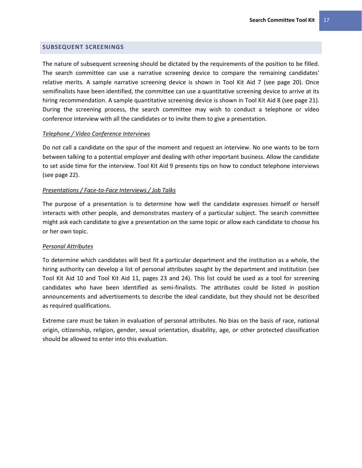#### <span id="page-20-0"></span>**SUBSEQUENT SCREENINGS**

The nature of subsequent screening should be dictated by the requirements of the position to be filled. The search committee can use a narrative screening device to compare the remaining candidates' relative merits. A sample narrative screening device is shown in Tool Kit Aid 7 (see page [20\)](#page-23-0). Once semifinalists have been identified, the committee can use a quantitative screening device to arrive at its hiring recommendation. A sample quantitative screening device is shown in Tool Kit Aid 8 (see page [21\)](#page-24-0). During the screening process, the search committee may wish to conduct a telephone or video conference interview with all the candidates or to invite them to give a presentation.

#### <span id="page-20-1"></span>*Telephone / Video Conference Interviews*

Do not call a candidate on the spur of the moment and request an interview. No one wants to be torn between talking to a potential employer and dealing with other important business. Allow the candidate to set aside time for the interview. Tool Kit Aid 9 presents tips on how to conduct telephone interviews (see page [22\)](#page-25-0).

#### <span id="page-20-2"></span>*Presentations / Face-to-Face Interviews / Job Talks*

The purpose of a presentation is to determine how well the candidate expresses himself or herself interacts with other people, and demonstrates mastery of a particular subject. The search committee might ask each candidate to give a presentation on the same topic or allow each candidate to choose his or her own topic.

#### <span id="page-20-3"></span>*Personal Attributes*

To determine which candidates will best fit a particular department and the institution as a whole, the hiring authority can develop a list of personal attributes sought by the department and institution (see Tool Kit Aid 10 and Tool Kit Aid 11, pages [23](#page-26-0) and [24\)](#page-27-0). This list could be used as a tool for screening candidates who have been identified as semi-finalists. The attributes could be listed in position announcements and advertisements to describe the ideal candidate, but they should not be described as required qualifications.

Extreme care must be taken in evaluation of personal attributes. No bias on the basis of race, national origin, citizenship, religion, gender, sexual orientation, disability, age, or other protected classification should be allowed to enter into this evaluation.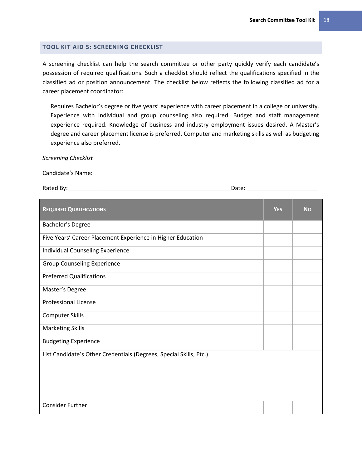# <span id="page-21-0"></span>**TOOL KIT AID 5: SCREENING CHECKLIST**

A screening checklist can help the search committee or other party quickly verify each candidate's possession of required qualifications. Such a checklist should reflect the qualifications specified in the classified ad or position announcement. The checklist below reflects the following classified ad for a career placement coordinator:

Requires Bachelor's degree or five years' experience with career placement in a college or university. Experience with individual and group counseling also required. Budget and staff management experience required. Knowledge of business and industry employment issues desired. A Master's degree and career placement license is preferred. Computer and marketing skills as well as budgeting experience also preferred.

#### *Screening Checklist*

Candidate's Name: \_\_\_\_\_\_\_\_\_\_\_\_\_\_\_\_\_\_\_\_\_\_\_\_\_\_\_\_\_\_\_\_\_\_\_\_\_\_\_\_\_\_\_\_\_\_\_\_\_\_\_\_\_\_\_\_\_\_\_\_\_\_\_\_\_\_\_\_\_

Rated By: \_\_\_\_\_\_\_\_\_\_\_\_\_\_\_\_\_\_\_\_\_\_\_\_\_\_\_\_\_\_\_\_\_\_\_\_\_\_\_\_\_\_\_\_\_\_\_\_\_\_Date: \_\_\_\_\_\_\_\_\_\_\_\_\_\_\_\_\_\_\_\_\_\_

| <b>REQUIRED QUALIFICATIONS</b>                                     | <b>YES</b> | <b>No</b> |  |  |
|--------------------------------------------------------------------|------------|-----------|--|--|
| Bachelor's Degree                                                  |            |           |  |  |
| Five Years' Career Placement Experience in Higher Education        |            |           |  |  |
| Individual Counseling Experience                                   |            |           |  |  |
| <b>Group Counseling Experience</b>                                 |            |           |  |  |
| <b>Preferred Qualifications</b>                                    |            |           |  |  |
| Master's Degree                                                    |            |           |  |  |
| <b>Professional License</b>                                        |            |           |  |  |
| <b>Computer Skills</b>                                             |            |           |  |  |
| <b>Marketing Skills</b>                                            |            |           |  |  |
| <b>Budgeting Experience</b>                                        |            |           |  |  |
| List Candidate's Other Credentials (Degrees, Special Skills, Etc.) |            |           |  |  |
|                                                                    |            |           |  |  |
|                                                                    |            |           |  |  |
|                                                                    |            |           |  |  |
| <b>Consider Further</b>                                            |            |           |  |  |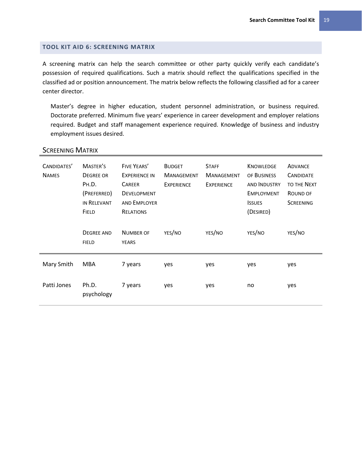# <span id="page-22-0"></span>**TOOL KIT AID 6: SCREENING MATRIX**

A screening matrix can help the search committee or other party quickly verify each candidate's possession of required qualifications. Such a matrix should reflect the qualifications specified in the classified ad or position announcement. The matrix below reflects the following classified ad for a career center director.

Master's degree in higher education, student personnel administration, or business required. Doctorate preferred. Minimum five years' experience in career development and employer relations required. Budget and staff management experience required. Knowledge of business and industry employment issues desired.

| CANDIDATES'<br><b>NAMES</b> | MASTER'S<br><b>DEGREE OR</b><br>PH.D.<br>(PREFERRED)<br>IN RELEVANT<br><b>FIELD</b> | FIVE YEARS'<br><b>EXPERIENCE IN</b><br><b>CAREER</b><br><b>DEVELOPMENT</b><br><b>AND EMPLOYER</b><br><b>RELATIONS</b> | <b>BUDGET</b><br><b>MANAGEMENT</b><br><b>EXPERIENCE</b> | <b>STAFF</b><br><b>MANAGEMENT</b><br><b>EXPERIENCE</b> | <b>KNOWLEDGE</b><br>OF BUSINESS<br><b>AND INDUSTRY</b><br><b>EMPLOYMENT</b><br><b>ISSUES</b><br>(DESIRED) | <b>ADVANCE</b><br><b>CANDIDATE</b><br><b>TO THE NEXT</b><br>ROUND OF<br><b>SCREENING</b> |
|-----------------------------|-------------------------------------------------------------------------------------|-----------------------------------------------------------------------------------------------------------------------|---------------------------------------------------------|--------------------------------------------------------|-----------------------------------------------------------------------------------------------------------|------------------------------------------------------------------------------------------|
|                             | <b>DEGREE AND</b><br><b>FIELD</b>                                                   | <b>NUMBER OF</b><br><b>YEARS</b>                                                                                      | YES/NO                                                  | YES/NO                                                 | YES/NO                                                                                                    | YES/NO                                                                                   |
| Mary Smith                  | MBA                                                                                 | 7 years                                                                                                               | yes                                                     | yes                                                    | yes                                                                                                       | yes                                                                                      |
| Patti Jones                 | Ph.D.<br>psychology                                                                 | 7 years                                                                                                               | yes                                                     | yes                                                    | no                                                                                                        | yes                                                                                      |

# **SCREENING MATRIX**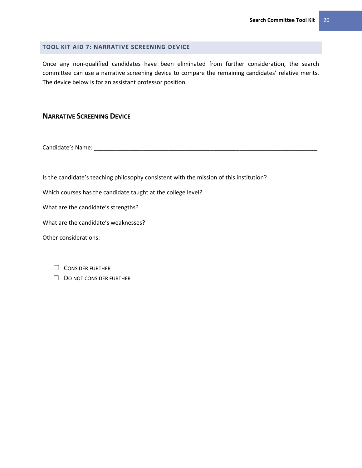# <span id="page-23-0"></span>**TOOL KIT AID 7: NARRATIVE SCREENING DEVICE**

Once any non-qualified candidates have been eliminated from further consideration, the search committee can use a narrative screening device to compare the remaining candidates' relative merits. The device below is for an assistant professor position.

# **NARRATIVE SCREENING DEVICE**

Candidate's Name: \_\_\_\_\_\_\_\_\_\_\_\_\_\_\_\_\_\_\_\_\_\_\_\_\_\_\_\_\_\_\_\_\_\_\_\_\_\_\_\_\_\_\_\_\_\_\_\_\_\_\_\_\_\_\_\_\_\_\_\_\_\_\_\_\_\_\_\_\_

Is the candidate's teaching philosophy consistent with the mission of this institution?

Which courses has the candidate taught at the college level?

What are the candidate's strengths?

What are the candidate's weaknesses?

Other considerations:

| $\Box$ CONSIDER FURTHER |  |
|-------------------------|--|
|-------------------------|--|

 $\Box$  DO NOT CONSIDER FURTHER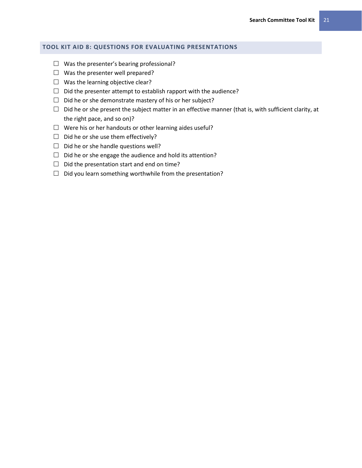# <span id="page-24-0"></span>**TOOL KIT AID 8: QUESTIONS FOR EVALUATING PRESENTATIONS**

- $\Box$  Was the presenter's bearing professional?
- $\Box$  Was the presenter well prepared?
- $\Box$  Was the learning objective clear?
- $\Box$  Did the presenter attempt to establish rapport with the audience?
- $\Box$  Did he or she demonstrate mastery of his or her subject?
- $\Box$  Did he or she present the subject matter in an effective manner (that is, with sufficient clarity, at the right pace, and so on)?
- $\Box$  Were his or her handouts or other learning aides useful?
- $\Box$  Did he or she use them effectively?
- $\Box$  Did he or she handle questions well?
- $\Box$  Did he or she engage the audience and hold its attention?
- $\Box$  Did the presentation start and end on time?
- $\Box$  Did you learn something worthwhile from the presentation?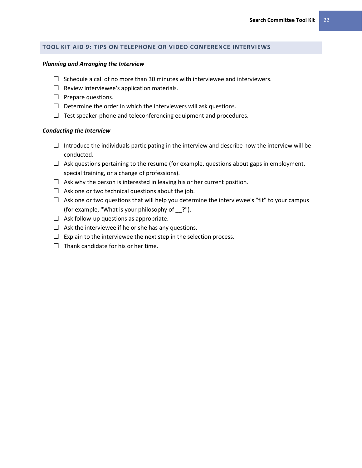# <span id="page-25-0"></span>**TOOL KIT AID 9: TIPS ON TELEPHONE OR VIDEO CONFERENCE INTERVIEWS**

#### *Planning and Arranging the Interview*

- $\Box$  Schedule a call of no more than 30 minutes with interviewee and interviewers.
- $\Box$  Review interviewee's application materials.
- $\Box$  Prepare questions.
- $\Box$  Determine the order in which the interviewers will ask questions.
- $\Box$  Test speaker-phone and teleconferencing equipment and procedures.

# *Conducting the Interview*

- $\Box$  Introduce the individuals participating in the interview and describe how the interview will be conducted.
- $\Box$  Ask questions pertaining to the resume (for example, questions about gaps in employment, special training, or a change of professions).
- $\Box$  Ask why the person is interested in leaving his or her current position.
- $\Box$  Ask one or two technical questions about the job.
- $\Box$  Ask one or two questions that will help you determine the interviewee's "fit" to your campus (for example, "What is your philosophy of \_\_?").
- $\Box$  Ask follow-up questions as appropriate.
- $\Box$  Ask the interviewee if he or she has any questions.
- $\Box$  Explain to the interviewee the next step in the selection process.
- $\Box$  Thank candidate for his or her time.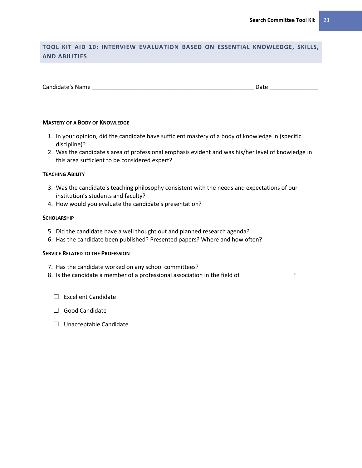# <span id="page-26-0"></span>**TOOL KIT AID 10: INTERVIEW EVALUATION BASED ON ESSENTIAL KNOWLEDGE, SKILLS, AND ABILITIES**

| Candidate's Name<br>Date |  |
|--------------------------|--|
|--------------------------|--|

#### **MASTERY OF A BODY OF KNOWLEDGE**

- 1. In your opinion, did the candidate have sufficient mastery of a body of knowledge in (specific discipline)?
- 2. Was the candidate's area of professional emphasis evident and was his/her level of knowledge in this area sufficient to be considered expert?

#### **TEACHING ABILITY**

- 3. Was the candidate's teaching philosophy consistent with the needs and expectations of our institution's students and faculty?
- 4. How would you evaluate the candidate's presentation?

#### **SCHOLARSHIP**

- 5. Did the candidate have a well thought out and planned research agenda?
- 6. Has the candidate been published? Presented papers? Where and how often?

# **SERVICE RELATED TO THE PROFESSION**

- 7. Has the candidate worked on any school committees?
- 8. Is the candidate a member of a professional association in the field of \_\_\_\_\_\_\_\_\_\_\_\_\_\_?
	- $\square$  Excellent Candidate
	- □ Good Candidate
	- $\Box$  Unacceptable Candidate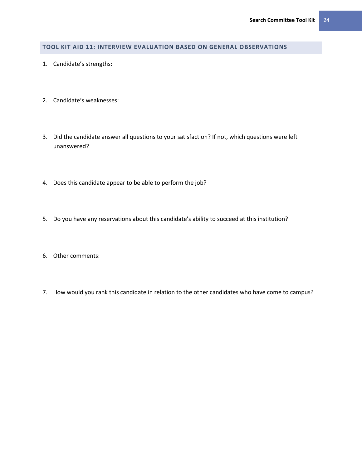# <span id="page-27-0"></span>**TOOL KIT AID 11: INTERVIEW EVALUATION BASED ON GENERAL OBSERVATIONS**

- 1. Candidate's strengths:
- 2. Candidate's weaknesses:
- 3. Did the candidate answer all questions to your satisfaction? If not, which questions were left unanswered?
- 4. Does this candidate appear to be able to perform the job?
- 5. Do you have any reservations about this candidate's ability to succeed at this institution?
- 6. Other comments:
- 7. How would you rank this candidate in relation to the other candidates who have come to campus?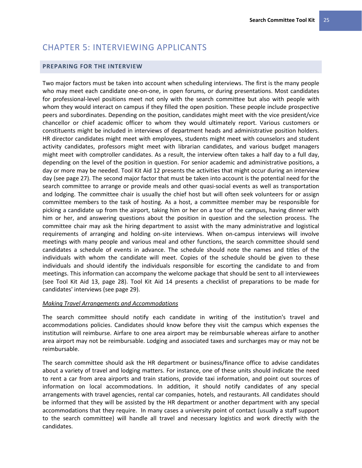# <span id="page-28-0"></span>CHAPTER 5: INTERVIEWING APPLICANTS

# <span id="page-28-1"></span>**PREPARING FOR THE INTERVIEW**

Two major factors must be taken into account when scheduling interviews. The first is the many people who may meet each candidate one-on-one, in open forums, or during presentations. Most candidates for professional-level positions meet not only with the search committee but also with people with whom they would interact on campus if they filled the open position. These people include prospective peers and subordinates. Depending on the position, candidates might meet with the vice president/vice chancellor or chief academic officer to whom they would ultimately report. Various customers or constituents might be included in interviews of department heads and administrative position holders. HR director candidates might meet with employees, students might meet with counselors and student activity candidates, professors might meet with librarian candidates, and various budget managers might meet with comptroller candidates. As a result, the interview often takes a half day to a full day, depending on the level of the position in question. For senior academic and administrative positions, a day or more may be needed. Tool Kit Aid 12 presents the activities that might occur during an interview day (see page [27\)](#page-30-0). The second major factor that must be taken into account is the potential need for the search committee to arrange or provide meals and other quasi-social events as well as transportation and lodging. The committee chair is usually the chief host but will often seek volunteers for or assign committee members to the task of hosting. As a host, a committee member may be responsible for picking a candidate up from the airport, taking him or her on a tour of the campus, having dinner with him or her, and answering questions about the position in question and the selection process. The committee chair may ask the hiring department to assist with the many administrative and logistical requirements of arranging and holding on-site interviews. When on-campus interviews will involve meetings with many people and various meal and other functions, the search committee should send candidates a schedule of events in advance. The schedule should note the names and titles of the individuals with whom the candidate will meet. Copies of the schedule should be given to these individuals and should identify the individuals responsible for escorting the candidate to and from meetings. This information can accompany the welcome package that should be sent to all interviewees (see Tool Kit Aid 13, page 28). Tool Kit Aid 14 presents a checklist of preparations to be made for candidates' interviews (see page [29\)](#page-32-0).

#### <span id="page-28-2"></span>*Making Travel Arrangements and Accommodations*

The search committee should notify each candidate in writing of the institution's travel and accommodations policies. Candidates should know before they visit the campus which expenses the institution will reimburse. Airfare to one area airport may be reimbursable whereas airfare to another area airport may not be reimbursable. Lodging and associated taxes and surcharges may or may not be reimbursable.

The search committee should ask the HR department or business/finance office to advise candidates about a variety of travel and lodging matters. For instance, one of these units should indicate the need to rent a car from area airports and train stations, provide taxi information, and point out sources of information on local accommodations. In addition, it should notify candidates of any special arrangements with travel agencies, rental car companies, hotels, and restaurants. All candidates should be informed that they will be assisted by the HR department or another department with any special accommodations that they require. In many cases a university point of contact (usually a staff support to the search committee) will handle all travel and necessary logistics and work directly with the candidates.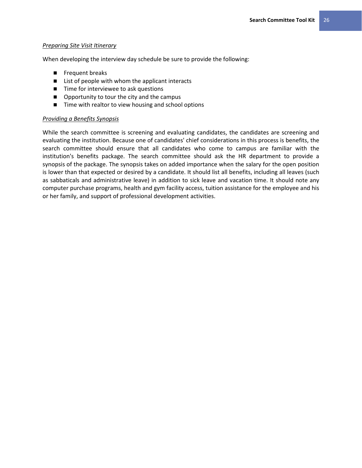## <span id="page-29-0"></span>*Preparing Site Visit Itinerary*

When developing the interview day schedule be sure to provide the following:

- **Filter** Frequent breaks
- List of people with whom the applicant interacts
- Time for interviewee to ask questions
- Opportunity to tour the city and the campus
- Time with realtor to view housing and school options

# <span id="page-29-1"></span>*Providing a Benefits Synopsis*

While the search committee is screening and evaluating candidates, the candidates are screening and evaluating the institution. Because one of candidates' chief considerations in this process is benefits, the search committee should ensure that all candidates who come to campus are familiar with the institution's benefits package. The search committee should ask the HR department to provide a synopsis of the package. The synopsis takes on added importance when the salary for the open position is lower than that expected or desired by a candidate. It should list all benefits, including all leaves (such as sabbaticals and administrative leave) in addition to sick leave and vacation time. It should note any computer purchase programs, health and gym facility access, tuition assistance for the employee and his or her family, and support of professional development activities.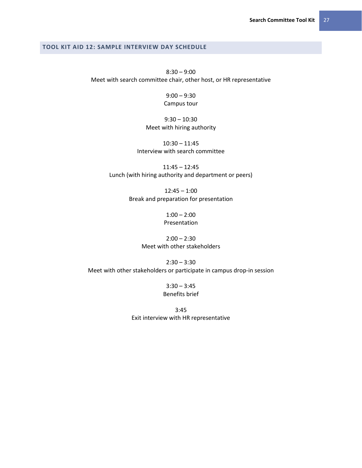# <span id="page-30-0"></span>**TOOL KIT AID 12: SAMPLE INTERVIEW DAY SCHEDULE**

8:30 – 9:00 Meet with search committee chair, other host, or HR representative

> 9:00 – 9:30 Campus tour

# 9:30 – 10:30 Meet with hiring authority

10:30 – 11:45 Interview with search committee

11:45 – 12:45 Lunch (with hiring authority and department or peers)

> 12:45 – 1:00 Break and preparation for presentation

> > $1:00 - 2:00$ Presentation

# $2:00 - 2:30$ Meet with other stakeholders

 $2:30 - 3:30$ Meet with other stakeholders or participate in campus drop-in session

> $3:30 - 3:45$ Benefits brief

3:45 Exit interview with HR representative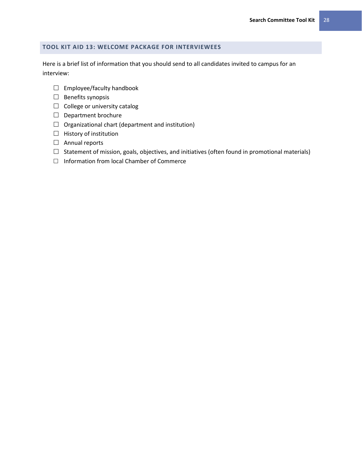# <span id="page-31-0"></span>**TOOL KIT AID 13: WELCOME PACKAGE FOR INTERVIEWEES**

Here is a brief list of information that you should send to all candidates invited to campus for an interview:

- $\Box$  Employee/faculty handbook
- $\Box$  Benefits synopsis
- $\Box$  College or university catalog
- $\Box$  Department brochure
- $\Box$  Organizational chart (department and institution)
- $\Box$  History of institution
- Annual reports
- $\Box$  Statement of mission, goals, objectives, and initiatives (often found in promotional materials)
- $\Box$  Information from local Chamber of Commerce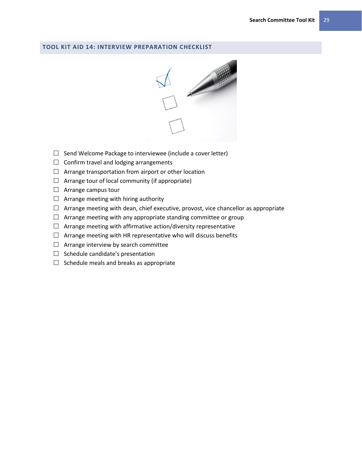#### <span id="page-32-0"></span>**TOOL KIT AID 14: INTERVIEW PREPARATION CHECKLIST**



- $\Box$  Send Welcome Package to interviewee (include a cover letter)
- $\Box$  Confirm travel and lodging arrangements
- $\Box$  Arrange transportation from airport or other location
- $\Box$  Arrange tour of local community (if appropriate)
- $\Box$  Arrange campus tour
- $\Box$  Arrange meeting with hiring authority
- $\Box$  Arrange meeting with dean, chief executive, provost, vice chancellor as appropriate
- $\Box$  Arrange meeting with any appropriate standing committee or group
- $\Box$  Arrange meeting with affirmative action/diversity representative
- $\Box$  Arrange meeting with HR representative who will discuss benefits
- $\Box$  Arrange interview by search committee
- $\Box$  Schedule candidate's presentation
- $\Box$  Schedule meals and breaks as appropriate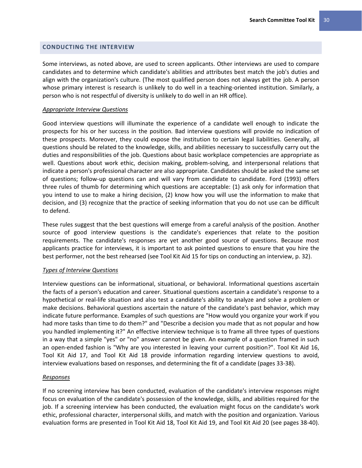# <span id="page-33-0"></span>**CONDUCTING THE INTERVIEW**

Some interviews, as noted above, are used to screen applicants. Other interviews are used to compare candidates and to determine which candidate's abilities and attributes best match the job's duties and align with the organization's culture. (The most qualified person does not always get the job. A person whose primary interest is research is unlikely to do well in a teaching-oriented institution. Similarly, a person who is not respectful of diversity is unlikely to do well in an HR office).

#### <span id="page-33-1"></span>*Appropriate Interview Questions*

Good interview questions will illuminate the experience of a candidate well enough to indicate the prospects for his or her success in the position. Bad interview questions will provide no indication of these prospects. Moreover, they could expose the institution to certain legal liabilities. Generally, all questions should be related to the knowledge, skills, and abilities necessary to successfully carry out the duties and responsibilities of the job. Questions about basic workplace competencies are appropriate as well. Questions about work ethic, decision making, problem-solving, and interpersonal relations that indicate a person's professional character are also appropriate. Candidates should be asked the same set of questions; follow-up questions can and will vary from candidate to candidate. Ford (1993) offers three rules of thumb for determining which questions are acceptable: (1) ask only for information that you intend to use to make a hiring decision, (2) know how you will use the information to make that decision, and (3) recognize that the practice of seeking information that you do not use can be difficult to defend.

These rules suggest that the best questions will emerge from a careful analysis of the position. Another source of good interview questions is the candidate's experiences that relate to the position requirements. The candidate's responses are yet another good source of questions. Because most applicants practice for interviews, it is important to ask pointed questions to ensure that you hire the best performer, not the best rehearsed (see Tool Kit Aid 15 for tips on conducting an interview, p[. 32\)](#page-35-0).

#### <span id="page-33-2"></span>*Types of Interview Questions*

Interview questions can be informational, situational, or behavioral. Informational questions ascertain the facts of a person's education and career. Situational questions ascertain a candidate's response to a hypothetical or real-life situation and also test a candidate's ability to analyze and solve a problem or make decisions. Behavioral questions ascertain the nature of the candidate's past behavior, which may indicate future performance. Examples of such questions are "How would you organize your work if you had more tasks than time to do them?" and "Describe a decision you made that as not popular and how you handled implementing it?" An effective interview technique is to frame all three types of questions in a way that a simple "yes" or "no" answer cannot be given. An example of a question framed in such an open-ended fashion is "Why are you interested in leaving your current position?". Tool Kit Aid 16, Tool Kit Aid 17, and Tool Kit Aid 18 provide information regarding interview questions to avoid, interview evaluations based on responses, and determining the fit of a candidate (pages 33-38).

#### <span id="page-33-3"></span>*Responses*

If no screening interview has been conducted, evaluation of the candidate's interview responses might focus on evaluation of the candidate's possession of the knowledge, skills, and abilities required for the job. If a screening interview has been conducted, the evaluation might focus on the candidate's work ethic, professional character, interpersonal skills, and match with the position and organization. Various evaluation forms are presented in Tool Kit Aid 18, Tool Kit Aid 19, and Tool Kit Aid 20 (see pages 38-40).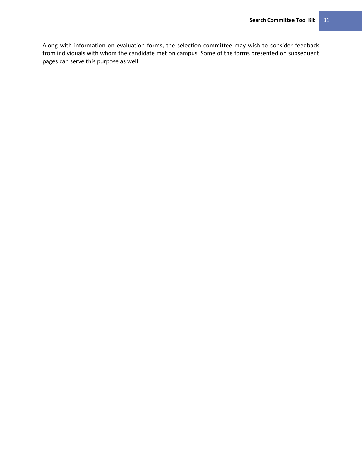Along with information on evaluation forms, the selection committee may wish to consider feedback from individuals with whom the candidate met on campus. Some of the forms presented on subsequent pages can serve this purpose as well.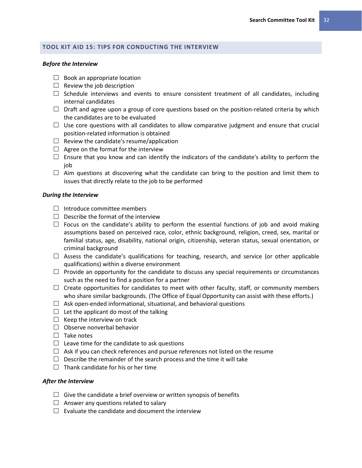# <span id="page-35-0"></span>**TOOL KIT AID 15: TIPS FOR CONDUCTING THE INTERVIEW**

#### *Before the Interview*

- $\Box$  Book an appropriate location
- $\Box$  Review the job description
- $\Box$  Schedule interviews and events to ensure consistent treatment of all candidates, including internal candidates
- $\Box$  Draft and agree upon a group of core questions based on the position-related criteria by which the candidates are to be evaluated
- $\Box$  Use core questions with all candidates to allow comparative judgment and ensure that crucial position-related information is obtained
- $\Box$  Review the candidate's resume/application
- $\Box$  Agree on the format for the interview
- $\Box$  Ensure that you know and can identify the indicators of the candidate's ability to perform the job
- $\Box$  Aim questions at discovering what the candidate can bring to the position and limit them to issues that directly relate to the job to be performed

#### *During the Interview*

- $\Box$  Introduce committee members
- $\Box$  Describe the format of the interview
- $\Box$  Focus on the candidate's ability to perform the essential functions of job and avoid making assumptions based on perceived race, color, ethnic background, religion, creed, sex, marital or familial status, age, disability, national origin, citizenship, veteran status, sexual orientation, or criminal background
- $\Box$  Assess the candidate's qualifications for teaching, research, and service (or other applicable qualifications) within a diverse environment
- $\Box$  Provide an opportunity for the candidate to discuss any special requirements or circumstances such as the need to find a position for a partner
- $\Box$  Create opportunities for candidates to meet with other faculty, staff, or community members who share similar backgrounds. (The Office of Equal Opportunity can assist with these efforts.)
- $\Box$  Ask open-ended informational, situational, and behavioral questions
- $\Box$  Let the applicant do most of the talking
- $\Box$  Keep the interview on track
- $\Box$  Observe nonverbal behavior
- $\Box$  Take notes
- $\Box$  Leave time for the candidate to ask questions
- $\Box$  Ask if you can check references and pursue references not listed on the resume
- $\Box$  Describe the remainder of the search process and the time it will take
- $\Box$  Thank candidate for his or her time

#### *After the Interview*

- $\Box$  Give the candidate a brief overview or written synopsis of benefits
- $\Box$  Answer any questions related to salary
- $\Box$  Evaluate the candidate and document the interview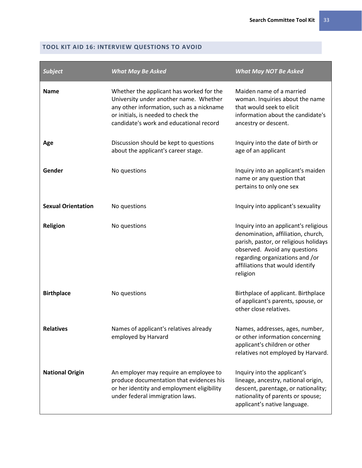## **TOOL KIT AID 16: INTERVIEW QUESTIONS TO AVOID**

| <b>Subject</b>            | <b>What May Be Asked</b>                                                                                                                                                                                          | <b>What May NOT Be Asked</b>                                                                                                                                                                                                             |
|---------------------------|-------------------------------------------------------------------------------------------------------------------------------------------------------------------------------------------------------------------|------------------------------------------------------------------------------------------------------------------------------------------------------------------------------------------------------------------------------------------|
| <b>Name</b>               | Whether the applicant has worked for the<br>University under another name. Whether<br>any other information, such as a nickname<br>or initials, is needed to check the<br>candidate's work and educational record | Maiden name of a married<br>woman. Inquiries about the name<br>that would seek to elicit<br>information about the candidate's<br>ancestry or descent.                                                                                    |
| Age                       | Discussion should be kept to questions<br>about the applicant's career stage.                                                                                                                                     | Inquiry into the date of birth or<br>age of an applicant                                                                                                                                                                                 |
| Gender                    | No questions                                                                                                                                                                                                      | Inquiry into an applicant's maiden<br>name or any question that<br>pertains to only one sex                                                                                                                                              |
| <b>Sexual Orientation</b> | No questions                                                                                                                                                                                                      | Inquiry into applicant's sexuality                                                                                                                                                                                                       |
| <b>Religion</b>           | No questions                                                                                                                                                                                                      | Inquiry into an applicant's religious<br>denomination, affiliation, church,<br>parish, pastor, or religious holidays<br>observed. Avoid any questions<br>regarding organizations and /or<br>affiliations that would identify<br>religion |
| <b>Birthplace</b>         | No questions                                                                                                                                                                                                      | Birthplace of applicant. Birthplace<br>of applicant's parents, spouse, or<br>other close relatives.                                                                                                                                      |
| <b>Relatives</b>          | Names of applicant's relatives already<br>employed by Harvard                                                                                                                                                     | Names, addresses, ages, number,<br>or other information concerning<br>applicant's children or other<br>relatives not employed by Harvard.                                                                                                |
| <b>National Origin</b>    | An employer may require an employee to<br>produce documentation that evidences his<br>or her identity and employment eligibility<br>under federal immigration laws.                                               | Inquiry into the applicant's<br>lineage, ancestry, national origin,<br>descent, parentage, or nationality;<br>nationality of parents or spouse;<br>applicant's native language.                                                          |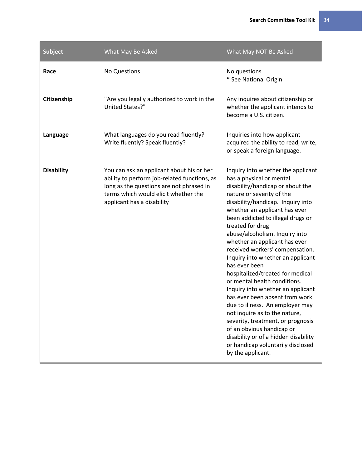| <b>Subject</b>    | What May Be Asked                                                                                                                                                                                           | What May NOT Be Asked                                                                                                                                                                                                                                                                                                                                                                                                                                                                                                                                                                                                                                                                                                                                                                                         |
|-------------------|-------------------------------------------------------------------------------------------------------------------------------------------------------------------------------------------------------------|---------------------------------------------------------------------------------------------------------------------------------------------------------------------------------------------------------------------------------------------------------------------------------------------------------------------------------------------------------------------------------------------------------------------------------------------------------------------------------------------------------------------------------------------------------------------------------------------------------------------------------------------------------------------------------------------------------------------------------------------------------------------------------------------------------------|
| Race              | No Questions                                                                                                                                                                                                | No questions<br>* See National Origin                                                                                                                                                                                                                                                                                                                                                                                                                                                                                                                                                                                                                                                                                                                                                                         |
| Citizenship       | "Are you legally authorized to work in the<br>United States?"                                                                                                                                               | Any inquires about citizenship or<br>whether the applicant intends to<br>become a U.S. citizen.                                                                                                                                                                                                                                                                                                                                                                                                                                                                                                                                                                                                                                                                                                               |
| Language          | What languages do you read fluently?<br>Write fluently? Speak fluently?                                                                                                                                     | Inquiries into how applicant<br>acquired the ability to read, write,<br>or speak a foreign language.                                                                                                                                                                                                                                                                                                                                                                                                                                                                                                                                                                                                                                                                                                          |
| <b>Disability</b> | You can ask an applicant about his or her<br>ability to perform job-related functions, as<br>long as the questions are not phrased in<br>terms which would elicit whether the<br>applicant has a disability | Inquiry into whether the applicant<br>has a physical or mental<br>disability/handicap or about the<br>nature or severity of the<br>disability/handicap. Inquiry into<br>whether an applicant has ever<br>been addicted to illegal drugs or<br>treated for drug<br>abuse/alcoholism. Inquiry into<br>whether an applicant has ever<br>received workers' compensation.<br>Inquiry into whether an applicant<br>has ever been<br>hospitalized/treated for medical<br>or mental health conditions.<br>Inquiry into whether an applicant<br>has ever been absent from work<br>due to illness. An employer may<br>not inquire as to the nature,<br>severity, treatment, or prognosis<br>of an obvious handicap or<br>disability or of a hidden disability<br>or handicap voluntarily disclosed<br>by the applicant. |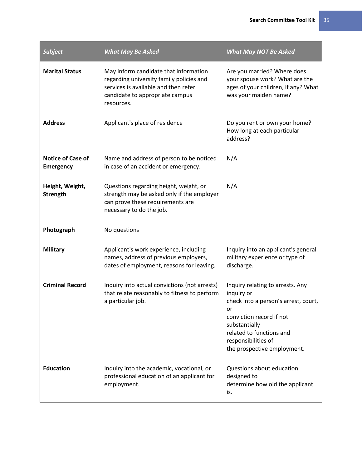| <b>Subject</b>                               | <b>What May Be Asked</b>                                                                                                                                                   | <b>What May NOT Be Asked</b>                                                                                                                                                                                                |
|----------------------------------------------|----------------------------------------------------------------------------------------------------------------------------------------------------------------------------|-----------------------------------------------------------------------------------------------------------------------------------------------------------------------------------------------------------------------------|
| <b>Marital Status</b>                        | May inform candidate that information<br>regarding university family policies and<br>services is available and then refer<br>candidate to appropriate campus<br>resources. | Are you married? Where does<br>your spouse work? What are the<br>ages of your children, if any? What<br>was your maiden name?                                                                                               |
| <b>Address</b>                               | Applicant's place of residence                                                                                                                                             | Do you rent or own your home?<br>How long at each particular<br>address?                                                                                                                                                    |
| <b>Notice of Case of</b><br><b>Emergency</b> | Name and address of person to be noticed<br>in case of an accident or emergency.                                                                                           | N/A                                                                                                                                                                                                                         |
| Height, Weight,<br><b>Strength</b>           | Questions regarding height, weight, or<br>strength may be asked only if the employer<br>can prove these requirements are<br>necessary to do the job.                       | N/A                                                                                                                                                                                                                         |
| Photograph                                   | No questions                                                                                                                                                               |                                                                                                                                                                                                                             |
| <b>Military</b>                              | Applicant's work experience, including<br>names, address of previous employers,<br>dates of employment, reasons for leaving.                                               | Inquiry into an applicant's general<br>military experience or type of<br>discharge.                                                                                                                                         |
| <b>Criminal Record</b>                       | Inquiry into actual convictions (not arrests)<br>that relate reasonably to fitness to perform<br>a particular job.                                                         | Inquiry relating to arrests. Any<br>inquiry or<br>check into a person's arrest, court,<br>or<br>conviction record if not<br>substantially<br>related to functions and<br>responsibilities of<br>the prospective employment. |
| <b>Education</b>                             | Inquiry into the academic, vocational, or<br>professional education of an applicant for<br>employment.                                                                     | Questions about education<br>designed to<br>determine how old the applicant<br>is.                                                                                                                                          |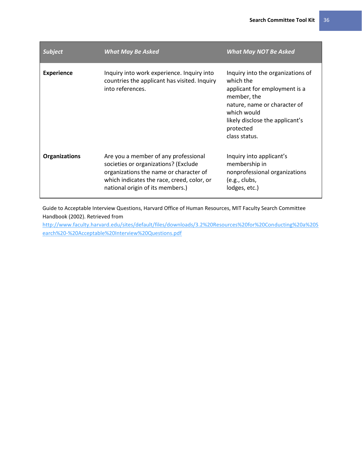| <b>Subject</b>       | <b>What May Be Asked</b>                                                                                                                                                                                 | <b>What May NOT Be Asked</b>                                                                                                                                                                                   |
|----------------------|----------------------------------------------------------------------------------------------------------------------------------------------------------------------------------------------------------|----------------------------------------------------------------------------------------------------------------------------------------------------------------------------------------------------------------|
| <b>Experience</b>    | Inquiry into work experience. Inquiry into<br>countries the applicant has visited. Inquiry<br>into references.                                                                                           | Inquiry into the organizations of<br>which the<br>applicant for employment is a<br>member, the<br>nature, name or character of<br>which would<br>likely disclose the applicant's<br>protected<br>class status. |
| <b>Organizations</b> | Are you a member of any professional<br>societies or organizations? (Exclude<br>organizations the name or character of<br>which indicates the race, creed, color, or<br>national origin of its members.) | Inquiry into applicant's<br>membership in<br>nonprofessional organizations<br>(e.g., clubs,<br>lodges, etc.)                                                                                                   |

Guide to Acceptable Interview Questions, Harvard Office of Human Resources, MIT Faculty Search Committee Handbook (2002). Retrieved from

[http://www.faculty.harvard.edu/sites/default/files/downloads/3.2%20Resources%20for%20Conducting%20a%20S](http://www.faculty.harvard.edu/sites/default/files/downloads/3.2%20Resources%20for%20Conducting%20a%20Search%20-%20Acceptable%20Interview%20Questions.pdf) [earch%20-%20Acceptable%20Interview%20Questions.pdf](http://www.faculty.harvard.edu/sites/default/files/downloads/3.2%20Resources%20for%20Conducting%20a%20Search%20-%20Acceptable%20Interview%20Questions.pdf)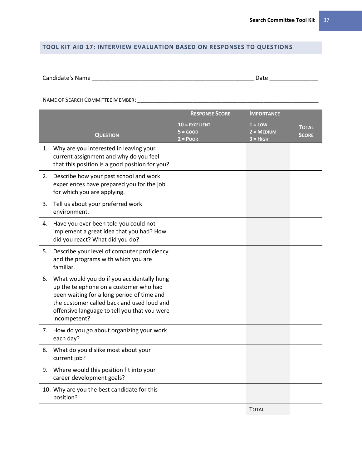## **TOOL KIT AID 17: INTERVIEW EVALUATION BASED ON RESPONSES TO QUESTIONS**

| Candidate's Name | Date |  |
|------------------|------|--|
|                  |      |  |

NAME OF SEARCH COMMITTEE MEMBER: \_\_\_\_\_\_\_\_\_\_\_\_\_\_\_\_\_\_\_\_\_\_\_\_\_\_\_\_\_\_\_\_\_\_\_\_\_\_\_\_\_\_\_\_\_\_\_\_\_\_\_\_\_\_\_\_

|    |                                                                                                                                                                                                                                                  | <b>RESPONSE SCORE</b>                         | <b>IMPORTANCE</b>                                    |                              |
|----|--------------------------------------------------------------------------------------------------------------------------------------------------------------------------------------------------------------------------------------------------|-----------------------------------------------|------------------------------------------------------|------------------------------|
|    | <b>QUESTION</b>                                                                                                                                                                                                                                  | $10$ = EXCELLENT<br>$5 = GOOD$<br>$2 = P$ OOR | $1 =$ Low<br>$2 = \text{MEDIUM}$<br>$3 = H \cdot GH$ | <b>TOTAL</b><br><b>SCORE</b> |
|    | 1. Why are you interested in leaving your<br>current assignment and why do you feel<br>that this position is a good position for you?                                                                                                            |                                               |                                                      |                              |
| 2. | Describe how your past school and work<br>experiences have prepared you for the job<br>for which you are applying.                                                                                                                               |                                               |                                                      |                              |
| 3. | Tell us about your preferred work<br>environment.                                                                                                                                                                                                |                                               |                                                      |                              |
| 4. | Have you ever been told you could not<br>implement a great idea that you had? How<br>did you react? What did you do?                                                                                                                             |                                               |                                                      |                              |
| 5. | Describe your level of computer proficiency<br>and the programs with which you are<br>familiar.                                                                                                                                                  |                                               |                                                      |                              |
| 6. | What would you do if you accidentally hung<br>up the telephone on a customer who had<br>been waiting for a long period of time and<br>the customer called back and used loud and<br>offensive language to tell you that you were<br>incompetent? |                                               |                                                      |                              |
| 7. | How do you go about organizing your work<br>each day?                                                                                                                                                                                            |                                               |                                                      |                              |
| 8. | What do you dislike most about your<br>current job?                                                                                                                                                                                              |                                               |                                                      |                              |
| 9. | Where would this position fit into your<br>career development goals?                                                                                                                                                                             |                                               |                                                      |                              |
|    | 10. Why are you the best candidate for this<br>position?                                                                                                                                                                                         |                                               |                                                      |                              |
|    |                                                                                                                                                                                                                                                  |                                               | <b>TOTAL</b>                                         |                              |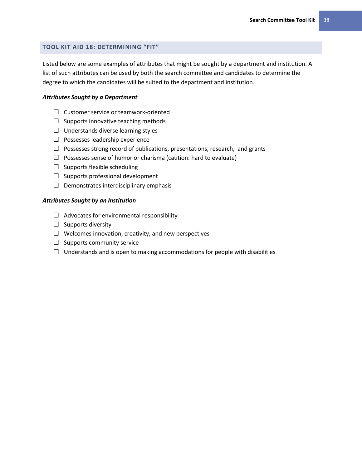## **TOOL KIT AID 18: DETERMINING "FIT"**

Listed below are some examples of attributes that might be sought by a department and institution. A list of such attributes can be used by both the search committee and candidates to determine the degree to which the candidates will be suited to the department and institution.

#### *Attributes Sought by a Department*

- $\Box$  Customer service or teamwork-oriented
- $\Box$  Supports innovative teaching methods
- $\Box$  Understands diverse learning styles
- $\Box$  Possesses leadership experience
- $\Box$  Possesses strong record of publications, presentations, research, and grants
- $\Box$  Possesses sense of humor or charisma (caution: hard to evaluate)
- $\Box$  Supports flexible scheduling
- $\Box$  Supports professional development
- $\Box$  Demonstrates interdisciplinary emphasis

#### *Attributes Sought by an Institution*

- $\Box$  Advocates for environmental responsibility
- $\Box$  Supports diversity
- $\Box$  Welcomes innovation, creativity, and new perspectives
- $\Box$  Supports community service
- $\Box$  Understands and is open to making accommodations for people with disabilities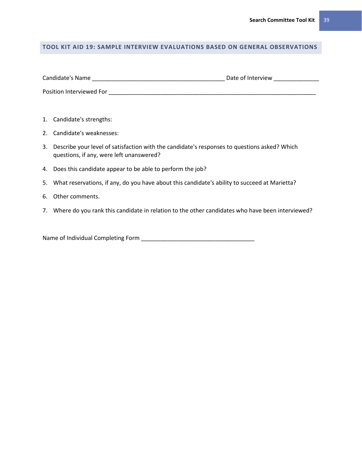## **TOOL KIT AID 19: SAMPLE INTERVIEW EVALUATIONS BASED ON GENERAL OBSERVATIONS**

| Candidate's Name         | Date of Interview |
|--------------------------|-------------------|
| Position Interviewed For |                   |

- 1. Candidate's strengths:
- 2. Candidate's weaknesses:
- 3. Describe your level of satisfaction with the candidate's responses to questions asked? Which questions, if any, were left unanswered?
- 4. Does this candidate appear to be able to perform the job?
- 5. What reservations, if any, do you have about this candidate's ability to succeed at Marietta?
- 6. Other comments.
- 7. Where do you rank this candidate in relation to the other candidates who have been interviewed?

Name of Individual Completing Form \_\_\_\_\_\_\_\_\_\_\_\_\_\_\_\_\_\_\_\_\_\_\_\_\_\_\_\_\_\_\_\_\_\_\_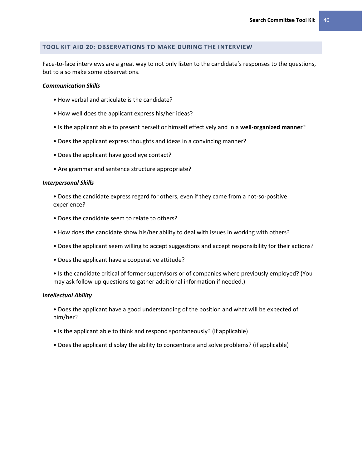## **TOOL KIT AID 20: OBSERVATIONS TO MAKE DURING THE INTERVIEW**

Face-to-face interviews are a great way to not only listen to the candidate's responses to the questions, but to also make some observations.

#### *Communication Skills*

- How verbal and articulate is the candidate?
- How well does the applicant express his/her ideas?
- Is the applicant able to present herself or himself effectively and in a **well-organized manner**?
- Does the applicant express thoughts and ideas in a convincing manner?
- Does the applicant have good eye contact?
- Are grammar and sentence structure appropriate?

#### *Interpersonal Skills*

• Does the candidate express regard for others, even if they came from a not-so-positive experience?

- Does the candidate seem to relate to others?
- How does the candidate show his/her ability to deal with issues in working with others?
- Does the applicant seem willing to accept suggestions and accept responsibility for their actions?
- Does the applicant have a cooperative attitude?
- Is the candidate critical of former supervisors or of companies where previously employed? (You may ask follow-up questions to gather additional information if needed.)

#### *Intellectual Ability*

- Does the applicant have a good understanding of the position and what will be expected of him/her?
- Is the applicant able to think and respond spontaneously? (if applicable)
- Does the applicant display the ability to concentrate and solve problems? (if applicable)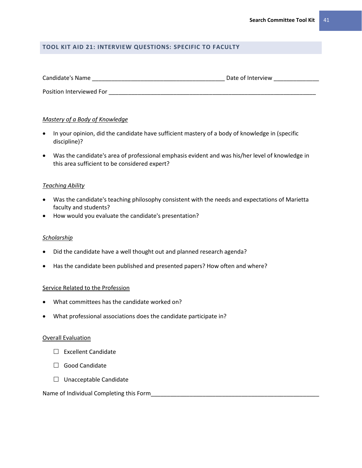## **TOOL KIT AID 21: INTERVIEW QUESTIONS: SPECIFIC TO FACULTY**

| Candidate's Name         | Date of Interview |  |
|--------------------------|-------------------|--|
| Position Interviewed For |                   |  |

## *Mastery of a Body of Knowledge*

- In your opinion, did the candidate have sufficient mastery of a body of knowledge in (specific discipline)?
- Was the candidate's area of professional emphasis evident and was his/her level of knowledge in this area sufficient to be considered expert?

## *Teaching Ability*

- Was the candidate's teaching philosophy consistent with the needs and expectations of Marietta faculty and students?
- How would you evaluate the candidate's presentation?

## *Scholarship*

- Did the candidate have a well thought out and planned research agenda?
- Has the candidate been published and presented papers? How often and where?

## Service Related to the Profession

- What committees has the candidate worked on?
- What professional associations does the candidate participate in?

## Overall Evaluation

- $\square$  Excellent Candidate
- □ Good Candidate
- $\Box$  Unacceptable Candidate

## Name of Individual Completing this Form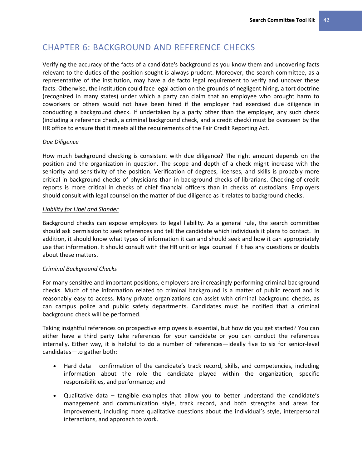## CHAPTER 6: BACKGROUND AND REFERENCE CHECKS

Verifying the accuracy of the facts of a candidate's background as you know them and uncovering facts relevant to the duties of the position sought is always prudent. Moreover, the search committee, as a representative of the institution, may have a de facto legal requirement to verify and uncover these facts. Otherwise, the institution could face legal action on the grounds of negligent hiring, a tort doctrine (recognized in many states) under which a party can claim that an employee who brought harm to coworkers or others would not have been hired if the employer had exercised due diligence in conducting a background check. If undertaken by a party other than the employer, any such check (including a reference check, a criminal background check, and a credit check) must be overseen by the HR office to ensure that it meets all the requirements of the Fair Credit Reporting Act.

## *Due Diligence*

How much background checking is consistent with due diligence? The right amount depends on the position and the organization in question. The scope and depth of a check might increase with the seniority and sensitivity of the position. Verification of degrees, licenses, and skills is probably more critical in background checks of physicians than in background checks of librarians. Checking of credit reports is more critical in checks of chief financial officers than in checks of custodians. Employers should consult with legal counsel on the matter of due diligence as it relates to background checks.

## *Liability for Libel and Slander*

Background checks can expose employers to legal liability. As a general rule, the search committee should ask permission to seek references and tell the candidate which individuals it plans to contact. In addition, it should know what types of information it can and should seek and how it can appropriately use that information. It should consult with the HR unit or legal counsel if it has any questions or doubts about these matters.

## *Criminal Background Checks*

For many sensitive and important positions, employers are increasingly performing criminal background checks. Much of the information related to criminal background is a matter of public record and is reasonably easy to access. Many private organizations can assist with criminal background checks, as can campus police and public safety departments. Candidates must be notified that a criminal background check will be performed.

Taking insightful references on prospective employees is essential, but how do you get started? You can either have a third party take references for your candidate or you can conduct the references internally. Either way, it is helpful to do a number of references—ideally five to six for senior-level candidates—to gather both:

- Hard data confirmation of the candidate's track record, skills, and competencies, including information about the role the candidate played within the organization, specific responsibilities, and performance; and
- Qualitative data tangible examples that allow you to better understand the candidate's management and communication style, track record, and both strengths and areas for improvement, including more qualitative questions about the individual's style, interpersonal interactions, and approach to work.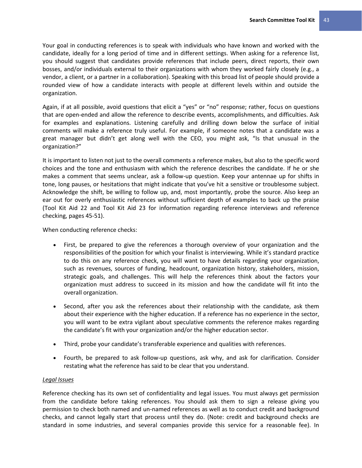Your goal in conducting references is to speak with individuals who have known and worked with the candidate, ideally for a long period of time and in different settings. When asking for a reference list, you should suggest that candidates provide references that include peers, direct reports, their own bosses, and/or individuals external to their organizations with whom they worked fairly closely (e.g., a vendor, a client, or a partner in a collaboration). Speaking with this broad list of people should provide a rounded view of how a candidate interacts with people at different levels within and outside the organization.

Again, if at all possible, avoid questions that elicit a "yes" or "no" response; rather, focus on questions that are open-ended and allow the reference to describe events, accomplishments, and difficulties. Ask for examples and explanations. Listening carefully and drilling down below the surface of initial comments will make a reference truly useful. For example, if someone notes that a candidate was a great manager but didn't get along well with the CEO, you might ask, "Is that unusual in the organization?"

It is important to listen not just to the overall comments a reference makes, but also to the specific word choices and the tone and enthusiasm with which the reference describes the candidate. If he or she makes a comment that seems unclear, ask a follow-up question. Keep your antennae up for shifts in tone, long pauses, or hesitations that might indicate that you've hit a sensitive or troublesome subject. Acknowledge the shift, be willing to follow up, and, most importantly, probe the source. Also keep an ear out for overly enthusiastic references without sufficient depth of examples to back up the praise (Tool Kit Aid 22 and Tool Kit Aid 23 for information regarding reference interviews and reference checking, pages 45-51).

When conducting reference checks:

- First, be prepared to give the references a thorough overview of your organization and the responsibilities of the position for which your finalist is interviewing. While it's standard practice to do this on any reference check, you will want to have details regarding your organization, such as revenues, sources of funding, headcount, organization history, stakeholders, mission, strategic goals, and challenges. This will help the references think about the factors your organization must address to succeed in its mission and how the candidate will fit into the overall organization.
- Second, after you ask the references about their relationship with the candidate, ask them about their experience with the higher education. If a reference has no experience in the sector, you will want to be extra vigilant about speculative comments the reference makes regarding the candidate's fit with your organization and/or the higher education sector.
- Third, probe your candidate's transferable experience and qualities with references.
- Fourth, be prepared to ask follow-up questions, ask why, and ask for clarification. Consider restating what the reference has said to be clear that you understand.

## *Legal Issues*

Reference checking has its own set of confidentiality and legal issues. You must always get permission from the candidate before taking references. You should ask them to sign a release giving you permission to check both named and un-named references as well as to conduct credit and background checks, and cannot legally start that process until they do. (Note: credit and background checks are standard in some industries, and several companies provide this service for a reasonable fee). In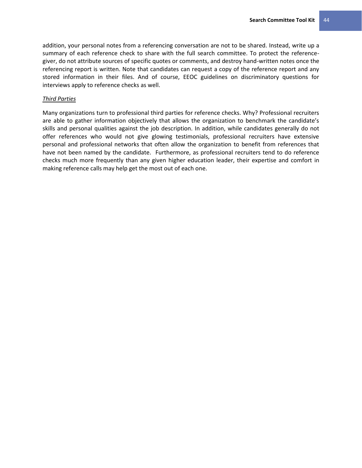addition, your personal notes from a referencing conversation are not to be shared. Instead, write up a summary of each reference check to share with the full search committee. To protect the referencegiver, do not attribute sources of specific quotes or comments, and destroy hand-written notes once the referencing report is written. Note that candidates can request a copy of the reference report and any stored information in their files. And of course, EEOC guidelines on discriminatory questions for interviews apply to reference checks as well.

## *Third Parties*

Many organizations turn to professional third parties for reference checks. Why? Professional recruiters are able to gather information objectively that allows the organization to benchmark the candidate's skills and personal qualities against the job description. In addition, while candidates generally do not offer references who would not give glowing testimonials, professional recruiters have extensive personal and professional networks that often allow the organization to benefit from references that have not been named by the candidate. Furthermore, as professional recruiters tend to do reference checks much more frequently than any given higher education leader, their expertise and comfort in making reference calls may help get the most out of each one.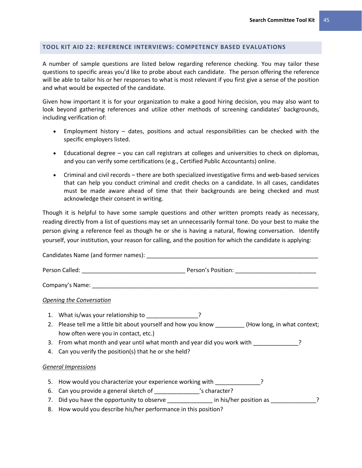## **TOOL KIT AID 22: REFERENCE INTERVIEWS: COMPETENCY BASED EVALUATIONS**

A number of sample questions are listed below regarding reference checking. You may tailor these questions to specific areas you'd like to probe about each candidate. The person offering the reference will be able to tailor his or her responses to what is most relevant if you first give a sense of the position and what would be expected of the candidate.

Given how important it is for your organization to make a good hiring decision, you may also want to look beyond gathering references and utilize other methods of screening candidates' backgrounds, including verification of:

- Employment history dates, positions and actual responsibilities can be checked with the specific employers listed.
- Educational degree you can call registrars at colleges and universities to check on diplomas, and you can verify some certifications (e.g., Certified Public Accountants) online.
- Criminal and civil records there are both specialized investigative firms and web-based services that can help you conduct criminal and credit checks on a candidate. In all cases, candidates must be made aware ahead of time that their backgrounds are being checked and must acknowledge their consent in writing.

Though it is helpful to have some sample questions and other written prompts ready as necessary, reading directly from a list of questions may set an unnecessarily formal tone. Do your best to make the person giving a reference feel as though he or she is having a natural, flowing conversation. Identify yourself, your institution, your reason for calling, and the position for which the candidate is applying:

|    | <b>Opening the Conversation</b>                                                                                                              |
|----|----------------------------------------------------------------------------------------------------------------------------------------------|
|    | 1. What is/was your relationship to _____________________?                                                                                   |
|    | 2. Please tell me a little bit about yourself and how you know __________(How long, in what context;<br>how often were you in contact, etc.) |
|    | 3. From what month and year until what month and year did you work with                                                                      |
| 4. | Can you verify the position(s) that he or she held?                                                                                          |
|    | <b>General Impressions</b>                                                                                                                   |
| 5. | How would you characterize your experience working with Theorem 2                                                                            |
| 6. | Can you provide a general sketch of ________________'s character?                                                                            |
|    | 7. Did you have the opportunity to observe _______________ in his/her position as ______________?                                            |
|    | 8. How would you describe his/her performance in this position?                                                                              |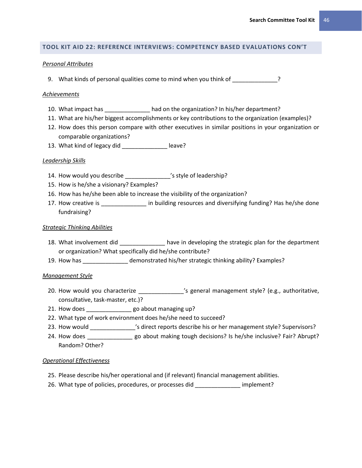## **TOOL KIT AID 22: REFERENCE INTERVIEWS: COMPETENCY BASED EVALUATIONS CON'T**

#### *Personal Attributes*

9. What kinds of personal qualities come to mind when you think of \_\_\_\_\_\_\_\_\_\_\_\_\_?

#### *Achievements*

- 10. What impact has \_\_\_\_\_\_\_\_\_\_\_\_\_\_ had on the organization? In his/her department?
- 11. What are his/her biggest accomplishments or key contributions to the organization (examples)?
- 12. How does this person compare with other executives in similar positions in your organization or comparable organizations?
- 13. What kind of legacy did \_\_\_\_\_\_\_\_\_\_\_\_\_\_\_\_\_ leave?

#### *Leadership Skills*

- 14. How would you describe \_\_\_\_\_\_\_\_\_\_\_\_\_\_\_'s style of leadership?
- 15. How is he/she a visionary? Examples?
- 16. How has he/she been able to increase the visibility of the organization?
- 17. How creative is \_\_\_\_\_\_\_\_\_\_\_\_\_\_\_\_ in building resources and diversifying funding? Has he/she done fundraising?

## *Strategic Thinking Abilities*

- 18. What involvement did **the strategic plantical have in developing the strategic plan for the department** or organization? What specifically did he/she contribute?
- 19. How has \_\_\_\_\_\_\_\_\_\_\_\_\_\_ demonstrated his/her strategic thinking ability? Examples?

## *Management Style*

- 20. How would you characterize \_\_\_\_\_\_\_\_\_\_\_\_\_\_\_'s general management style? (e.g., authoritative, consultative, task-master, etc.)?
- 21. How does \_\_\_\_\_\_\_\_\_\_\_\_\_\_\_\_ go about managing up?
- 22. What type of work environment does he/she need to succeed?
- 23. How would \_\_\_\_\_\_\_\_\_\_\_\_\_\_'s direct reports describe his or her management style? Supervisors?
- 24. How does each pay about making tough decisions? Is he/she inclusive? Fair? Abrupt? Random? Other?

#### *Operational Effectiveness*

- 25. Please describe his/her operational and (if relevant) financial management abilities.
- 26. What type of policies, procedures, or processes did implement?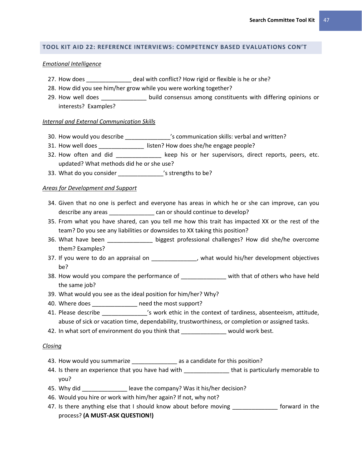## **TOOL KIT AID 22: REFERENCE INTERVIEWS: COMPETENCY BASED EVALUATIONS CON'T**

#### *Emotional Intelligence*

- 27. How does **Late and Solution** deal with conflict? How rigid or flexible is he or she?
- 28. How did you see him/her grow while you were working together?
- 29. How well does \_\_\_\_\_\_\_\_\_\_\_\_\_\_ build consensus among constituents with differing opinions or interests? Examples?

#### *Internal and External Communication Skills*

- 30. How would you describe \_\_\_\_\_\_\_\_\_\_\_\_\_\_'s communication skills: verbal and written?
- 31. How well does \_\_\_\_\_\_\_\_\_\_\_\_\_\_\_\_ listen? How does she/he engage people?
- 32. How often and did \_\_\_\_\_\_\_\_\_\_\_\_\_\_ keep his or her supervisors, direct reports, peers, etc. updated? What methods did he or she use?
- 33. What do you consider \_\_\_\_\_\_\_\_\_\_\_\_\_\_\_'s strengths to be?

## *Areas for Development and Support*

- 34. Given that no one is perfect and everyone has areas in which he or she can improve, can you describe any areas **Exercise** can or should continue to develop?
- 35. From what you have shared, can you tell me how this trait has impacted XX or the rest of the team? Do you see any liabilities or downsides to XX taking this position?
- 36. What have been \_\_\_\_\_\_\_\_\_\_\_\_\_\_ biggest professional challenges? How did she/he overcome them? Examples?
- 37. If you were to do an appraisal on \_\_\_\_\_\_\_\_\_\_\_\_\_\_, what would his/her development objectives be?
- 38. How would you compare the performance of \_\_\_\_\_\_\_\_\_\_\_\_\_\_ with that of others who have held the same job?
- 39. What would you see as the ideal position for him/her? Why?
- 40. Where does **the most support?**
- 41. Please describe **the context of tardiness**, absenteeism, attitude, abuse of sick or vacation time, dependability, trustworthiness, or completion or assigned tasks.
- 42. In what sort of environment do you think that \_\_\_\_\_\_\_\_\_\_\_\_\_\_\_ would work best.

#### *Closing*

- 43. How would you summarize \_\_\_\_\_\_\_\_\_\_\_\_\_\_\_\_ as a candidate for this position?
- 44. Is there an experience that you have had with \_\_\_\_\_\_\_\_\_\_\_\_\_\_\_\_\_\_\_\_that is particularly memorable to you?
- 45. Why did **was also company** leave the company? Was it his/her decision?
- 46. Would you hire or work with him/her again? If not, why not?
- 47. Is there anything else that I should know about before moving \_\_\_\_\_\_\_\_\_\_\_\_\_\_ forward in the process? **(A MUST-ASK QUESTION!)**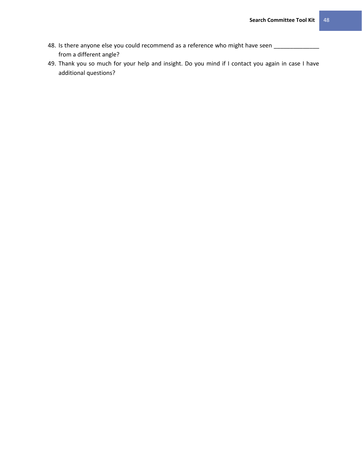- 48. Is there anyone else you could recommend as a reference who might have seen \_\_\_\_\_\_\_\_\_\_\_\_\_\_ from a different angle?
- 49. Thank you so much for your help and insight. Do you mind if I contact you again in case I have additional questions?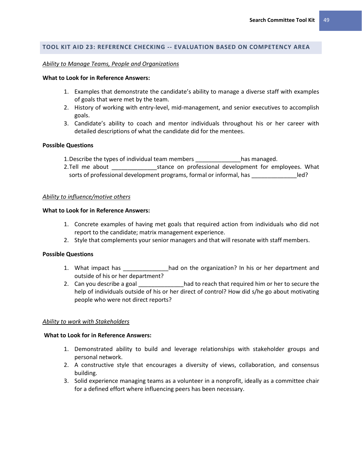## **TOOL KIT AID 23: REFERENCE CHECKING -- EVALUATION BASED ON COMPETENCY AREA**

#### *Ability to Manage Teams, People and Organizations*

#### **What to Look for in Reference Answers:**

- 1. Examples that demonstrate the candidate's ability to manage a diverse staff with examples of goals that were met by the team.
- 2. History of working with entry-level, mid-management, and senior executives to accomplish goals.
- 3. Candidate's ability to coach and mentor individuals throughout his or her career with detailed descriptions of what the candidate did for the mentees.

#### **Possible Questions**

- 1.Describe the types of individual team members \_\_\_\_\_\_\_\_\_\_\_\_\_\_has managed.
- 2. Tell me about **Example 2.** Stance on professional development for employees. What sorts of professional development programs, formal or informal, has  $\qquad \qquad$  led?

#### *Ability to influence/motive others*

#### **What to Look for in Reference Answers:**

- 1. Concrete examples of having met goals that required action from individuals who did not report to the candidate; matrix management experience.
- 2. Style that complements your senior managers and that will resonate with staff members.

#### **Possible Questions**

- 1. What impact has **the studies of the organization?** In his or her department and outside of his or her department?
- 2. Can you describe a goal \_\_\_\_\_\_\_\_\_\_\_\_\_\_had to reach that required him or her to secure the help of individuals outside of his or her direct of control? How did s/he go about motivating people who were not direct reports?

#### *Ability to work with Stakeholders*

#### **What to Look for in Reference Answers:**

- 1. Demonstrated ability to build and leverage relationships with stakeholder groups and personal network.
- 2. A constructive style that encourages a diversity of views, collaboration, and consensus building.
- 3. Solid experience managing teams as a volunteer in a nonprofit, ideally as a committee chair for a defined effort where influencing peers has been necessary.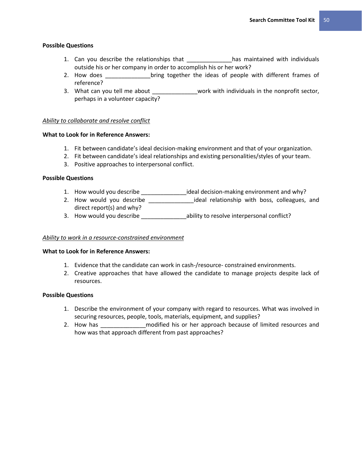## **Possible Questions**

- 1. Can you describe the relationships that \_\_\_\_\_\_\_\_\_\_\_\_\_\_has maintained with individuals outside his or her company in order to accomplish his or her work?
- 2. How does each operation of the ideas of people with different frames of reference?
- 3. What can you tell me about \_\_\_\_\_\_\_\_\_\_\_\_\_\_work with individuals in the nonprofit sector, perhaps in a volunteer capacity?

## *Ability to collaborate and resolve conflict*

## **What to Look for in Reference Answers:**

- 1. Fit between candidate's ideal decision-making environment and that of your organization.
- 2. Fit between candidate's ideal relationships and existing personalities/styles of your team.
- 3. Positive approaches to interpersonal conflict.

## **Possible Questions**

- 1. How would you describe \_\_\_\_\_\_\_\_\_\_\_\_\_\_ideal decision-making environment and why?
- 2. How would you describe \_\_\_\_\_\_\_\_\_\_\_\_\_\_\_\_ideal relationship with boss, colleagues, and direct report(s) and why?
- 3. How would you describe \_\_\_\_\_\_\_\_\_\_\_\_\_\_\_\_\_ ability to resolve interpersonal conflict?

## *Ability to work in a resource-constrained environment*

## **What to Look for in Reference Answers:**

- 1. Evidence that the candidate can work in cash-/resource- constrained environments.
- 2. Creative approaches that have allowed the candidate to manage projects despite lack of resources.

## **Possible Questions**

- 1. Describe the environment of your company with regard to resources. What was involved in securing resources, people, tools, materials, equipment, and supplies?
- 2. How has **Example 1** and modified his or her approach because of limited resources and how was that approach different from past approaches?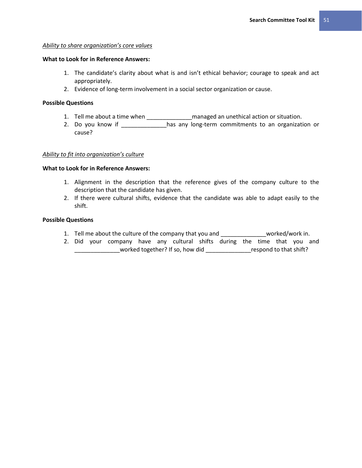## *Ability to share organization's core values*

#### **What to Look for in Reference Answers:**

- 1. The candidate's clarity about what is and isn't ethical behavior; courage to speak and act appropriately.
- 2. Evidence of long-term involvement in a social sector organization or cause.

## **Possible Questions**

- 1. Tell me about a time when \_\_\_\_\_\_\_\_\_\_\_\_\_\_managed an unethical action or situation.
- 2. Do you know if \_\_\_\_\_\_\_\_\_\_\_\_\_has any long-term commitments to an organization or cause?

## *Ability to fit into organization's culture*

## **What to Look for in Reference Answers:**

- 1. Alignment in the description that the reference gives of the company culture to the description that the candidate has given.
- 2. If there were cultural shifts, evidence that the candidate was able to adapt easily to the shift.

## **Possible Questions**

- 1. Tell me about the culture of the company that you and \_\_\_\_\_\_\_\_\_\_\_\_\_\_worked/work in.
- 2. Did your company have any cultural shifts during the time that you and \_\_\_\_\_\_\_\_\_\_\_\_\_\_worked together? If so, how did \_\_\_\_\_\_\_\_\_\_\_\_\_\_respond to that shift?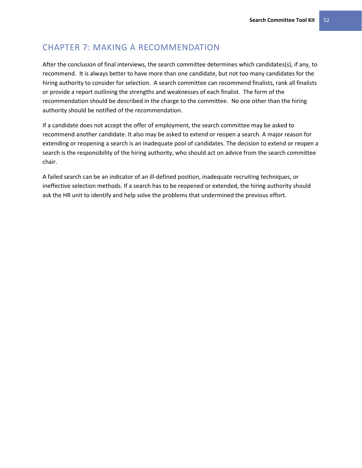## CHAPTER 7: MAKING A RECOMMENDATION

After the conclusion of final interviews, the search committee determines which candidates(s), if any, to recommend. It is always better to have more than one candidate, but not too many candidates for the hiring authority to consider for selection. A search committee can recommend finalists, rank all finalists or provide a report outlining the strengths and weaknesses of each finalist. The form of the recommendation should be described in the charge to the committee. No one other than the hiring authority should be notified of the recommendation.

If a candidate does not accept the offer of employment, the search committee may be asked to recommend another candidate. It also may be asked to extend or reopen a search. A major reason for extending or reopening a search is an inadequate pool of candidates. The decision to extend or reopen a search is the responsibility of the hiring authority, who should act on advice from the search committee chair.

A failed search can be an indicator of an ill-defined position, inadequate recruiting techniques, or ineffective selection methods. If a search has to be reopened or extended, the hiring authority should ask the HR unit to identify and help solve the problems that undermined the previous effort.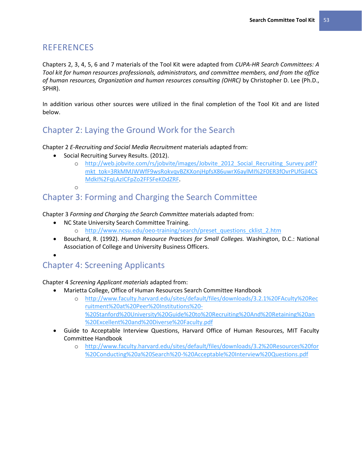## **REFERENCES**

Chapters 2, 3, 4, 5, 6 and 7 materials of the Tool Kit were adapted from *CUPA-HR Search Committees: A Tool kit for human resources professionals, administrators, and committee members, and from the office of human resources, Organization and human resources consulting (OHRC)* by Christopher D. Lee (Ph.D., SPHR).

In addition various other sources were utilized in the final completion of the Tool Kit and are listed below.

# Chapter 2: Laying the Ground Work for the Search

Chapter 2 *E-Recruiting and Social Media Recruitment* materials adapted from:

- Social Recruiting Survey Results. (2012).
	- o [http://web.jobvite.com/rs/jobvite/images/Jobvite\\_2012\\_Social\\_Recruiting\\_Survey.pdf?](http://web.jobvite.com/rs/jobvite/images/Jobvite_2012_Social_Recruiting_Survey.pdf?mkt_tok=3RkMMJWWfF9wsRokvqvBZKXonjHpfsX86uwrX6aylMI%2F0ER3fOvrPUfGjI4CSMdkI%2FqLAzICFpZo2FFSFeKDdZRF) [mkt\\_tok=3RkMMJWWfF9wsRokvqvBZKXonjHpfsX86uwrX6aylMI%2F0ER3fOvrPUfGjI4CS](http://web.jobvite.com/rs/jobvite/images/Jobvite_2012_Social_Recruiting_Survey.pdf?mkt_tok=3RkMMJWWfF9wsRokvqvBZKXonjHpfsX86uwrX6aylMI%2F0ER3fOvrPUfGjI4CSMdkI%2FqLAzICFpZo2FFSFeKDdZRF) [MdkI%2FqLAzICFpZo2FFSFeKDdZRF.](http://web.jobvite.com/rs/jobvite/images/Jobvite_2012_Social_Recruiting_Survey.pdf?mkt_tok=3RkMMJWWfF9wsRokvqvBZKXonjHpfsX86uwrX6aylMI%2F0ER3fOvrPUfGjI4CSMdkI%2FqLAzICFpZo2FFSFeKDdZRF)

o

## Chapter 3: Forming and Charging the Search Committee

Chapter 3 *Forming and Charging the Search Committee* materials adapted from:

- NC State University Search Committee Training.
	- o [http://www.ncsu.edu/oeo-training/search/preset\\_questions\\_cklist\\_2.htm](http://www.ncsu.edu/oeo-training/search/preset_questions_cklist_2.htm)
- Bouchard, R. (1992). *Human Resource Practices for Small Colleges.* Washington, D.C.: National Association of College and University Business Officers.

## $\bullet$

# Chapter 4: Screening Applicants

Chapter 4 *Screening Applicant materials* adapted from:

- Marietta College, Office of Human Resources Search Committee Handbook
	- o [http://www.faculty.harvard.edu/sites/default/files/downloads/3.2.1%20FAculty%20Rec](http://www.faculty.harvard.edu/sites/default/files/downloads/3.2.1%20FAculty%20Recruitment%20at%20Peer%20Institutions%20-%20Stanford%20University%20Guide%20to%20Recruiting%20And%20Retaining%20an%20Excellent%20and%20Diverse%20Faculty.pdf) [ruitment%20at%20Peer%20Institutions%20-](http://www.faculty.harvard.edu/sites/default/files/downloads/3.2.1%20FAculty%20Recruitment%20at%20Peer%20Institutions%20-%20Stanford%20University%20Guide%20to%20Recruiting%20And%20Retaining%20an%20Excellent%20and%20Diverse%20Faculty.pdf) [%20Stanford%20University%20Guide%20to%20Recruiting%20And%20Retaining%20an](http://www.faculty.harvard.edu/sites/default/files/downloads/3.2.1%20FAculty%20Recruitment%20at%20Peer%20Institutions%20-%20Stanford%20University%20Guide%20to%20Recruiting%20And%20Retaining%20an%20Excellent%20and%20Diverse%20Faculty.pdf) [%20Excellent%20and%20Diverse%20Faculty.pdf](http://www.faculty.harvard.edu/sites/default/files/downloads/3.2.1%20FAculty%20Recruitment%20at%20Peer%20Institutions%20-%20Stanford%20University%20Guide%20to%20Recruiting%20And%20Retaining%20an%20Excellent%20and%20Diverse%20Faculty.pdf)
- Guide to Acceptable Interview Questions, Harvard Office of Human Resources, MIT Faculty Committee Handbook
	- o [http://www.faculty.harvard.edu/sites/default/files/downloads/3.2%20Resources%20for](http://www.faculty.harvard.edu/sites/default/files/downloads/3.2%20Resources%20for%20Conducting%20a%20Search%20-%20Acceptable%20Interview%20Questions.pdf) [%20Conducting%20a%20Search%20-%20Acceptable%20Interview%20Questions.pdf](http://www.faculty.harvard.edu/sites/default/files/downloads/3.2%20Resources%20for%20Conducting%20a%20Search%20-%20Acceptable%20Interview%20Questions.pdf)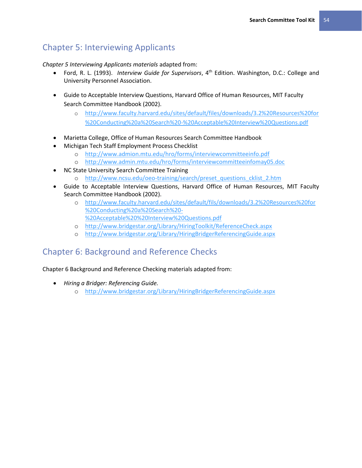# Chapter 5: Interviewing Applicants

*Chapter 5 Interviewing Applicants materials* adapted from:

- Ford, R. L. (1993). *Interview Guide for Supervisors*, 4th Edition. Washington, D.C.: College and University Personnel Association.
- Guide to Acceptable Interview Questions, Harvard Office of Human Resources, MIT Faculty Search Committee Handbook (2002).
	- o [http://www.faculty.harvard.edu/sites/default/files/downloads/3.2%20Resources%20for](http://www.faculty.harvard.edu/sites/default/files/downloads/3.2%20Resources%20for%20Conducting%20a%20Search%20-%20Acceptable%20Interview%20Questions.pdf) [%20Conducting%20a%20Search%20-%20Acceptable%20Interview%20Questions.pdf](http://www.faculty.harvard.edu/sites/default/files/downloads/3.2%20Resources%20for%20Conducting%20a%20Search%20-%20Acceptable%20Interview%20Questions.pdf)
- Marietta College, Office of Human Resources Search Committee Handbook
- Michigan Tech Staff Employment Process Checklist
	- o <http://www.admion.mtu.edu/hro/forms/interviewcommitteeinfo.pdf>
	- o <http://www.admin.mtu.edu/hro/forms/interviewcommitteeinfomay05.doc>
- NC State University Search Committee Training
	- o [http://www.ncsu.edu/oeo-training/search/preset\\_questions\\_cklist\\_2.htm](http://www.ncsu.edu/oeo-training/search/preset_questions_cklist_2.htm)
- Guide to Acceptable Interview Questions, Harvard Office of Human Resources, MIT Faculty Search Committee Handbook (2002).
	- o [http://www.faculty.harvard.edu/sites/default/fils/downloads/3.2%20Resources%20for](http://www.faculty.harvard.edu/sites/default/fils/downloads/3.2%20Resources%20for%20Conducting%20a%20Search%20-%20Acceptable%20%20Interview%20Questions.pdf) [%20Conducting%20a%20Search%20-](http://www.faculty.harvard.edu/sites/default/fils/downloads/3.2%20Resources%20for%20Conducting%20a%20Search%20-%20Acceptable%20%20Interview%20Questions.pdf) [%20Acceptable%20%20Interview%20Questions.pdf](http://www.faculty.harvard.edu/sites/default/fils/downloads/3.2%20Resources%20for%20Conducting%20a%20Search%20-%20Acceptable%20%20Interview%20Questions.pdf)
	- o <http://www.bridgestar.org/Library/HiringToolkit/ReferenceCheck.aspx>
	- o <http://www.bridgestar.org/Library/HiringBridgerReferencingGuide.aspx>

## Chapter 6: Background and Reference Checks

Chapter 6 Background and Reference Checking materials adapted from:

- *Hiring a Bridger: Referencing Guide.*
	- o <http://www.bridgestar.org/Library/HiringBridgerReferencingGuide.aspx>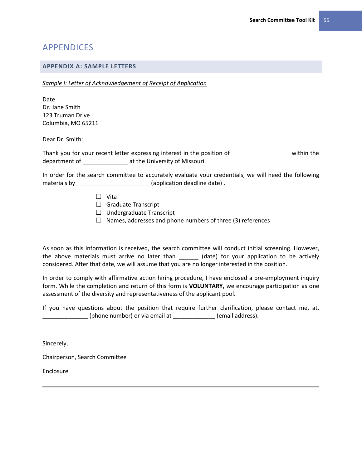## APPENDICES

## **APPENDIX A: SAMPLE LETTERS**

*Sample I: Letter of Acknowledgement of Receipt of Application* 

Date Dr. Jane Smith 123 Truman Drive Columbia, MO 65211

Dear Dr. Smith:

Thank you for your recent letter expressing interest in the position of within the department of \_\_\_\_\_\_\_\_\_\_\_\_\_\_ at the University of Missouri.

In order for the search committee to accurately evaluate your credentials, we will need the following materials by \_\_\_\_\_\_\_\_\_\_\_\_\_\_\_\_\_\_\_\_\_\_\_\_(application deadline date).

- $\Box$  Vita
- $\Box$  Graduate Transcript
- $\Box$  Undergraduate Transcript
- $\Box$  Names, addresses and phone numbers of three (3) references

As soon as this information is received, the search committee will conduct initial screening. However, the above materials must arrive no later than \_\_\_\_\_\_\_ (date) for your application to be actively considered. After that date, we will assume that you are no longer interested in the position.

In order to comply with affirmative action hiring procedure, I have enclosed a pre-employment inquiry form. While the completion and return of this form is **VOLUNTARY,** we encourage participation as one assessment of the diversity and representativeness of the applicant pool.

If you have questions about the position that require further clarification, please contact me, at, \_\_\_\_\_\_\_\_\_\_\_\_\_\_ (phone number) or via email at \_\_\_\_\_\_\_\_\_\_\_\_\_ (email address).

Sincerely,

Chairperson, Search Committee

Enclosure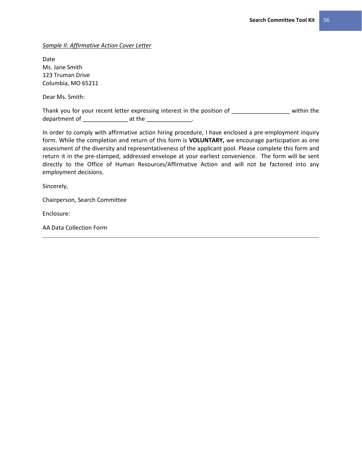*Sample II: Affirmative Action Cover Letter* 

Date Ms. Jane Smith 123 Truman Drive Columbia, MO 65211

Dear Ms. Smith:

Thank you for your recent letter expressing interest in the position of \_\_\_\_\_\_\_\_\_\_\_\_\_\_\_\_\_\_\_\_\_\_ within the department of \_\_\_\_\_\_\_\_\_\_\_\_\_\_\_\_\_\_\_ at the \_\_\_\_\_\_\_\_\_\_\_\_\_\_\_\_\_.

In order to comply with affirmative action hiring procedure, I have enclosed a pre-employment inquiry form. While the completion and return of this form is **VOLUNTARY,** we encourage participation as one assessment of the diversity and representativeness of the applicant pool. Please complete this form and return it in the pre-stamped, addressed envelope at your earliest convenience. The form will be sent directly to the Office of Human Resources/Affirmative Action and will not be factored into any employment decisions.

Sincerely,

Chairperson, Search Committee

Enclosure:

AA Data Collection Form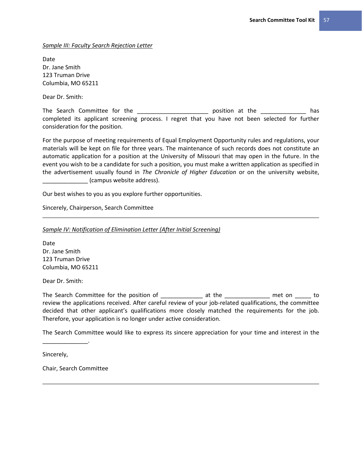*Sample III: Faculty Search Rejection Letter* 

Date Dr. Jane Smith 123 Truman Drive Columbia, MO 65211

Dear Dr. Smith:

The Search Committee for the \_\_\_\_\_\_\_\_\_\_\_\_\_\_\_\_\_\_\_\_\_\_\_\_\_\_\_\_\_ position at the \_\_\_\_\_\_\_\_\_\_\_\_\_\_\_\_\_\_ has completed its applicant screening process. I regret that you have not been selected for further consideration for the position.

For the purpose of meeting requirements of Equal Employment Opportunity rules and regulations, your materials will be kept on file for three years. The maintenance of such records does not constitute an automatic application for a position at the University of Missouri that may open in the future. In the event you wish to be a candidate for such a position, you must make a written application as specified in the advertisement usually found in *The Chronicle of Higher Education* or on the university website, \_\_\_\_\_\_\_\_\_\_\_\_\_\_ (campus website address).

Our best wishes to you as you explore further opportunities.

Sincerely, Chairperson, Search Committee

*Sample IV: Notification of Elimination Letter (After Initial Screening)*

Date Dr. Jane Smith 123 Truman Drive Columbia, MO 65211

Dear Dr. Smith:

The Search Committee for the position of \_\_\_\_\_\_\_\_\_\_\_\_\_\_\_\_\_\_\_\_\_\_\_ at the \_\_\_\_\_\_\_\_\_\_\_\_\_\_\_\_\_\_\_\_\_ met on \_\_\_\_\_\_\_ to review the applications received. After careful review of your job-related qualifications, the committee decided that other applicant's qualifications more closely matched the requirements for the job. Therefore, your application is no longer under active consideration.

The Search Committee would like to express its sincere appreciation for your time and interest in the

Sincerely,

\_\_\_\_\_\_\_\_\_\_\_\_\_\_.

Chair, Search Committee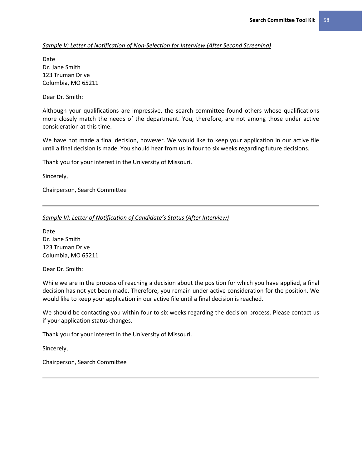*Sample V: Letter of Notification of Non-Selection for Interview (After Second Screening)*

Date Dr. Jane Smith 123 Truman Drive Columbia, MO 65211

Dear Dr. Smith:

Although your qualifications are impressive, the search committee found others whose qualifications more closely match the needs of the department. You, therefore, are not among those under active consideration at this time.

We have not made a final decision, however. We would like to keep your application in our active file until a final decision is made. You should hear from us in four to six weeks regarding future decisions.

Thank you for your interest in the University of Missouri.

Sincerely,

Chairperson, Search Committee

*Sample VI: Letter of Notification of Candidate's Status (After Interview)*

Date Dr. Jane Smith 123 Truman Drive Columbia, MO 65211

Dear Dr. Smith:

While we are in the process of reaching a decision about the position for which you have applied, a final decision has not yet been made. Therefore, you remain under active consideration for the position. We would like to keep your application in our active file until a final decision is reached.

We should be contacting you within four to six weeks regarding the decision process. Please contact us if your application status changes.

Thank you for your interest in the University of Missouri.

Sincerely,

Chairperson, Search Committee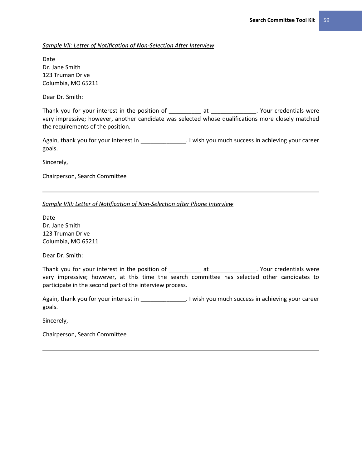## *Sample VII: Letter of Notification of Non-Selection After Interview*

Date Dr. Jane Smith 123 Truman Drive Columbia, MO 65211

Dear Dr. Smith:

Thank you for your interest in the position of \_\_\_\_\_\_\_\_\_\_\_\_ at \_\_\_\_\_\_\_\_\_\_\_\_\_\_. Your credentials were very impressive; however, another candidate was selected whose qualifications more closely matched the requirements of the position.

Again, thank you for your interest in \_\_\_\_\_\_\_\_\_\_\_\_\_\_\_\_\_. I wish you much success in achieving your career goals.

Sincerely,

Chairperson, Search Committee

*Sample VIII: Letter of Notification of Non-Selection after Phone Interview* 

Date Dr. Jane Smith 123 Truman Drive Columbia, MO 65211

Dear Dr. Smith:

Thank you for your interest in the position of \_\_\_\_\_\_\_\_\_\_\_\_\_\_ at \_\_\_\_\_\_\_\_\_\_\_\_\_\_. Your credentials were very impressive; however, at this time the search committee has selected other candidates to participate in the second part of the interview process.

Again, thank you for your interest in \_\_\_\_\_\_\_\_\_\_\_\_\_\_\_. I wish you much success in achieving your career goals.

Sincerely,

Chairperson, Search Committee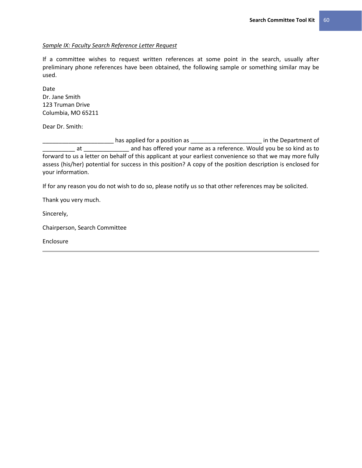## *Sample IX: Faculty Search Reference Letter Request*

If a committee wishes to request written references at some point in the search, usually after preliminary phone references have been obtained, the following sample or something similar may be used.

Date Dr. Jane Smith 123 Truman Drive Columbia, MO 65211

Dear Dr. Smith:

 $\frac{1}{\sqrt{1-\frac{1}{2}}}\$  has applied for a position as  $\frac{1}{\sqrt{1-\frac{1}{2}}}\$  in the Department of \_\_\_\_\_ at \_\_\_\_\_\_\_\_\_\_\_\_\_\_\_\_\_ and has offered your name as a reference. Would you be so kind as to forward to us a letter on behalf of this applicant at your earliest convenience so that we may more fully assess (his/her) potential for success in this position? A copy of the position description is enclosed for your information.

If for any reason you do not wish to do so, please notify us so that other references may be solicited.

Thank you very much.

Sincerely,

Chairperson, Search Committee

Enclosure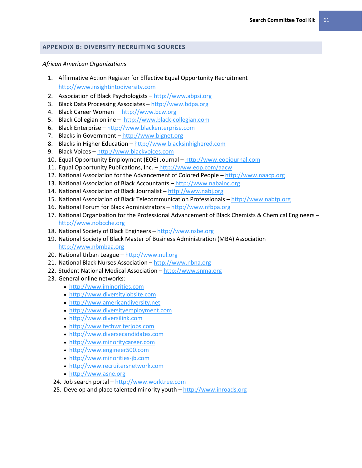## **APPENDIX B: DIVERSITY RECRUITING SOURCES**

#### *African American Organizations*

- 1. Affirmative Action Register for Effective Equal Opportunity Recruitment [http://www.insightintodiversity.com](http://www.insightintodiversity.com/)
- 2. Association of Black Psychologists [http://www.abpsi.org](http://www.abpsi.org/)
- 3. Black Data Processing Associates [http://www.bdpa.org](http://www.bdpa.org/)
- 4. Black Career Women [http://www.bcw.org](http://www.bcw.org/)
- 5. Black Collegian online [http://www.black-collegian.com](http://www.black-collegian.com/)
- 6. Black Enterprise [http://www.blackenterprise.com](http://www.blackenterprise.com/)
- 7. Blacks in Government [http://www.bignet.org](http://www.bignet.org/)
- 8. Blacks in Higher Education [http://www.blacksinhighered.com](http://www.blacksinhighered.com/)
- 9. Black Voices [http://www.blackvoices.com](http://www.blackvoices.com/)
- 10. Equal Opportunity Employment (EOE) Journal [http://www.eoejournal.com](http://www.eoejournal.com/)
- 11. Equal Opportunity Publications, Inc. <http://www.eop.com/aacw>
- 12. National Association for the Advancement of Colored People [http://www.naacp.org](http://www.naacp.org/)
- 13. National Association of Black Accountants [http://www.nabainc.org](http://www.nabainc.org/)
- 14. National Association of Black Journalist [http://www.nabj.org](http://www.nabj.org/)
- 15. National Association of Black Telecommunication Professionals [http://www.nabtp.org](http://www.nabtp.org/)
- 16. National Forum for Black Administrators [http://www.nfbpa.org](http://www.nfbpa.org/)
- 17. National Organization for the Professional Advancement of Black Chemists & Chemical Engineers [http://www.nobcche.org](http://www.nobcche.org/)
- 18. National Society of Black Engineers [http://www.nsbe.org](http://www.nsbe.org/)
- 19. National Society of Black Master of Business Administration (MBA) Association [http://www.nbmbaa.org](http://www.nbmbaa.org/)
- 20. National Urban League [http://www.nul.org](http://www.nul.org/)
- 21. National Black Nurses Association [http://www.nbna.org](http://www.nbna.org/)
- 22. Student National Medical Association [http://www.snma.org](http://www.snma.org/)
- 23. General online networks:
	- [http://www.iminorities.com](http://www.iminorities.com/)
	- [http://www.diversityjobsite.com](http://www.diversityjobsite.com/)
	- [http://www.americandiversity.net](http://www.americandiversity.net/)
	- [http://www.diversityemployment.com](http://www.diversityemployment.com/)
	- [http://www.diversilink.com](http://www.diversilink.com/)
	- [http://www.techwriterjobs.com](http://www.techwriterjobs.com/)
	- [http://www.diversecandidates.com](http://www.diversecandidates.com/)
	- [http://www.minoritycareer.com](http://www.minoritycareer.com/)
	- [http://www.engineer500.com](http://www.engineer500.com/)
	- [http://www.minorities-jb.com](http://www.minorities-jb.com/)
	- [http://www.recruitersnetwork.com](http://www.recruitersnetwork.com/)
	- [http://www.asne.org](http://www.asne.org/)
	- 24. Job search portal [http://www.worktree.com](http://www.worktree.com/)
	- 25. Develop and place talented minority youth [http://www.inroads.org](http://www.inroads.org/)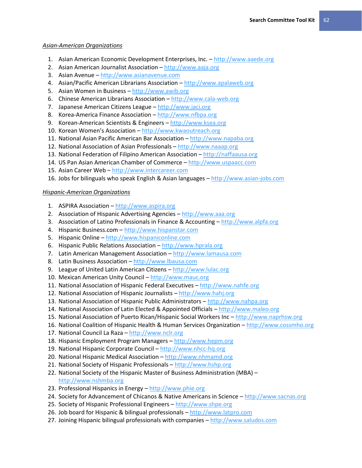## *Asian-American Organizations*

- 1. Asian American Economic Development Enterprises, Inc. [http://www.aaede.org](http://www.aaede.org/)
- 2. Asian American Journalist Association [http://www.aaja.org](http://www.aaja.org/)
- 3. Asian Avenue [http://www.asianavenue.com](http://www.asianavenue.com/)
- 4. Asian/Pacific American Librarians Association [http://www.apalaweb.org](http://www.apalaweb.org/)
- 5. Asian Women in Business [http://www.awib.org](http://www.awib.org/)
- 6. Chinese American Librarians Association [http://www.cala-web.org](http://www.cala-web.org/)
- 7. Japanese American Citizens League [http://www.jaci.org](http://www.jaci.org/)
- 8. Korea-America Finance Association [http://www.nfbpa.org](http://www.nfbpa.org/)
- 9. Korean-American Scientists & Engineers [http://www.ksea.org](http://www.ksea.org/)
- 10. Korean Women's Association [http://www.kwaoutreach.org](http://www.kwaoutreach.org/)
- 11. National Asian Pacific American Bar Association [http://www.napaba.org](http://www.napaba.org/)
- 12. National Association of Asian Professionals [http://www.naaap.org](http://www.naaap.org/)
- 13. National Federation of Filipino American Association [http://naffaausa.org](http://naffaausa.org/)
- 14. US Pan Asian American Chamber of Commerce [http://www.uspaacc.com](http://www.uspaacc.com/)
- 15. Asian Career Web [http://www.intercareer.com](http://www.intercareer.com/)
- 16. Jobs for bilinguals who speak English & Asian languages [http://www.asian-jobs.com](http://www.asian-jobs.com/)

## *Hispanic-American Organizations*

- 1. ASPIRA Association [http://www.aspira.org](http://www.aspira.org/)
- 2. Association of Hispanic Advertising Agencies [http://www.aaa.org](http://www.aaa.org/)
- 3. Association of Latino Professionals in Finance & Accounting [http://www.alpfa.org](http://www.alpfa.org/)
- 4. Hispanic Business.com [http://www.hispanstar.com](http://www.hispanstar.com/)
- 5. Hispanic Online [http://www.hispaniconline.com](http://www.hispaniconline.com/)
- 6. Hispanic Public Relations Association [http://www.hprala.org](http://www.hprala.org/)
- 7. Latin American Management Association [http://www.lamausa.com](http://www.lamausa.com/)
- 8. Latin Business Association [http://www.lbausa.com](http://www.lbausa.com/)
- 9. League of United Latin American Citizens [http://www.lulac.org](http://www.lulac.org/)
- 10. Mexican American Unity Council [http://www.mauc.org](http://www.mauc.org/)
- 11. National Association of Hispanic Federal Executives [http://www.nahfe.org](http://www.nahfe.org/)
- 12. National Association of Hispanic Journalists [http://www.hahj.org](http://www.hahj.org/)
- 13. National Association of Hispanic Public Administrators [http://www.nahpa.org](http://www.nahpa.org/)
- 14. National Association of Latin Elected & Appointed Officials [http://www.maleo.org](http://www.maleo.org/)
- 15. National Association of Puerto Rican/Hispanic Social Workers Inc [http://www.naprhsw.org](http://www.naprhsw.org/)
- 16. National Coalition of Hispanic Health & Human Services Organization [http://www.cossmho.org](http://www.cossmho.org/)
- 17. National Council La Raza [http://www.nclr.org](http://www.nclr.org/)
- 18. Hispanic Employment Program Managers [http://www.hepm.org](http://www.hepm.org/)
- 19. National Hispanic Corporate Council [http://www.nhcc-hq.org](http://www.nhcc-hq.org/)
- 20. National Hispanic Medical Association [http://www.nhmamd.org](http://www.nhmamd.org/)
- 21. National Society of Hispanic Professionals [http://www.hshp.org](http://www.hshp.org/)
- 22. National Society of the Hispanic Master of Business Administration (MBA) [http://www.nshmba.org](http://www.nshmba.org/)
- 23. Professional Hispanics in Energy [http://www.phie.org](http://www.phie.org/)
- 24. Society for Advancement of Chicanos & Native Americans in Science [http://www.sacnas.org](http://www.sacnas.org/)
- 25. Society of Hispanic Professional Engineers [http://www.shpe.org](http://www.shpe.org/)
- 26. Job board for Hispanic & bilingual professionals [http://www.latpro.com](http://www.latpro.com/)
- 27. Joining Hispanic bilingual professionals with companies [http://www.saludos.com](http://www.saludos.com/)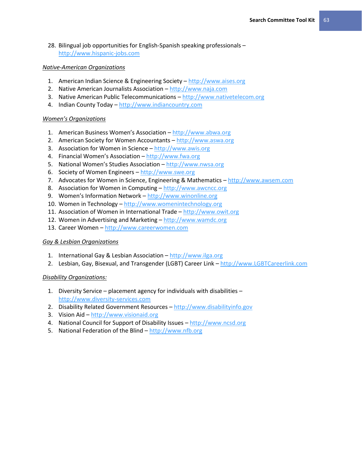28. Bilingual job opportunities for English-Spanish speaking professionals – [http://www.hispanic-jobs.com](http://www.hispanic-jobs.com/)

## *Native-American Organizations*

- 1. American Indian Science & Engineering Society [http://www.aises.org](http://www.aises.org/)
- 2. Native American Journalists Association [http://www.naja.com](http://www.naja.com/)
- 3. Native American Public Telecommunications [http://www.nativetelecom.org](http://www.nativetelecom.org/)
- 4. Indian County Today [http://www.indiancountry.com](http://www.indiancountry.com/)

## *Women's Organizations*

- 1. American Business Women's Association [http://www.abwa.org](http://www.abwa.org/)
- 2. American Society for Women Accountants [http://www.aswa.org](http://www.aswa.org/)
- 3. Association for Women in Science [http://www.awis.org](http://www.awis.org/)
- 4. Financial Women's Association [http://www.fwa.org](http://www.fwa.org/)
- 5. National Women's Studies Association [http://www.nwsa.org](http://www.nwsa.org/)
- 6. Society of Women Engineers [http://www.swe.org](http://www.swe.org/)
- 7. Advocates for Women in Science, Engineering & Mathematics [http://www.awsem.com](http://www.awsem.com/)
- 8. Association for Women in Computing [http://www.awcncc.org](http://www.awcncc.org/)
- 9. Women's Information Network [http://www.winonline.org](http://www.winonline.org/)
- 10. Women in Technology [http://www.womenintechnology.org](http://www.womenintechnology.org/)
- 11. Association of Women in International Trade [http://www.owit.org](http://www.owit.org/)
- 12. Women in Advertising and Marketing [http://www.wamdc.org](http://www.wamdc.org/)
- 13. Career Women [http://www.careerwomen.com](http://www.careerwomen.com/)

## *Gay & Lesbian Organizations*

- 1. International Gay & Lesbian Association [http://www.ilga.org](http://www.ilga.org/)
- 2. Lesbian, Gay, Bisexual, and Transgender (LGBT) Career Link [http://www.LGBTCareerlink.com](http://www.lgbtcareerlink.com/)

## *Disability Organizations:*

- 1. Diversity Service placement agency for individuals with disabilities [http://www.diversity-services.com](http://www.diversity-services.com/)
- 2. Disability Related Government Resources [http://www.disabilityinfo.gov](http://www.disabilityinfo.gov/)
- 3. Vision Aid [http://www.visionaid.org](http://www.visionaid.org/)
- 4. National Council for Support of Disability Issues [http://www.ncsd.org](http://www.ncsd.org/)
- 5. National Federation of the Blind [http://www.nfb.org](http://www.nfb.org/)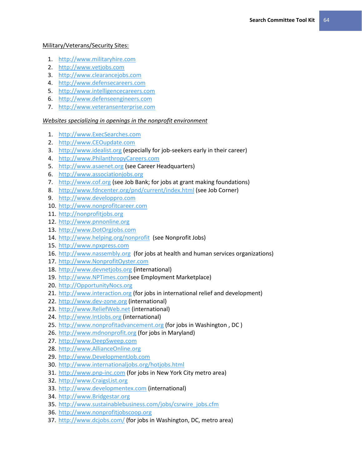## Military/Veterans/Security Sites:

- 1. [http://www.militaryhire.com](http://www.militaryhire.com/)
- 2. [http://www.vetjobs.com](http://www.vetjobs.com/)
- 3. [http://www.clearancejobs.com](http://www.clearancejobs.com/)
- 4. [http://www.defensecareers.com](http://www.defensecareers.com/)
- 5. [http://www.intelligencecareers.com](http://www.intelligencecareers.com/)
- 6. [http://www.defenseengineers.com](http://www.defenseengineers.com/)
- 7. [http://www.veteransenterprise.com](http://www.veteransenterprise.com/)

## *Websites specializing in openings in the nonprofit environment*

- 1. [http://www.ExecSearches.com](http://www.execsearches.com/)
- 2. [http://www.CEOupdate.com](http://www.ceoupdate.com/)
- 3. [http://www.idealist.org](http://www.idealist.org/) (especially for job-seekers early in their career)
- 4. [http://www.PhilanthropyCareers.com](http://www.philanthropycareers.com/)
- 5. [http://www.asaenet.org](http://www.asaenet.org/) (see Career Headquarters)
- 6. [http://www.associationjobs.org](http://www.associationjobs.org/)
- 7. [http://www.cof.org](http://www.cof.org/) (see Job Bank; for jobs at grant making foundations)
- 8. <http://www.fdncenter.org/pnd/current/index.html> (see Job Corner)
- 9. [http://www.developpro.com](http://www.developpro.com/)
- 10. [http://www.nonprofitcareer.com](http://www.nonprofitcareer.com/)
- 11. [http://nonprofitjobs.org](http://nonprofitjobs.org/)
- 12. [http://www.pnnonline.org](http://www.pnnonline.org/)
- 13. [http://www.DotOrgJobs.com](http://www.dotorgjobs.com/)
- 14. <http://www.helping.org/nonprofit> (see Nonprofit Jobs)
- 15. [http://www.npxpress.com](http://www.npxpress.com/)
- 16. [http://www.nassembly.org](http://www.nassembly.org/) (for jobs at health and human services organizations)
- 17. [http://www.NonprofitOyster.com](http://www.nonprofitoyster.com/)
- 18. [http://www.devnetjobs.org](http://www.devnetjobs.org/) (international)
- 19. [http://www.NPTimes.com\(](http://www.nptimes.com/)see Employment Marketplace)
- 20. [http://OpportunityNocs.org](http://opportunitynocs.org/)
- 21. [http://www.interaction.org](http://www.interaction.org/) (for jobs in international relief and development)
- 22. [http://www.dev-zone.org](http://www.dev-zone.org/) (international)
- 23. [http://www.ReliefWeb.net](http://www.reliefweb.net/) (international)
- 24. [http://www.IntJobs.org](http://www.intjobs.org/) (international)
- 25. [http://www.nonprofitadvancement.org](http://www.nonprofitadvancement.org/) (for jobs in Washington, DC)
- 26. [http://www.mdnonprofit.org](http://www.mdnonprofit.org/) (for jobs in Maryland)
- 27. [http://www.DeepSweep.com](http://www.deepsweep.com/)
- 28. [http://www.AllianceOnline.org](http://www.allianceonline.org/)
- 29. [http://www.DevelopmentJob.com](http://www.developmentjob.com/)
- 30. <http://www.internationaljobs.org/hotjobs.html>
- 31. [http://www.pnp-inc.com](http://www.pnp-inc.com/) (for jobs in New York City metro area)
- 32. [http://www.CraigsList.org](http://www.craigslist.org/)
- 33. [http://www.developmentex.com](http://www.developmentex.com/) (international)
- 34. [http://www.Bridgestar.org](http://www.bridgestar.org/)
- 35. [http://www.sustainablebusiness.com/jobs/csrwire\\_jobs.cfm](http://www.sustainablebusiness.com/jobs/csrwire_jobs.cfm)
- 36. [http://www.nonprofitjobscoop.org](http://www.nonprofitjobscoop.org/)
- 37. <http://www.dcjobs.com/> (for jobs in Washington, DC, metro area)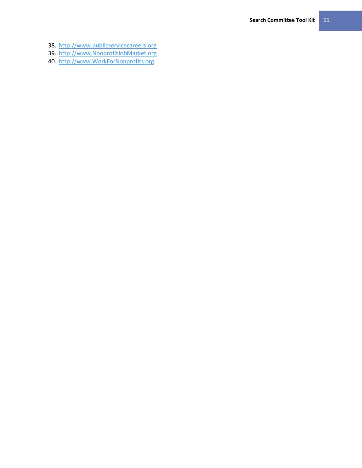- 38. [http://www.publicservicecareers.org](http://www.publicservicecareers.org/)
- 39. [http://www.NonprofitJobMarket.org](http://www.nonprofitjobmarket.org/)
- 40. [http://www.WorkForNonprofits.org](http://www.workfornonprofits.org/)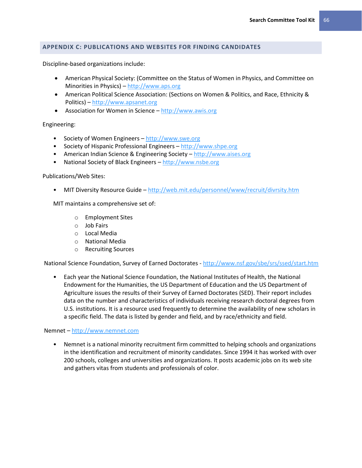## **APPENDIX C: PUBLICATIONS AND WEBSITES FOR FINDING CANDIDATES**

Discipline-based organizations include:

- American Physical Society: (Committee on the Status of Women in Physics, and Committee on Minorities in Physics) – [http://www.aps.org](http://www.aps.org/)
- American Political Science Association: (Sections on Women & Politics, and Race, Ethnicity & Politics) – [http://www.apsanet.org](http://www.apsanet.org/)
- Association for Women in Science [http://www.awis.org](http://www.awis.org/)

Engineering:

- Society of Women Engineers [http://www.swe.org](http://www.swe.org/)
- Society of Hispanic Professional Engineers [http://www.shpe.org](http://www.shpe.org/)
- American Indian Science & Engineering Society [http://www.aises.org](http://www.aises.org/)
- National Society of Black Engineers [http://www.nsbe.org](http://www.nsbe.org/)

#### Publications/Web Sites:

• MIT Diversity Resource Guide – <http://web.mit.edu/personnel/www/recruit/divrsity.htm>

MIT maintains a comprehensive set of:

- o Employment Sites
- o Job Fairs
- o Local Media
- o National Media
- o Recruiting Sources

National Science Foundation, Survey of Earned Doctorates - <http://www.nsf.gov/sbe/srs/ssed/start.htm>

• Each year the National Science Foundation, the National Institutes of Health, the National Endowment for the Humanities, the US Department of Education and the US Department of Agriculture issues the results of their Survey of Earned Doctorates (SED). Their report includes data on the number and characteristics of individuals receiving research doctoral degrees from U.S. institutions. It is a resource used frequently to determine the availability of new scholars in a specific field. The data is listed by gender and field, and by race/ethnicity and field.

Nemnet – [http://www.nemnet.com](http://www.nemnet.com/)

• Nemnet is a national minority recruitment firm committed to helping schools and organizations in the identification and recruitment of minority candidates. Since 1994 it has worked with over 200 schools, colleges and universities and organizations. It posts academic jobs on its web site and gathers vitas from students and professionals of color.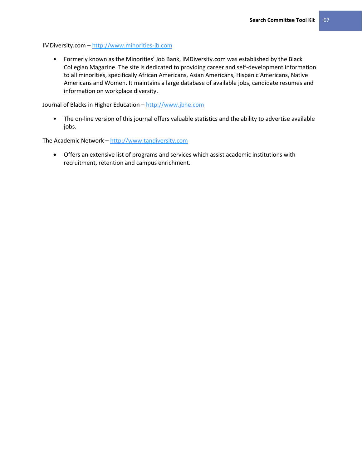IMDiversity.com – [http://www.minorities-jb.com](http://www.minorities-jb.com/)

• Formerly known as the Minorities' Job Bank, IMDiversity.com was established by the Black Collegian Magazine. The site is dedicated to providing career and self-development information to all minorities, specifically African Americans, Asian Americans, Hispanic Americans, Native Americans and Women. It maintains a large database of available jobs, candidate resumes and information on workplace diversity.

Journal of Blacks in Higher Education – [http://www.jbhe.com](http://www.jbhe.com/)

• The on-line version of this journal offers valuable statistics and the ability to advertise available jobs.

The Academic Network – [http://www.tandiversity.com](http://www.tandiversity.com/)

 Offers an extensive list of programs and services which assist academic institutions with recruitment, retention and campus enrichment.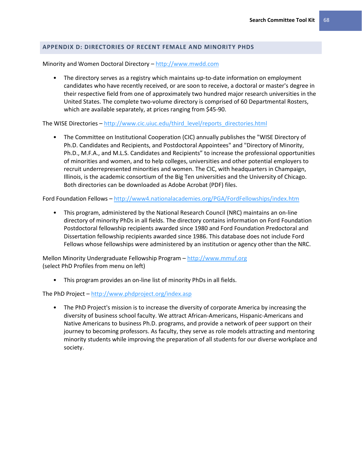## **APPENDIX D: DIRECTORIES OF RECENT FEMALE AND MINORITY PHDS**

Minority and Women Doctoral Directory – [http://www.mwdd.com](http://www.mwdd.com/)

• The directory serves as a registry which maintains up-to-date information on employment candidates who have recently received, or are soon to receive, a doctoral or master's degree in their respective field from one of approximately two hundred major research universities in the United States. The complete two-volume directory is comprised of 60 Departmental Rosters, which are available separately, at prices ranging from \$45-90.

The WISE Directories – [http://www.cic.uiuc.edu/third\\_level/reports\\_directories.html](http://www.cic.uiuc.edu/third_level/reports_directories.html)

• The Committee on Institutional Cooperation (CIC) annually publishes the "WISE Directory of Ph.D. Candidates and Recipients, and Postdoctoral Appointees" and "Directory of Minority, Ph.D., M.F.A., and M.L.S. Candidates and Recipients" to increase the professional opportunities of minorities and women, and to help colleges, universities and other potential employers to recruit underrepresented minorities and women. The CIC, with headquarters in Champaign, Illinois, is the academic consortium of the Big Ten universities and the University of Chicago. Both directories can be downloaded as Adobe Acrobat (PDF) files.

Ford Foundation Fellows – <http://www4.nationalacademies.org/PGA/FordFellowships/index.htm>

• This program, administered by the National Research Council (NRC) maintains an on-line directory of minority PhDs in all fields. The directory contains information on Ford Foundation Postdoctoral fellowship recipients awarded since 1980 and Ford Foundation Predoctoral and Dissertation fellowship recipients awarded since 1986. This database does not include Ford Fellows whose fellowships were administered by an institution or agency other than the NRC.

Mellon Minority Undergraduate Fellowship Program – [http://www.mmuf.org](http://www.mmuf.org/) (select PhD Profiles from menu on left)

• This program provides an on-line list of minority PhDs in all fields.

The PhD Project – <http://www.phdproject.org/index.asp>

• The PhD Project's mission is to increase the diversity of corporate America by increasing the diversity of business school faculty. We attract African-Americans, Hispanic-Americans and Native Americans to business Ph.D. programs, and provide a network of peer support on their journey to becoming professors. As faculty, they serve as role models attracting and mentoring minority students while improving the preparation of all students for our diverse workplace and society.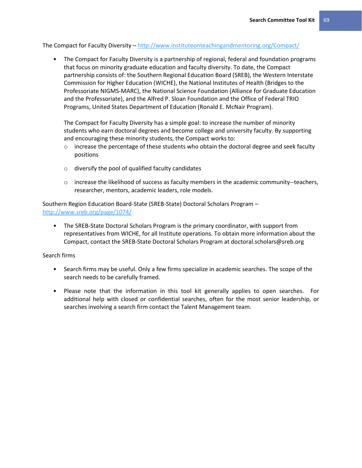The Compact for Faculty Diversity – <http://www.instituteonteachingandmentoring.org/Compact/>

• The Compact for Faculty Diversity is a partnership of regional, federal and foundation programs that focus on minority graduate education and faculty diversity. To date, the Compact partnership consists of: the Southern Regional Education Board (SREB), the Western Interstate Commission for Higher Education (WICHE), the National Institutes of Health (Bridges to the Professoriate NIGMS-MARC), the National Science Foundation (Alliance for Graduate Education and the Professoriate), and the Alfred P. Sloan Foundation and the Office of Federal TRIO Programs, United States Department of Education (Ronald E. McNair Program).

The Compact for Faculty Diversity has a simple goal: to increase the number of minority students who earn doctoral degrees and become college and university faculty. By supporting and encouraging these minority students, the Compact works to:

- $\circ$  increase the percentage of these students who obtain the doctoral degree and seek faculty positions
- o diversify the pool of qualified faculty candidates
- $\circ$  increase the likelihood of success as faculty members in the academic community--teachers, researcher, mentors, academic leaders, role models.

Southern Region Education Board-State (SREB-State) Doctoral Scholars Program – <http://www.sreb.org/page/1074/>

• The SREB-State Doctoral Scholars Program is the primary coordinator, with support from representatives from WICHE, for all Institute operations. To obtain more information about the Compact, contact the SREB-State Doctoral Scholars Program at doctoral.scholars@sreb.org

### Search firms

- Search firms may be useful. Only a few firms specialize in academic searches. The scope of the search needs to be carefully framed.
- Please note that the information in this tool kit generally applies to open searches. For additional help with closed or confidential searches, often for the most senior leadership, or searches involving a search firm contact the Talent Management team.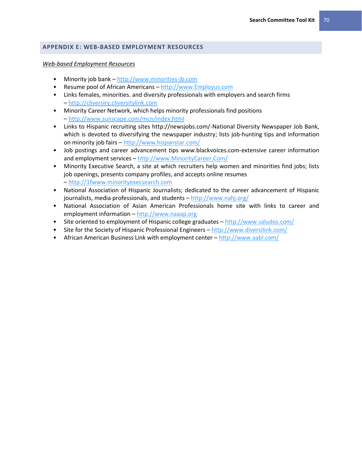# **APPENDIX E: WEB-BASED EMPLOYMENT RESOURCES**

#### *Web-based Employment Resources*

- Minority job bank [http://www.minorities-jb.com](http://www.minorities-jb.com/)
- Resume pool of African Americans [http://www.Employus.com](http://www.employus.com/)
- Links females, minorities. and diversity professionals with employers and search firms – [http://cliversiry.cliversitylink.com](http://cliversiry.cliversitylink.com/)
- Minority Career Network, which helps minority professionals find positions – <http://www.sunscape.com/mcn/index.html>
- Links to Hispanic recruiting sites http://newsjobs.com/-National Diversity Newspaper Job Bank, which is devoted to diversifying the newspaper industry; lists job-hunting tips and information on minority job fairs – <http://www.hispanstar.com/>
- Job postings and career advancement tips www.blackvoices.com-extensive career information and employment services – [http://www.MinorityCareer.Com/](http://www.minoritycareer.com/)
- Minority Executive Search, a site at which recruiters help women and minorities find jobs; lists job openings, presents company profiles, and accepts online resumes – [http://1fwww.minorityexecsearch.com](http://1fwww.minorityexecsearch.com/)
- National Association of Hispanic Journalists; dedicated to the career advancement of Hispanic journalists, media professionals, and students - <http://www.nahj.org/>
- National Association of Asian American Professionals home site with links to career and employment information – [http://www.naaap.org](http://www.naaap.org/)
- Site oriented to employment of Hispanic college graduates <http://www.saludos.com/>
- Site for the Society of Hispanic Professional Engineers <http://www.diversilink.com/>
- African American Business Link with employment center <http://www.aabl.com/>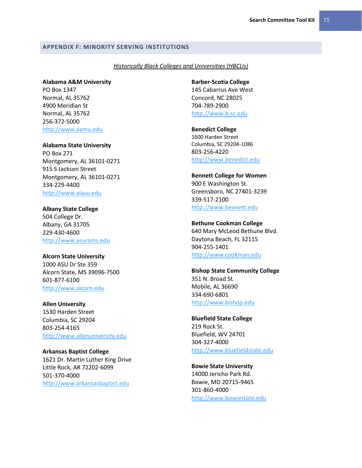#### **APPENDIX F: MINORITY SERVING INSTITUTIONS**

#### *Historically Black Colleges and Universities (HBCUs)*

**Alabama A&M University** PO Box 1347 Normal, AL 35762 4900 Meridian St Normal, AL 35762 256-372-5000 [http://www.aamu.edu](http://www.aamu.edu/)

**Alabama State University** PO Box 271 Montgomery, AL 36101-0271 915 S Jackson Street Montgomery, AL 36101-0271 334-229-4400 [http://www.alasu.edu](http://www.alasu.edu/)

**Albany State College** 504 College Dr. Albany, GA 31705 229-430-4600 [http://www.asurams.edu](http://www.asurams.edu/)

## **Alcorn State University**

1000 ASU Dr Ste 359 Alcorn State, MS 39096-7500 601-877-6100 [http://www.alcorn.edu](http://www.alcorn.edu/)

**Allen University** 1530 Harden Street Columbia, SC 29204 803-254-4165 [http://www.allenuniversity.edu](http://www.allenuniversity.edu/)

**Arkansas Baptist College** 1621 Dr. Martin Luther King Drive Little Rock, AR 72202-6099 501-370-4000 [http://www.arkansasbaptist.edu](http://www.arkansasbaptist.edu/)

**Barber-Scotia College**

145 Cabarrus Ave West Concord, NC 28025 704-789-2900 [http://www.b-sc.edu](http://www.b-sc.edu/)

**Benedict College** 1600 Harden Street Columbia, SC 29204-1086 803-256-4220 [http://www.benedict.edu](http://www.benedict.edu/)

**Bennett College for Women** 900 E Washington St. Greensboro, NC 27401-3239 339-517-2100 [http://www.bennett.edu](http://www.bennett.edu/)

**Bethune Cookman College**

640 Mary McLeod Bethune Blvd. Daytona Beach, FL 32115 904-255-1401 [http://www.cookman.edu](http://www.cookman.edu/)

**Bishop State Community College**

351 N. Broad St. Mobile, AL 36690 334-690-6801 [http://www.bishop.edu](http://www.bishop.edu/)

**Bluefield State College** 219 Rock St. Bluefield, WV 24701 304-327-4000 [http://www.bluefieldstate.edu](http://www.bluefieldstate.edu/)

**Bowie State University** 14000 Jericho Park Rd. Bowie, MD 20715-9465 301-860-4000 [http://www.bowiestate.edu](http://www.bowiestate.edu/)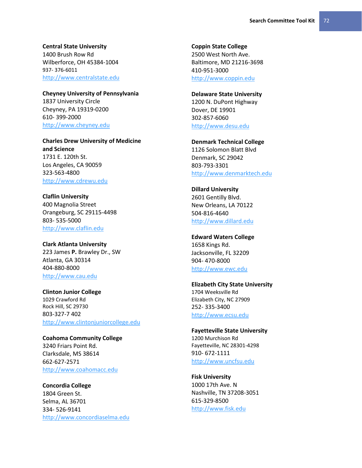**Central State University** 1400 Brush Row Rd Wilberforce, OH 45384-1004 937- 376-6011 [http://www.centralstate.edu](http://www.centralstate.edu/)

**Cheyney University of Pennsylvania** 1837 University Circle Cheyney, PA 19319-0200 610- 399-2000 [http://www.cheyney.edu](http://www.cheyney.edu/)

**Charles Drew University of Medicine and Science** 1731 E. 120th St. Los Angeles, CA 90059 323-563-4800 [http://www.cdrewu.edu](http://www.cdrewu.edu/)

**Claflin University** 400 Magnolia Street Orangeburg, SC 29115-4498 803- 535-5000 [http://www.claflin.edu](http://www.claflin.edu/)

**Clark Atlanta University** 223 James **P.** Brawley Dr., SW Atlanta, GA 30314 404-880-8000 [http://www.cau.edu](http://www.cau.edu/)

**Clinton Junior College** 1029 Crawford Rd Rock Hill, SC 29730 803-327-7 402 [http://www.clintonjuniorcollege.edu](http://www.clintonjuniorcollege.edu/)

**Coahoma Community College** 3240 Friars Point Rd. Clarksdale, MS 38614 662-627-2571 [http://www.coahomacc.edu](http://www.coahomacc.edu/)

**Concordia College** 1804 Green St. Selma, AL 36701 334- 526-9141 [http://www.concordiaselma.edu](http://www.concordiaselma.edu/) **Coppin State College** 2500 West North Ave. Baltimore, MD 21216-3698 410-951-3000 [http://www.coppin.edu](http://www.coppin.edu/)

**Delaware State University**

1200 N. DuPont Highway Dover, DE 19901 302-857-6060 [http://www.desu.edu](http://www.desu.edu/)

**Denmark Technical College** 1126 Solomon Blatt Blvd Denmark, SC 29042 803-793-3301 [http://www.denmarktech.edu](http://www.denmarktech.edu/)

**Dillard University** 2601 Gentilly Blvd. New Orleans, LA 70122 504-816-4640 [http://www.dillard.edu](http://www.dillard.edu/)

**Edward Waters College** 1658 Kings Rd. Jacksonville, FL 32209 904- 470-8000 [http://www.ewc.edu](http://www.ewc.edu/)

**Elizabeth City State University** 1704 Weeksville Rd Elizabeth City, NC 27909 252- 335-3400 [http://www.ecsu.edu](http://www.ecsu.edu/)

**Fayetteville State University** 1200 Murchison Rd Fayetteville, NC 28301-4298 910- 672-1111 [http://www.uncfsu.edu](http://www.uncfsu.edu/)

**Fisk University** 1000 17th Ave. N Nashville, TN 37208-3051 615-329-8500 [http://www.fisk.edu](http://www.fisk.edu/)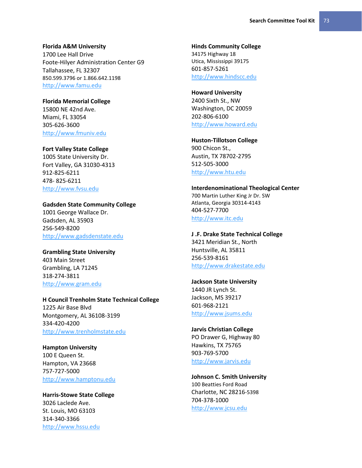**Florida A&M University** 1700 Lee Hall Drive Foote-Hilyer Administration Center G9 Tallahassee, FL 32307 850.599.3796 or 1.866.642.1198 [http://www.famu.edu](http://www.famu.edu/)

**Florida Memorial College** 15800 NE 42nd Ave. Miami, FL 33054 305-626-3600 [http://www.fmuniv.edu](http://www.fmuniv.edu/)

## **Fort Valley State College**

1005 State University Dr. Fort Valley, GA 31030-4313 912-825-6211 478- 825-6211 [http://www.fvsu.edu](http://www.fvsu.edu/)

## **Gadsden State Community College**

1001 George Wallace Dr. Gadsden, AL 35903 256-549-8200 [http://www.gadsdenstate.edu](http://www.gadsdenstate.edu/)

## **Grambling State University**

403 Main Street Grambling, LA 71245 318-274-3811 [http://www.gram.edu](http://www.gram.edu/)

# **H Council Trenholm State Technical College**

1225 Air Base Blvd Montgomery, AL 36108-3199 334-420-4200 [http://www.trenholmstate.edu](http://www.trenholmstate.edu/)

#### **Hampton University**

100 E Queen St. Hampton, VA 23668 757-727-5000 [http://www.hamptonu.edu](http://www.hamptonu.edu/)

**Harris-Stowe State College** 3026 Laclede Ave. St. Louis, MO 63103 314-340-3366 [http://www.hssu.edu](http://www.hssu.edu/)

# **Hinds Community College** 34175 Highway 18 Utica, Mississippi 39175 601-857-5261

[http://www.hindscc.edu](http://www.hindscc.edu/)

#### **Howard University**

2400 Sixth St., NW Washington, DC 20059 202-806-6100 [http://www.howard.edu](http://www.howard.edu/)

**Huston-Tillotson College** 900 Chicon St., Austin, TX 78702-2795 512-505-3000 [http://www.htu.edu](http://www.htu.edu/)

#### **Interdenominational Theological Center**

700 Martin Luther King Jr Dr. SW Atlanta, Georgia 30314-4143 404-527-7700 [http://www.itc.edu](http://www.itc.edu/)

#### **J .F. Drake State Technical College**

3421 Meridian St., North Huntsville, AL 35811 256-539-8161 [http://www.drakestate.edu](http://www.drakestate.edu/)

#### **Jackson State University**

1440 JR Lynch St. Jackson, MS 39217 601-968-2121 [http://www.jsums.edu](http://www.jsums.edu/)

#### **Jarvis Christian College**

PO Drawer G, Highway 80 Hawkins, TX 75765 903-769-5700 [http://www.jarvis.edu](http://www.jarvis.edu/)

# **Johnson C. Smith University** 100 Beatties Ford Road Charlotte, NC 28216-5398 704-378-1000

[http://www.jcsu.edu](http://www.jcsu.edu/)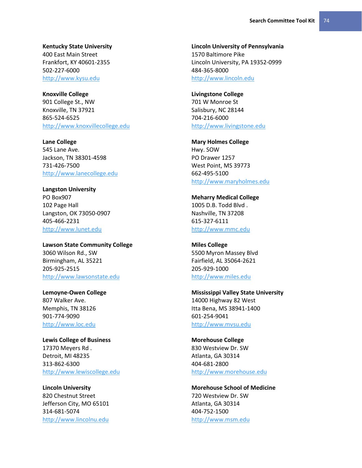**Kentucky State University**

400 East Main Street Frankfort, KY 40601-2355 502-227-6000 [http://www.kysu.edu](http://www.kysu.edu/)

**Knoxville College** 901 College St., NW Knoxville, TN 37921 865-524-6525 [http://www.knoxvillecollege.edu](http://www.knoxvillecollege.edu/)

**Lane College** 545 Lane Ave. Jackson, TN 38301-4598 731-426-7500 [http://www.lanecollege.edu](http://www.lanecollege.edu/)

**Langston University** PO Box907 102 Page Hall Langston, OK 73050-0907 405-466-2231 [http://www.lunet.edu](http://www.lunet.edu/)

**Lawson State Community College** 3060 Wilson Rd., SW Birmingham, AL 35221 205-925-2515 [http://www.lawsonstate.edu](http://www.lawsonstate.edu/)

**Lemoyne-Owen College** 807 Walker Ave. Memphis, TN 38126 901-774-9090 [http://www.loc.edu](http://www.loc.edu/)

**Lewis College of Business** 17370 Meyers Rd . Detroit, MI 48235 313-862-6300 [http://www.lewiscollege.edu](http://www.lewiscollege.edu/)

**Lincoln University** 820 Chestnut Street Jefferson City, MO 65101 314-681-5074 [http://www.lincolnu.edu](http://www.lincolnu.edu/)

**Lincoln University of Pennsylvania** 1570 Baltimore Pike Lincoln University, PA 19352-0999 484-365-8000 [http://www.lincoln.edu](http://www.lincoln.edu/)

**Livingstone College** 701 W Monroe St Salisbury, NC 28144 704-216-6000 [http://www.livingstone.edu](http://www.livingstone.edu/)

**Mary Holmes College** Hwy. SOW PO Drawer 1257 West Point, MS 39773 662-495-5100 [http://www.maryholmes.edu](http://www.maryholmes.edu/)

**Meharry Medical College** 1005 D.B. Todd Blvd . Nashville, TN 37208 615-327-6111 [http://www.mmc.edu](http://www.mmc.edu/)

**Miles College** 5500 Myron Massey Blvd Fairfield, AL 35064-2621 205-929-1000 [http://www.miles.edu](http://www.miles.edu/)

**Mississippi Valley State University** 14000 Highway 82 West Itta Bena, MS 38941-1400 601-254-9041 [http://www.mvsu.edu](http://www.mvsu.edu/)

**Morehouse College** 830 Westview Dr. SW Atlanta, GA 30314 404-681-2800 [http://www.morehouse.edu](http://www.morehouse.edu/)

**Morehouse School of Medicine** 720 Westview Dr. SW Atlanta, GA 30314 404-752-1500 [http://www.msm.edu](http://www.msm.edu/)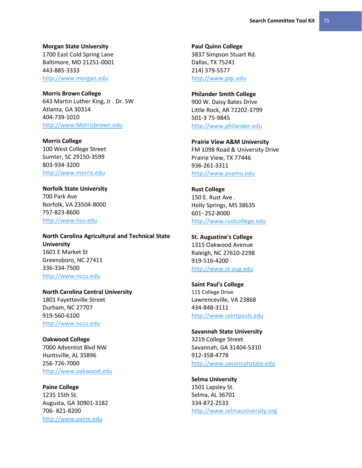**Morgan State University**

1700 East Cold Spring Lane Baltimore, MD 21251-0001 443-885-3333 [http://www.morgan.edu](http://www.morgan.edu/)

**Morris Brown College** 643 Martin Luther King, Jr . Dr. SW Atlanta, GA 30314 404-739-1010 [http://www.Morrisbrown.edu](http://www.morrisbrown.edu/)

**Morris College** 100 West College Street Sumter, SC 29150-3599 803-934-3200 [http://www.morris.edu](http://www.morris.edu/)

**Norfolk State University** 700 Park Ave Norfolk, VA 23504-8000 757-823-8600 [http://www.nsu.edu](http://www.nsu.edu/)

**North Carolina Agricultural and Technical State University** 1601 E Market St Greensboro, NC 27411 336-334-7500 [http://www.nccu.edu](http://www.nccu.edu/)

**North Carolina Central University** 1801 Fayetteville Street Durham, NC 27707 919-560-6100 [http://www.nccu.edu](http://www.nccu.edu/)

**Oakwood College** 7000 Adventist Blvd NW Huntsville, AL 35896 256-726-7000 [http://www.oakwood.edu](http://www.oakwood.edu/)

**Paine College** 1235 15th St. Augusta, GA 30901-3182 706- 821-8200 [http://www.paine.edu](http://www.paine.edu/)

**Paul Quinn College** 3837 Simpson Stuart Rd. Dallas, TX 75241 214) 379-5577 [http://www.pqc.edu](http://www.pqc.edu/)

**Philander Smith College** 900 W. Daisy Bates Drive Little Rock, AR 72202-3799 501-3 75-9845 [http://www.philander.edu](http://www.philander.edu/)

**Prairie View A&M University** FM 1098 Road & University Drive Prairie View, TX 77446 936-261-3311 [http://www.pvamu.edu](http://www.pvamu.edu/)

**Rust College** 150 E. Rust Ave . Holly Springs, MS 38635 601- 252-8000 [http://www.rustcollege.edu](http://www.rustcollege.edu/)

**St. Augustine's College** 1315 Oakwood Avenue Raleigh, NC 27610-2298 919-516-4200 [http://www.st-aug.edu](http://www.st-aug.edu/)

**Saint Paul's College** 115 College Drive Lawrenceville, VA 23868 434-848-3111 [http://www.saintpauls.edu](http://www.saintpauls.edu/)

**Savannah State University** 3219 College Street Savannah, GA 31404-5310 912-358-4778 [http://www.savannahstate.edu](http://www.savannahstate.edu/)

**Selma University** 1501 Lapsley St. Selma, AL 36701 334-872-2533 [http://www.selmauniversity.org](http://www.selmauniversity.org/)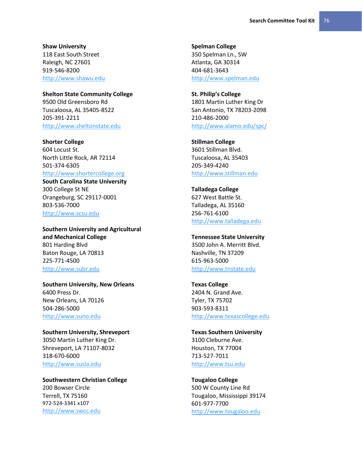**Shaw University** 118 East South Street Raleigh, NC 27601 919-546-8200 [http://www.shawu.edu](http://www.shawu.edu/)

**Shelton State Community College** 9500 Old Greensboro Rd Tuscaloosa, AL 35405-8522 205-391-2211 [http://www.sheltonstate.edu](http://www.sheltonstate.edu/)

**Shorter College** 604 Locust St. North Little Rock, AR 72114 501-374-6305 [http://www.shortercollege.org](http://www.shortercollege.org/)

**South Carolina State University** 300 College St NE Orangeburg, SC 29117-0001 803-536-7000 [http://www.scsu.edu](http://www.scsu.edu/)

**Southern University and Agricultural and Mechanical College** 801 Harding Blvd Baton Rouge, LA 70813 225-771-4500 [http://www.subr.edu](http://www.subr.edu/)

**Southern University, New Orleans** 6400 Press Dr. New Orleans, LA 70126 504-286-5000 [http://www.suno.edu](http://www.suno.edu/)

**Southern University, Shreveport** 3050 Martin Luther King Dr. Shreveport, LA 71107-8032 318-670-6000 [http://www.susla.edu](http://www.susla.edu/)

**Southwestern Christian College** 200 Bowser Circle Terrell, TX 75160 972-524-3341 x107 [http://www.swcc.edu](http://www.swcc.edu/)

**Spelman College** 350 Spelman Ln., SW Atlanta, GA 30314 404-681-3643 [http://www.spelman.edu](http://www.spelman.edu/)

**St. Philip's College**  1801 Martin Luther King Dr San Antonio, TX 78203-2098 210-486-2000 <http://www.alamo.edu/spc/>

**Stillman College** 3601 Stillman Blvd. Tuscaloosa, AL 35403 205-349-4240 [http://www.stillman.edu](http://www.stillman.edu/)

**Talladega College** 627 West Battle St. Talladega, AL 35160 256-761-6100 [http://www.talladega.edu](http://www.talladega.edu/)

**Tennessee State University** 3500 John A. Merritt Blvd. Nashville, TN 37209 615-963-5000 [http://www.tnstate.edu](http://www.tnstate.edu/)

**Texas College** 2404 N. Grand Ave. Tyler, TX 75702 903-593-8311 [http://www.texascollege.edu](http://www.texascollege.edu/)

**Texas Southern University** 3100 Cleburne Ave. Houston, TX 77004 713-527-7011 [http://www.tsu.edu](http://www.tsu.edu/)

**Tougaloo College** 500 W County Line Rd Tougaloo, Mississippi 39174 601-977-7700 [http://www.tougaloo.edu](http://www.tougaloo.edu/)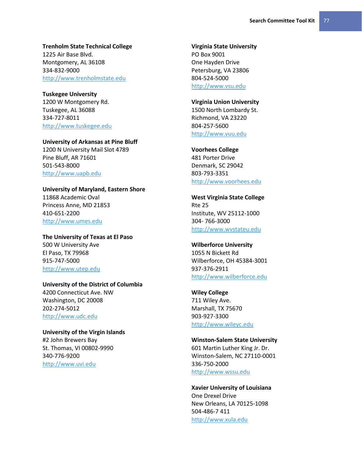# **Trenholm State Technical College**

1225 Air Base Blvd. Montgomery, AL 36108 334-832-9000 [http://www.trenholmstate.edu](http://www.trenholmstate.edu/)

### **Tuskegee University**

1200 W Montgomery Rd. Tuskegee, AL 36088 334-727-8011 [http://www.tuskegee.edu](http://www.tuskegee.edu/)

# **University of Arkansas at Pine Bluff**

1200 N University Mail Slot 4789 Pine Bluff, AR 71601 501-543-8000 [http://www.uapb.edu](http://www.uapb.edu/)

# **University of Maryland, Eastern Shore**

11868 Academic Oval Princess Anne, MD 21853 410-651-2200 [http://www.umes.edu](http://www.umes.edu/)

**The University of Texas at El Paso** 500 W University Ave El Paso, TX 79968 915-747-5000 [http://www.utep.edu](http://www.utep.edu/)

# **University of the District of Columbia** 4200 Connecticut Ave. NW Washington, DC 20008 202-274-5012

[http://www.udc.edu](http://www.udc.edu/)

# **University of the Virgin Islands** #2 John Brewers Bay St. Thomas, VI 00802-9990 340-776-9200 [http://www.uvi.edu](http://www.uvi.edu/)

#### **Virginia State University** PO Box 9001

One Hayden Drive Petersburg, VA 23806 804-524-5000 [http://www.vsu.edu](http://www.vsu.edu/)

## **Virginia Union University**

1500 North Lombardy St. Richmond, VA 23220 804-257-5600 [http://www.vuu.edu](http://www.vuu.edu/)

# **Voorhees College**

481 Porter Drive Denmark, SC 29042 803-793-3351 [http://www.voorhees.edu](http://www.voorhees.edu/)

**West Virginia State College** Rte 25 Institute, WV 25112-1000 304- 766-3000 [http://www.wvstateu.edu](http://www.wvstateu.edu/)

# **Wilberforce University** 1055 N Bickett Rd

Wilberforce, OH 45384-3001 937-376-2911 [http://www.wilberforce.edu](http://www.wilberforce.edu/)

# **Wiley College**

711 Wiley Ave. Marshall, TX 75670 903-927-3300 [http://www.wileyc.edu](http://www.wileyc.edu/)

### **Winston-Salem State University**

601 Martin Luther King Jr. Dr. Winston-Salem, NC 27110-0001 336-750-2000 [http://www.wssu.edu](http://www.wssu.edu/)

# **Xavier University of Louisiana**

One Drexel Drive New Orleans, LA 70125-1098 504-486-7 411 [http://www.xula.edu](http://www.xula.edu/)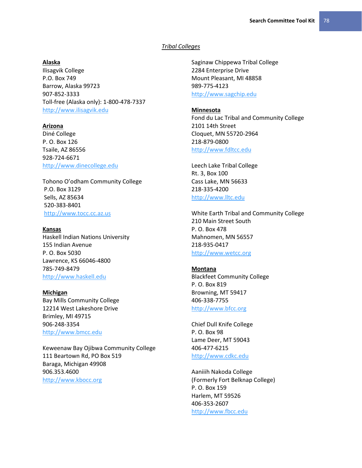#### *Tribal Colleges*

## **Alaska**

Ilisagvik College P.O. Box 749 Barrow, Alaska 99723 907-852-3333 Toll-free (Alaska only): 1-800-478-7337 [http://www.ilisagvik.edu](http://www.ilisagvik.edu/)

# **Arizona**

Diné College P. O. Box 126 Tsaile, AZ 86556 928-724-6671 [http://www.dinecollege.edu](http://www.dinecollege.edu/)

Tohono O'odham Community College P.O. Box 3129 Sells, AZ 85634 520-383-8401 [http://www.tocc.cc.az.us](http://www.tocc.cc.az.us/)

#### **Kansas**

Haskell Indian Nations University 155 Indian Avenue P. O. Box 5030 Lawrence, KS 66046-4800 785-749-8479 [http://www.haskell.edu](http://www.haskell.edu/)

**Michigan** Bay Mills Community College 12214 West Lakeshore Drive Brimley, MI 49715 906-248-3354 [http://www.bmcc.edu](http://www.bmcc.edu/)

Keweenaw Bay Ojibwa Community College 111 Beartown Rd, PO Box 519 Baraga, Michigan 49908 906.353.4600 [http://www.kbocc.org](http://www.kbocc.org/)

Saginaw Chippewa Tribal College 2284 Enterprise Drive Mount Pleasant, MI 48858 989-775-4123 [http://www.sagchip.edu](http://www.sagchip.edu/)

## **Minnesota**

Fond du Lac Tribal and Community College 2101 14th Street Cloquet, MN 55720-2964 218-879-0800 [http://www.fdltcc.edu](http://www.fdltcc.edu/)

Leech Lake Tribal College Rt. 3, Box 100 Cass Lake, MN 56633 218-335-4200 [http://www.lltc.edu](http://www.lltc.edu/)

White Earth Tribal and Community College 210 Main Street South P. O. Box 478 Mahnomen, MN 56557 218-935-0417 [http://www.wetcc.org](http://www.wetcc.org/)

#### **Montana**

Blackfeet Community College P. O. Box 819 Browning, MT 59417 406-338-7755 [http://www.bfcc.org](http://www.bfcc.org/)

Chief Dull Knife College P. O. Box 98 Lame Deer, MT 59043 406-477-6215 [http://www.cdkc.edu](http://www.cdkc.edu/)

Aaniiih Nakoda College (Formerly Fort Belknap College) P. O. Box 159 Harlem, MT 59526 406-353-2607 [http://www.fbcc.edu](http://www.fbcc.edu/)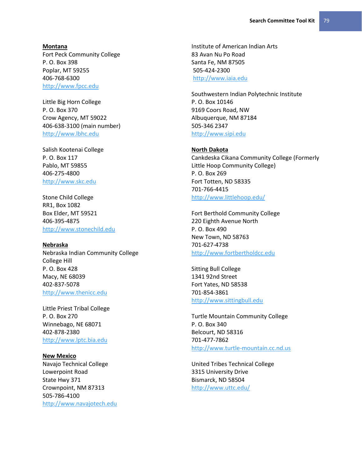#### **Montana**

Fort Peck Community College P. O. Box 398 Poplar, MT 59255 406-768-6300 [http://www.fpcc.edu](http://www.fpcc.edu/)

Little Big Horn College P. O. Box 370 Crow Agency, MT 59022 406-638-3100 (main number) [http://www.lbhc.edu](http://www.lbhc.edu/)

Salish Kootenai College P. O. Box 117 Pablo, MT 59855 406-275-4800 [http://www.skc.edu](http://www.skc.edu/)

Stone Child College RR1, Box 1082 Box Elder, MT 59521 406-395-4875 [http://www.stonechild.edu](http://www.stonechild.edu/)

#### **Nebraska**

Nebraska Indian Community College College Hill P. O. Box 428 Macy, NE 68039 402-837-5078 [http://www.thenicc.edu](http://www.thenicc.edu/)

Little Priest Tribal College P. O. Box 270 Winnebago, NE 68071 402-878-2380 [http://www.lptc.bia.edu](http://www.lptc.bia.edu/)

**New Mexico** Navajo Technical College Lowerpoint Road State Hwy 371 Crownpoint, NM 87313 505-786-4100 [http://www.navajotech.edu](http://www.navajotech.edu/) Institute of American Indian Arts 83 Avan Nu Po Road Santa Fe, NM 87505 505-424-2300 [http://www.iaia.edu](http://www.iaia.edu/)

Southwestern Indian Polytechnic Institute P. O. Box 10146 9169 Coors Road, NW Albuquerque, NM 87184 505-346 2347 [http://www.sipi.edu](http://www.sipi.edu/)

## **North Dakota**

Cankdeska Cikana Community College (Formerly Little Hoop Community College) P. O. Box 269 Fort Totten, ND 58335 701-766-4415 <http://www.littlehoop.edu/>

Fort Berthold Community College 220 Eighth Avenue North P. O. Box 490 New Town, ND 58763 701-627-4738 [http://www.fortbertholdcc.edu](http://www.fortbertholdcc.edu/)

Sitting Bull College 1341 92nd Street Fort Yates, ND 58538 701-854-3861 [http://www.sittingbull.edu](http://www.sittingbull.edu/)

Turtle Mountain Community College P. O. Box 340 Belcourt, ND 58316 701-477-7862 [http://www.turtle-mountain.cc.nd.us](http://www.turtle-mountain.cc.nd.us/)

United Tribes Technical College 3315 University Drive Bismarck, ND 58504 <http://www.uttc.edu/>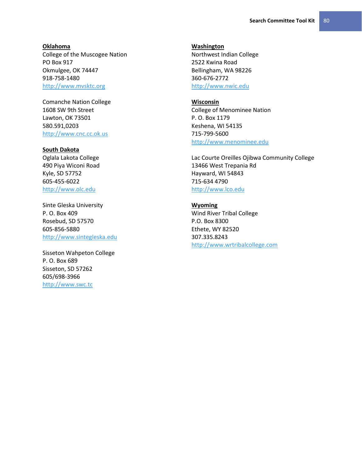#### **Oklahoma**

College of the Muscogee Nation PO Box 917 Okmulgee, OK 74447 918-758-1480 [http://www.mvsktc.org](http://www.mvsktc.org/)

Comanche Nation College 1608 SW 9th Street Lawton, OK 73501 580.591,0203 [http://www.cnc.cc.ok.us](http://www.cnc.cc.ok.us/)

## **South Dakota**

Oglala Lakota College 490 Piya Wiconi Road Kyle, SD 57752 605-455-6022 [http://www.olc.edu](http://www.olc.edu/)

Sinte Gleska University P. O. Box 409 Rosebud, SD 57570 605-856-5880 [http://www.sintegleska.edu](http://www.sintegleska.edu/)

Sisseton Wahpeton College P. O. Box 689 Sisseton, SD 57262 605/698-3966 [http://www.swc.tc](http://www.swc.tc/)

#### **Washington**

Northwest Indian College 2522 Kwina Road Bellingham, WA 98226 360-676-2772 [http://www.nwic.edu](http://www.nwic.edu/)

#### **Wisconsin**

College of Menominee Nation P. O. Box 1179 Keshena, WI 54135 715-799-5600 [http://www.menominee.edu](http://www.menominee.edu/)

Lac Courte Oreilles Ojibwa Community College 13466 West Trepania Rd Hayward, WI 54843 715-634 4790 [http://www.lco.edu](http://www.lco.edu/)

**Wyoming** Wind River Tribal College P.O. Box 8300 Ethete, WY 82520 307.335.8243 [http://www.wrtribalcollege.com](http://www.wrtribalcollege.com/)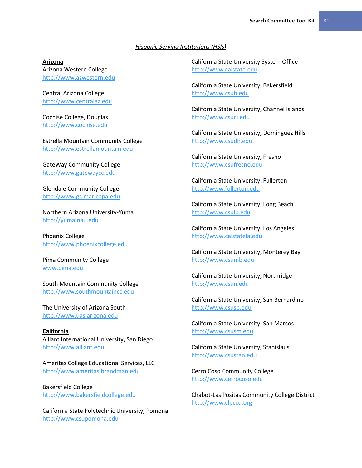#### *Hispanic Serving Institutions (HSIs)*

## **Arizona**

Arizona Western College [http://www.azwestern.edu](http://www.azwestern.edu/)

Central Arizona College [http://www.centralaz.edu](http://www.centralaz.edu/)

Cochise College, Douglas [http://www.cochise.edu](http://www.cochise.edu/)

Estrella Mountain Community College [http://www.estrellamountain.edu](http://www.estrellamountain.edu/)

GateWay Community College [http://www.gatewaycc.edu](http://www.gatewaycc.edu/)

Glendale Community College [http://www.gc.maricopa.edu](http://www.gc.maricopa.edu/)

Northern Arizona University-Yuma [http://yuma.nau.edu](http://yuma.nau.edu/)

Phoenix College [http://www.phoenixcollege.edu](http://www.phoenixcollege.edu/)

Pima Community College [www.pima.edu](file:///F:/Talent%20Management/Search%20Committee/Toolkit/New%20Drafts%20of%20Toolkit/Final%20Drafts%20of%20Tool%20Kit/Website%20Tool%20Kit/Final%20Drafts/www.pima.edu)

South Mountain Community College [http://www.southmountaincc.edu](http://www.southmountaincc.edu/)

The University of Arizona South [http://www.uas.arizona.edu](http://www.uas.arizona.edu/)

**California** Alliant International University, San Diego [http://www.alliant.edu](http://www.alliant.edu/)

Ameritas College Educational Services, LLC [http://www.ameritas.brandman.edu](http://www.ameritas.brandman.edu/)

Bakersfield College [http://www.bakersfieldcollege.edu](http://www.bakersfieldcollege.edu/)

California State Polytechnic University, Pomona [http://www.csupomona.edu](http://www.csupomona.edu/)

California State University System Office [http://www.calstate.edu](http://www.calstate.edu/)

California State University, Bakersfield [http://www.csub.edu](http://www.csub.edu/)

California State University, Channel Islands [http://www.csuci.edu](http://www.csuci.edu/)

California State University, Dominguez Hills [http://www.csudh.edu](http://www.csudh.edu/)

California State University, Fresno [http://www.csufresno.edu](http://www.csufresno.edu/)

California State University, Fullerton [http://www.fullerton.edu](http://www.fullerton.edu/)

California State University, Long Beach [http://www.csulb.edu](http://www.csulb.edu/)

California State University, Los Angeles [http://www.calstatela.edu](http://www.calstatela.edu/)

California State University, Monterey Bay [http://www.csumb.edu](http://www.csumb.edu/)

California State University, Northridge [http://www.csun.edu](http://www.csun.edu/)

California State University, San Bernardino [http://www.csusb.edu](http://www.csusb.edu/)

California State University, San Marcos [http://www.csusm.edu](http://www.csusm.edu/)

California State University, Stanislaus [http://www.csustan.edu](http://www.csustan.edu/)

Cerro Coso Community College [http://www.cerrocoso.edu](http://www.cerrocoso.edu/)

Chabot-Las Positas Community College District [http://www.clpccd.org](http://www.clpccd.org/)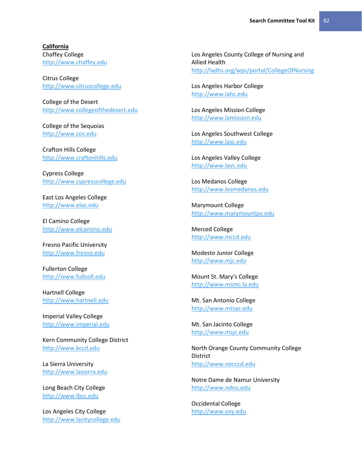**California** Chaffey College [http://www.chaffey.edu](http://www.chaffey.edu/)

Citrus College [http://www.citruscollege.edu](http://www.citruscollege.edu/)

College of the Desert [http://www.collegeofthedesert.edu](http://www.collegeofthedesert.edu/)

College of the Sequoias [http://www.cos.edu](http://www.cos.edu/)

Crafton Hills College [http://www.craftonhills.edu](http://www.craftonhills.edu/)

Cypress College [http://www.cypresscollege.edu](http://www.cypresscollege.edu/)

East Los Angeles College [http://www.elac.edu](http://www.elac.edu/)

El Camino College [http://www.elcamino.edu](http://www.elcamino.edu/)

Fresno Pacific University [http://www.fresno.edu](http://www.fresno.edu/)

Fullerton College [http://www.fullcoll.edu](http://www.fullcoll.edu/)

Hartnell College [http://www.hartnell.edu](http://www.hartnell.edu/)

Imperial Valley College [http://www.imperial.edu](http://www.imperial.edu/)

Kern Community College District [http://www.kccd.edu](http://www.kccd.edu/)

La Sierra University [http://www.lasierra.edu](http://www.lasierra.edu/)

Long Beach City College [http://www.lbcc.edu](http://www.lbcc.edu/)

Los Angeles City College [http://www.lacitycollege.edu](http://www.lacitycollege.edu/)

Los Angeles County College of Nursing and Allied Health <http://ladhs.org/wps/portal/CollegeOfNursing>

Los Angeles Harbor College [http://www.lahc.edu](http://www.lahc.edu/)

Los Angeles Mission College [http://www.lamission.edu](http://www.lamission.edu/)

Los Angeles Southwest College [http://www.lasc.edu](http://www.lasc.edu/)

Los Angeles Valley College [http://www.lavc.edu](http://www.lavc.edu/)

Los Medanos College [http://www.losmedanos.edu](http://www.losmedanos.edu/)

Marymount College [http://www.marymountpv.edu](http://www.marymountpv.edu/)

Merced College [http://www.mccd.edu](http://www.mccd.edu/)

Modesto Junior College [http://www.mjc.edu](http://www.mjc.edu/)

Mount St. Mary's College [http://www.msmc.la.edu](http://www.msmc.la.edu/)

Mt. San Antonio College [http://www.mtsac.edu](http://www.mtsac.edu/)

Mt. San Jacinto College [http://www.msjc.edu](http://www.msjc.edu/)

North Orange County Community College **District** [http://www.nocccd.edu](http://www.nocccd.edu/)

Notre Dame de Namur University [http://www.ndnu.edu](http://www.ndnu.edu/)

Occidental College [http://www.oxy.edu](http://www.oxy.edu/)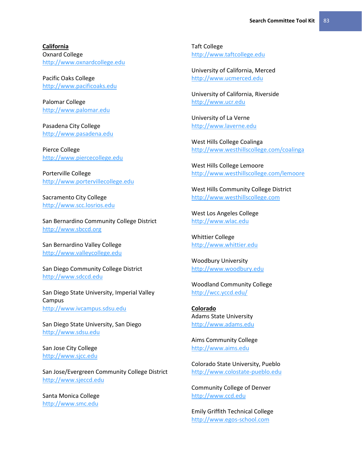**California** Oxnard College [http://www.oxnardcollege.edu](http://www.oxnardcollege.edu/)

Pacific Oaks College [http://www.pacificoaks.edu](http://www.pacificoaks.edu/)

Palomar College [http://www.palomar.edu](http://www.palomar.edu/)

Pasadena City College [http://www.pasadena.edu](http://www.pasadena.edu/)

Pierce College [http://www.piercecollege.edu](http://www.piercecollege.edu/)

Porterville College [http://www.portervillecollege.edu](http://www.portervillecollege.edu/)

Sacramento City College [http://www.scc.losrios.edu](http://www.scc.losrios.edu/)

San Bernardino Community College District [http://www.sbccd.org](http://www.sbccd.org/)

San Bernardino Valley College [http://www.valleycollege.edu](http://www.valleycollege.edu/)

San Diego Community College District [http://www.sdccd.edu](http://www.sdccd.edu/)

San Diego State University, Imperial Valley Campus [http://www.ivcampus.sdsu.edu](http://www.ivcampus.sdsu.edu/)

San Diego State University, San Diego [http://www.sdsu.edu](http://www.sdsu.edu/)

San Jose City College [http://www.sjcc.edu](http://www.sjcc.edu/)

San Jose/Evergreen Community College District [http://www.sjeccd.edu](http://www.sjeccd.edu/)

Santa Monica College [http://www.smc.edu](http://www.smc.edu/)

Taft College [http://www.taftcollege.edu](http://www.taftcollege.edu/)

University of California, Merced [http://www.ucmerced.edu](http://www.ucmerced.edu/)

University of California, Riverside [http://www.ucr.edu](http://www.ucr.edu/)

University of La Verne [http://www.laverne.edu](http://www.laverne.edu/)

West Hills College Coalinga <http://www.westhillscollege.com/coalinga>

West Hills College Lemoore <http://www.westhillscollege.com/lemoore>

West Hills Community College District [http://www.westhillscollege.com](http://www.westhillscollege.com/)

West Los Angeles College [http://www.wlac.edu](http://www.wlac.edu/)

Whittier College [http://www.whittier.edu](http://www.whittier.edu/)

Woodbury University [http://www.woodbury.edu](http://www.woodbury.edu/)

Woodland Community College <http://wcc.yccd.edu/>

**Colorado** Adams State University [http://www.adams.edu](http://www.adams.edu/)

Aims Community College [http://www.aims.edu](http://www.aims.edu/)

Colorado State University, Pueblo [http://www.colostate-pueblo.edu](http://www.colostate-pueblo.edu/)

Community College of Denver [http://www.ccd.edu](http://www.ccd.edu/)

Emily Griffith Technical College [http://www.egos-school.com](http://www.egos-school.com/)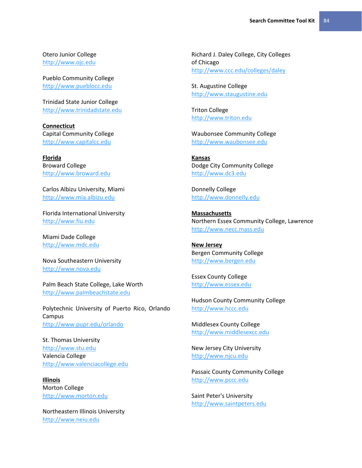Otero Junior College [http://www.ojc.edu](http://www.ojc.edu/)

Pueblo Community College [http://www.pueblocc.edu](http://www.pueblocc.edu/)

Trinidad State Junior College [http://www.trinidadstate.edu](http://www.trinidadstate.edu/)

**Connecticut** Capital Community College [http://www.capitalcc.edu](http://www.capitalcc.edu/)

**Florida** Broward College [http://www.broward.edu](http://www.broward.edu/)

Carlos Albizu University, Miami [http://www.mia.albizu.edu](http://www.mia.albizu.edu/)

Florida International University [http://www.fiu.edu](http://www.fiu.edu/)

Miami Dade College [http://www.mdc.edu](http://www.mdc.edu/)

Nova Southeastern University [http://www.nova.edu](http://www.nova.edu/)

Palm Beach State College, Lake Worth [http://www.palmbeachstate.edu](http://www.palmbeachstate.edu/)

Polytechnic University of Puerto Rico, Orlando Campus <http://www.pupr.edu/orlando>

St. Thomas University [http://www.stu.edu](http://www.stu.edu/) Valencia College [http://www.valenciacollege.edu](http://www.valenciacollege.edu/)

**Illinois** Morton College [http://www.morton.edu](http://www.morton.edu/)

Northeastern Illinois University [http://www.neiu.edu](http://www.neiu.edu/)

Richard J. Daley College, City Colleges of Chicago <http://www.ccc.edu/colleges/daley>

St. Augustine College [http://www.staugustine.edu](http://www.staugustine.edu/)

Triton College [http://www.triton.edu](http://www.triton.edu/)

Waubonsee Community College [http://www.waubonsee.edu](http://www.waubonsee.edu/)

**Kansas** Dodge City Community College [http://www.dc3.edu](http://www.dc3.edu/)

Donnelly College [http://www.donnelly.edu](http://www.donnelly.edu/)

**Massachusetts** Northern Essex Community College, Lawrence [http://www.necc.mass.edu](http://www.necc.mass.edu/)

**New Jersey** Bergen Community College [http://www.bergen.edu](http://www.bergen.edu/)

Essex County College [http://www.essex.edu](http://www.essex.edu/)

Hudson County Community College [http://www.hccc.edu](http://www.hccc.edu/)

Middlesex County College [http://www.middlesexcc.edu](http://www.middlesexcc.edu/)

New Jersey City University [http://www.njcu.edu](http://www.njcu.edu/)

Passaic County Community College [http://www.pccc.edu](http://www.pccc.edu/)

Saint Peter's University [http://www.saintpeters.edu](http://www.saintpeters.edu/)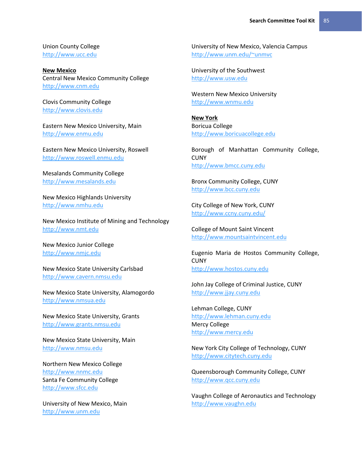Union County College [http://www.ucc.edu](http://www.ucc.edu/)

**New Mexico** Central New Mexico Community College [http://www.cnm.edu](http://www.cnm.edu/)

Clovis Community College [http://www.clovis.edu](http://www.clovis.edu/)

Eastern New Mexico University, Main [http://www.enmu.edu](http://www.enmu.edu/)

Eastern New Mexico University, Roswell [http://www.roswell.enmu.edu](http://www.roswell.enmu.edu/)

Mesalands Community College [http://www.mesalands.edu](http://www.mesalands.edu/)

New Mexico Highlands University [http://www.nmhu.edu](http://www.nmhu.edu/)

New Mexico Institute of Mining and Technology [http://www.nmt.edu](http://www.nmt.edu/)

New Mexico Junior College [http://www.nmjc.edu](http://www.nmjc.edu/)

New Mexico State University Carlsbad [http://www.cavern.nmsu.edu](http://www.cavern.nmsu.edu/)

New Mexico State University, Alamogordo [http://www.nmsua.edu](http://www.nmsua.edu/)

New Mexico State University, Grants [http://www.grants.nmsu.edu](http://www.grants.nmsu.edu/)

New Mexico State University, Main [http://www.nmsu.edu](http://www.nmsu.edu/)

Northern New Mexico College [http://www.nnmc.edu](http://www.nnmc.edu/) Santa Fe Community College [http://www.sfcc.edu](http://www.sfcc.edu/)

University of New Mexico, Main [http://www.unm.edu](http://www.unm.edu/)

University of New Mexico, Valencia Campus <http://www.unm.edu/~unmvc>

University of the Southwest [http://www.usw.edu](http://www.usw.edu/)

Western New Mexico University [http://www.wnmu.edu](http://www.wnmu.edu/)

**New York** Boricua College [http://www.boricuacollege.edu](http://www.boricuacollege.edu/)

Borough of Manhattan Community College, **CUNY** [http://www.bmcc.cuny.edu](http://www.bmcc.cuny.edu/)

Bronx Community College, CUNY [http://www.bcc.cuny.edu](http://www.bcc.cuny.edu/)

City College of New York, CUNY <http://www.ccny.cuny.edu/>

College of Mount Saint Vincent [http://www.mountsaintvincent.edu](http://www.mountsaintvincent.edu/)

Eugenio Maria de Hostos Community College, **CUNY** [http://www.hostos.cuny.edu](http://www.hostos.cuny.edu/)

John Jay College of Criminal Justice, CUNY [http://www.jjay.cuny.edu](http://www.jjay.cuny.edu/)

Lehman College, CUNY [http://www.lehman.cuny.edu](http://www.lehman.cuny.edu/) Mercy College [http://www.mercy.edu](http://www.mercy.edu/)

New York City College of Technology, CUNY [http://www.citytech.cuny.edu](http://www.citytech.cuny.edu/)

Queensborough Community College, CUNY [http://www.qcc.cuny.edu](http://www.qcc.cuny.edu/)

Vaughn College of Aeronautics and Technology [http://www.vaughn.edu](http://www.vaughn.edu/)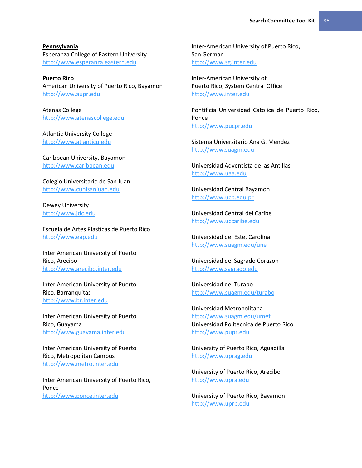**Pennsylvania** Esperanza College of Eastern University [http://www.esperanza.eastern.edu](http://www.esperanza.eastern.edu/)

**Puerto Rico** American University of Puerto Rico, Bayamon [http://www.aupr.edu](http://www.aupr.edu/)

Atenas College [http://www.atenascollege.edu](http://www.atenascollege.edu/)

Atlantic University College [http://www.atlanticu.edu](http://www.atlanticu.edu/)

Caribbean University, Bayamon [http://www.caribbean.edu](http://www.caribbean.edu/)

Colegio Universitario de San Juan [http://www.cunisanjuan.edu](http://www.cunisanjuan.edu/)

Dewey University [http://www.jdc.edu](http://www.jdc.edu/)

Escuela de Artes Plasticas de Puerto Rico [http://www.eap.edu](http://www.eap.edu/)

Inter American University of Puerto Rico, Arecibo [http://www.arecibo.inter.edu](http://www.arecibo.inter.edu/)

Inter American University of Puerto Rico, Barranquitas [http://www.br.inter.edu](http://www.br.inter.edu/)

Inter American University of Puerto Rico, Guayama [http://www.guayama.inter.edu](http://www.guayama.inter.edu/)

Inter American University of Puerto Rico, Metropolitan Campus [http://www.metro.inter.edu](http://www.metro.inter.edu/)

Inter American University of Puerto Rico, Ponce [http://www.ponce.inter.edu](http://www.ponce.inter.edu/)

Inter-American University of Puerto Rico, San German [http://www.sg.inter.edu](http://www.sg.inter.edu/)

Inter-American University of Puerto Rico, System Central Office [http://www.inter.edu](http://www.inter.edu/)

Pontificia Universidad Catolica de Puerto Rico, Ponce [http://www.pucpr.edu](http://www.pucpr.edu/)

Sistema Universitario Ana G. Méndez [http://www.suagm.edu](http://www.suagm.edu/)

Universidad Adventista de las Antillas [http://www.uaa.edu](http://www.uaa.edu/)

Universidad Central Bayamon [http://www.ucb.edu.pr](http://www.ucb.edu.pr/)

Universidad Central del Caribe [http://www.uccaribe.edu](http://www.uccaribe.edu/)

Universidad del Este, Carolina <http://www.suagm.edu/une>

Universidad del Sagrado Corazon [http://www.sagrado.edu](http://www.sagrado.edu/)

Universidad del Turabo <http://www.suagm.edu/turabo>

Universidad Metropolitana <http://www.suagm.edu/umet> Universidad Politecnica de Puerto Rico [http://www.pupr.edu](http://www.pupr.edu/)

University of Puerto Rico, Aguadilla [http://www.uprag.edu](http://www.uprag.edu/)

University of Puerto Rico, Arecibo [http://www.upra.edu](http://www.upra.edu/)

University of Puerto Rico, Bayamon [http://www.uprb.edu](http://www.uprb.edu/)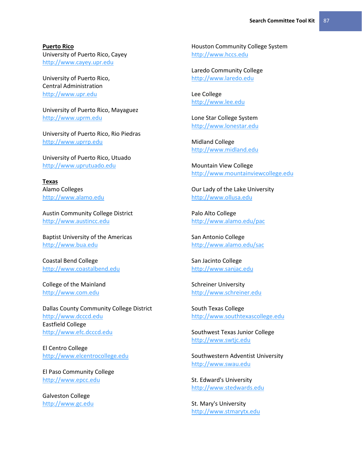**Puerto Rico** University of Puerto Rico, Cayey [http://www.cayey.upr.edu](http://www.cayey.upr.edu/)

University of Puerto Rico, Central Administration [http://www.upr.edu](http://www.upr.edu/)

University of Puerto Rico, Mayaguez [http://www.uprm.edu](http://www.uprm.edu/)

University of Puerto Rico, Rio Piedras [http://www.uprrp.edu](http://www.uprrp.edu/)

University of Puerto Rico, Utuado [http://www.uprutuado.edu](http://www.uprutuado.edu/)

**Texas** Alamo Colleges [http://www.alamo.edu](http://www.alamo.edu/)

Austin Community College District [http://www.austincc.edu](http://www.austincc.edu/)

Baptist University of the Americas [http://www.bua.edu](http://www.bua.edu/)

Coastal Bend College [http://www.coastalbend.edu](http://www.coastalbend.edu/)

College of the Mainland [http://www.com.edu](http://www.com.edu/)

Dallas County Community College District [http://www.dcccd.edu](http://www.dcccd.edu/) Eastfield College [http://www.efc.dcccd.edu](http://www.efc.dcccd.edu/)

El Centro College [http://www.elcentrocollege.edu](http://www.elcentrocollege.edu/)

El Paso Community College [http://www.epcc.edu](http://www.epcc.edu/)

Galveston College [http://www.gc.edu](http://www.gc.edu/) Houston Community College System [http://www.hccs.edu](http://www.hccs.edu/)

Laredo Community College [http://www.laredo.edu](http://www.laredo.edu/)

Lee College [http://www.lee.edu](http://www.lee.edu/)

Lone Star College System [http://www.lonestar.edu](http://www.lonestar.edu/)

Midland College [http://www.midland.edu](http://www.midland.edu/)

Mountain View College [http://www.mountainviewcollege.edu](http://www.mountainviewcollege.edu/)

Our Lady of the Lake University [http://www.ollusa.edu](http://www.ollusa.edu/)

Palo Alto College <http://www.alamo.edu/pac>

San Antonio College <http://www.alamo.edu/sac>

San Jacinto College [http://www.sanjac.edu](http://www.sanjac.edu/)

Schreiner University [http://www.schreiner.edu](http://www.schreiner.edu/)

South Texas College [http://www.southtexascollege.edu](http://www.southtexascollege.edu/)

Southwest Texas Junior College [http://www.swtjc.edu](http://www.swtjc.edu/)

Southwestern Adventist University [http://www.swau.edu](http://www.swau.edu/)

St. Edward's University [http://www.stedwards.edu](http://www.stedwards.edu/)

St. Mary's University [http://www.stmarytx.edu](http://www.stmarytx.edu/)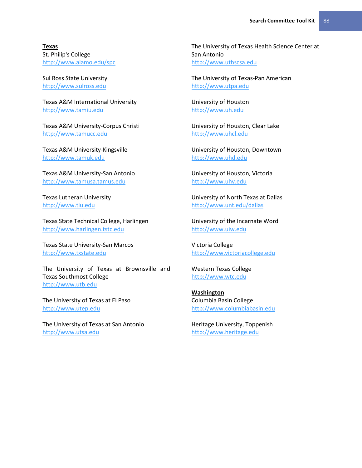**Texas** St. Philip's College <http://www.alamo.edu/spc>

Sul Ross State University [http://www.sulross.edu](http://www.sulross.edu/)

Texas A&M International University [http://www.tamiu.edu](http://www.tamiu.edu/)

Texas A&M University-Corpus Christi [http://www.tamucc.edu](http://www.tamucc.edu/)

Texas A&M University-Kingsville [http://www.tamuk.edu](http://www.tamuk.edu/)

Texas A&M University-San Antonio [http://www.tamusa.tamus.edu](http://www.tamusa.tamus.edu/)

Texas Lutheran University [http://www.tlu.edu](http://www.tlu.edu/)

Texas State Technical College, Harlingen [http://www.harlingen.tstc.edu](http://www.harlingen.tstc.edu/)

Texas State University-San Marcos [http://www.txstate.edu](http://www.txstate.edu/)

The University of Texas at Brownsville and Texas Southmost College [http://www.utb.edu](http://www.utb.edu/)

The University of Texas at El Paso [http://www.utep.edu](http://www.utep.edu/)

The University of Texas at San Antonio [http://www.utsa.edu](http://www.utsa.edu/)

The University of Texas Health Science Center at San Antonio [http://www.uthscsa.edu](http://www.uthscsa.edu/)

The University of Texas-Pan American [http://www.utpa.edu](http://www.utpa.edu/)

University of Houston [http://www.uh.edu](http://www.uh.edu/)

University of Houston, Clear Lake [http://www.uhcl.edu](http://www.uhcl.edu/)

University of Houston, Downtown [http://www.uhd.edu](http://www.uhd.edu/)

University of Houston, Victoria [http://www.uhv.edu](http://www.uhv.edu/)

University of North Texas at Dallas <http://www.unt.edu/dallas>

University of the Incarnate Word [http://www.uiw.edu](http://www.uiw.edu/)

Victoria College [http://www.victoriacollege.edu](http://www.victoriacollege.edu/)

Western Texas College [http://www.wtc.edu](http://www.wtc.edu/)

**Washington** Columbia Basin College [http://www.columbiabasin.edu](http://www.columbiabasin.edu/)

Heritage University, Toppenish [http://www.heritage.edu](http://www.heritage.edu/)